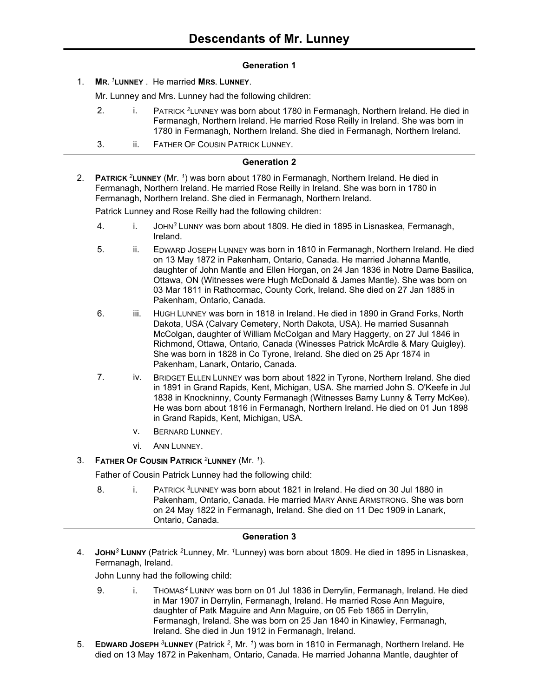# **Generation 1**

1. **MR.** *<sup>1</sup>***LUNNEY** . He married **MRS. LUNNEY**.

Mr. Lunney and Mrs. Lunney had the following children:

- 2. i. PATRICK *<sup>2</sup>*LUNNEY was born about 1780 in Fermanagh, Northern Ireland. He died in Fermanagh, Northern Ireland. He married Rose Reilly in Ireland. She was born in 1780 in Fermanagh, Northern Ireland. She died in Fermanagh, Northern Ireland.
- 3. **ii.** FATHER OF COUSIN PATRICK LUNNEY.

# **Generation 2**

2. **PATRICK** *<sup>2</sup>***LUNNEY** (Mr. *<sup>1</sup>* ) was born about 1780 in Fermanagh, Northern Ireland. He died in Fermanagh, Northern Ireland. He married Rose Reilly in Ireland. She was born in 1780 in Fermanagh, Northern Ireland. She died in Fermanagh, Northern Ireland.

Patrick Lunney and Rose Reilly had the following children:

- 4. i. JOHN*<sup>3</sup>* LUNNY was born about 1809. He died in 1895 in Lisnaskea, Fermanagh, Ireland.
- 5. ii. EDWARD JOSEPH LUNNEY was born in 1810 in Fermanagh, Northern Ireland. He died on 13 May 1872 in Pakenham, Ontario, Canada. He married Johanna Mantle, daughter of John Mantle and Ellen Horgan, on 24 Jan 1836 in Notre Dame Basilica, Ottawa, ON (Witnesses were Hugh McDonald & James Mantle). She was born on 03 Mar 1811 in Rathcormac, County Cork, Ireland. She died on 27 Jan 1885 in Pakenham, Ontario, Canada.
- 6. iii. HUGH LUNNEY was born in 1818 in Ireland. He died in 1890 in Grand Forks, North Dakota, USA (Calvary Cemetery, North Dakota, USA). He married Susannah McColgan, daughter of William McColgan and Mary Haggerty, on 27 Jul 1846 in Richmond, Ottawa, Ontario, Canada (Winesses Patrick McArdle & Mary Quigley). She was born in 1828 in Co Tyrone, Ireland. She died on 25 Apr 1874 in Pakenham, Lanark, Ontario, Canada.
- 7. iv. BRIDGET ELLEN LUNNEY was born about 1822 in Tyrone, Northern Ireland. She died in 1891 in Grand Rapids, Kent, Michigan, USA. She married John S. O'Keefe in Jul 1838 in Knockninny, County Fermanagh (Witnesses Barny Lunny & Terry McKee). He was born about 1816 in Fermanagh, Northern Ireland. He died on 01 Jun 1898 in Grand Rapids, Kent, Michigan, USA.
	- v. BERNARD LUNNEY.
	- vi. ANN LUNNEY.

# 3. **FATHER OF COUSIN PATRICK** *<sup>2</sup>***LUNNEY** (Mr. *<sup>1</sup>* ).

Father of Cousin Patrick Lunney had the following child:

8. i. PATRICK <sup>3</sup>LUNNEY was born about 1821 in Ireland. He died on 30 Jul 1880 in Pakenham, Ontario, Canada. He married MARY ANNE ARMSTRONG. She was born on 24 May 1822 in Fermanagh, Ireland. She died on 11 Dec 1909 in Lanark, Ontario, Canada.

# **Generation 3**

4. **JOHN***<sup>3</sup>* **LUNNY** (Patrick *<sup>2</sup>*Lunney, Mr. *<sup>1</sup>*Lunney) was born about 1809. He died in 1895 in Lisnaskea, Fermanagh, Ireland.

John Lunny had the following child:

- 9. i. THOMAS*<sup>4</sup>* LUNNY was born on 01 Jul 1836 in Derrylin, Fermanagh, Ireland. He died in Mar 1907 in Derrylin, Fermanagh, Ireland. He married Rose Ann Maguire, daughter of Patk Maguire and Ann Maguire, on 05 Feb 1865 in Derrylin, Fermanagh, Ireland. She was born on 25 Jan 1840 in Kinawley, Fermanagh, Ireland. She died in Jun 1912 in Fermanagh, Ireland.
- 5. **EDWARD JOSEPH** <sup>3</sup>LUNNEY (Patrick <sup>2</sup>, Mr. <sup>1</sup>) was born in 1810 in Fermanagh, Northern Ireland. He died on 13 May 1872 in Pakenham, Ontario, Canada. He married Johanna Mantle, daughter of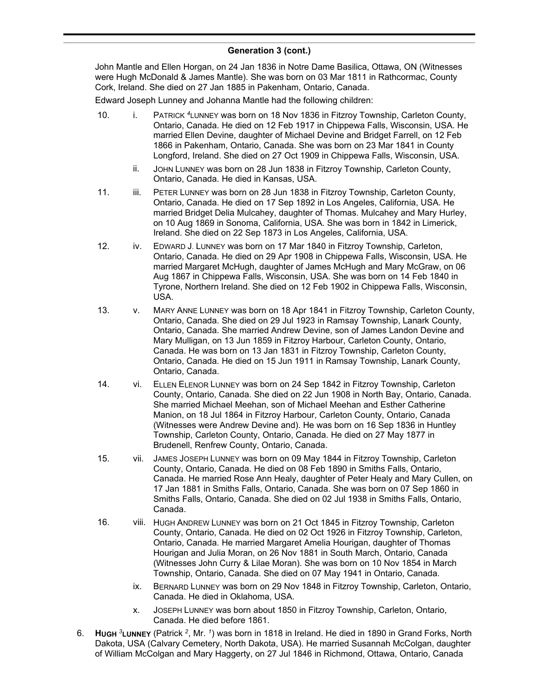John Mantle and Ellen Horgan, on 24 Jan 1836 in Notre Dame Basilica, Ottawa, ON (Witnesses were Hugh McDonald & James Mantle). She was born on 03 Mar 1811 in Rathcormac, County Cork, Ireland. She died on 27 Jan 1885 in Pakenham, Ontario, Canada.

Edward Joseph Lunney and Johanna Mantle had the following children:

- 10. i. PATRICK *<sup>4</sup>*LUNNEY was born on 18 Nov 1836 in Fitzroy Township, Carleton County, Ontario, Canada. He died on 12 Feb 1917 in Chippewa Falls, Wisconsin, USA. He married Ellen Devine, daughter of Michael Devine and Bridget Farrell, on 12 Feb 1866 in Pakenham, Ontario, Canada. She was born on 23 Mar 1841 in County Longford, Ireland. She died on 27 Oct 1909 in Chippewa Falls, Wisconsin, USA.
	- ii. JOHN LUNNEY was born on 28 Jun 1838 in Fitzroy Township, Carleton County, Ontario, Canada. He died in Kansas, USA.
- 11. iii. PETER LUNNEY was born on 28 Jun 1838 in Fitzroy Township, Carleton County, Ontario, Canada. He died on 17 Sep 1892 in Los Angeles, California, USA. He married Bridget Delia Mulcahey, daughter of Thomas. Mulcahey and Mary Hurley, on 10 Aug 1869 in Sonoma, California, USA. She was born in 1842 in Limerick, Ireland. She died on 22 Sep 1873 in Los Angeles, California, USA.
- 12. iv. EDWARD J. LUNNEY was born on 17 Mar 1840 in Fitzroy Township, Carleton, Ontario, Canada. He died on 29 Apr 1908 in Chippewa Falls, Wisconsin, USA. He married Margaret McHugh, daughter of James McHugh and Mary McGraw, on 06 Aug 1867 in Chippewa Falls, Wisconsin, USA. She was born on 14 Feb 1840 in Tyrone, Northern Ireland. She died on 12 Feb 1902 in Chippewa Falls, Wisconsin, USA.
- 13. v. MARY ANNE LUNNEY was born on 18 Apr 1841 in Fitzroy Township, Carleton County, Ontario, Canada. She died on 29 Jul 1923 in Ramsay Township, Lanark County, Ontario, Canada. She married Andrew Devine, son of James Landon Devine and Mary Mulligan, on 13 Jun 1859 in Fitzroy Harbour, Carleton County, Ontario, Canada. He was born on 13 Jan 1831 in Fitzroy Township, Carleton County, Ontario, Canada. He died on 15 Jun 1911 in Ramsay Township, Lanark County, Ontario, Canada.
- 14. vi. ELLEN ELENOR LUNNEY was born on 24 Sep 1842 in Fitzroy Township, Carleton County, Ontario, Canada. She died on 22 Jun 1908 in North Bay, Ontario, Canada. She married Michael Meehan, son of Michael Meehan and Esther Catherine Manion, on 18 Jul 1864 in Fitzroy Harbour, Carleton County, Ontario, Canada (Witnesses were Andrew Devine and). He was born on 16 Sep 1836 in Huntley Township, Carleton County, Ontario, Canada. He died on 27 May 1877 in Brudenell, Renfrew County, Ontario, Canada.
- 15. vii. JAMES JOSEPH LUNNEY was born on 09 May 1844 in Fitzroy Township, Carleton County, Ontario, Canada. He died on 08 Feb 1890 in Smiths Falls, Ontario, Canada. He married Rose Ann Healy, daughter of Peter Healy and Mary Cullen, on 17 Jan 1881 in Smiths Falls, Ontario, Canada. She was born on 07 Sep 1860 in Smiths Falls, Ontario, Canada. She died on 02 Jul 1938 in Smiths Falls, Ontario, Canada.
- 16. viii. HUGH ANDREW LUNNEY was born on 21 Oct 1845 in Fitzroy Township, Carleton County, Ontario, Canada. He died on 02 Oct 1926 in Fitzroy Township, Carleton, Ontario, Canada. He married Margaret Amelia Hourigan, daughter of Thomas Hourigan and Julia Moran, on 26 Nov 1881 in South March, Ontario, Canada (Witnesses John Curry & Lilae Moran). She was born on 10 Nov 1854 in March Township, Ontario, Canada. She died on 07 May 1941 in Ontario, Canada.
	- ix. BERNARD LUNNEY was born on 29 Nov 1848 in Fitzroy Township, Carleton, Ontario, Canada. He died in Oklahoma, USA.
	- x. JOSEPH LUNNEY was born about 1850 in Fitzroy Township, Carleton, Ontario, Canada. He died before 1861.
- 6. **HUGH** *<sup>3</sup>***LUNNEY** (Patrick *<sup>2</sup>* , Mr. *<sup>1</sup>* ) was born in 1818 in Ireland. He died in 1890 in Grand Forks, North Dakota, USA (Calvary Cemetery, North Dakota, USA). He married Susannah McColgan, daughter of William McColgan and Mary Haggerty, on 27 Jul 1846 in Richmond, Ottawa, Ontario, Canada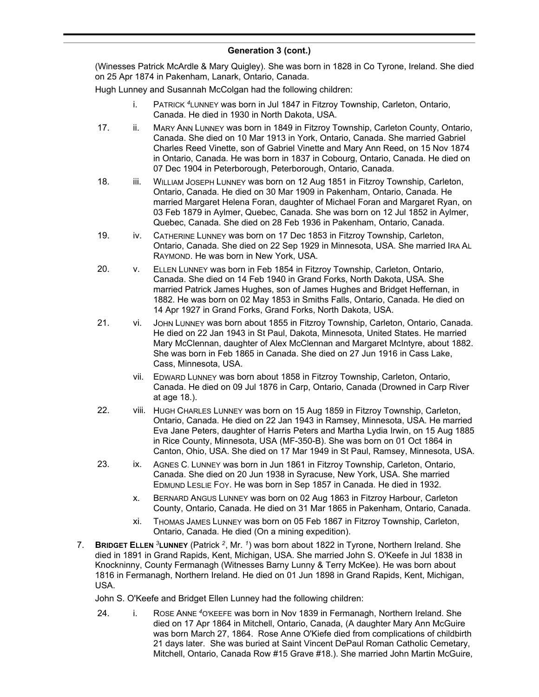(Winesses Patrick McArdle & Mary Quigley). She was born in 1828 in Co Tyrone, Ireland. She died on 25 Apr 1874 in Pakenham, Lanark, Ontario, Canada.

Hugh Lunney and Susannah McColgan had the following children:

- i. PATRICK *<sup>4</sup>*LUNNEY was born in Jul 1847 in Fitzroy Township, Carleton, Ontario, Canada. He died in 1930 in North Dakota, USA.
- 17. ii. MARY ANN LUNNEY was born in 1849 in Fitzroy Township, Carleton County, Ontario, Canada. She died on 10 Mar 1913 in York, Ontario, Canada. She married Gabriel Charles Reed Vinette, son of Gabriel Vinette and Mary Ann Reed, on 15 Nov 1874 in Ontario, Canada. He was born in 1837 in Cobourg, Ontario, Canada. He died on 07 Dec 1904 in Peterborough, Peterborough, Ontario, Canada.
- 18. iii. WILLIAM JOSEPH LUNNEY was born on 12 Aug 1851 in Fitzroy Township, Carleton, Ontario, Canada. He died on 30 Mar 1909 in Pakenham, Ontario, Canada. He married Margaret Helena Foran, daughter of Michael Foran and Margaret Ryan, on 03 Feb 1879 in Aylmer, Quebec, Canada. She was born on 12 Jul 1852 in Aylmer, Quebec, Canada. She died on 28 Feb 1936 in Pakenham, Ontario, Canada.
- 19. iv. CATHERINE LUNNEY was born on 17 Dec 1853 in Fitzroy Township, Carleton, Ontario, Canada. She died on 22 Sep 1929 in Minnesota, USA. She married IRA AL RAYMOND. He was born in New York, USA.
- 20. v. ELLEN LUNNEY was born in Feb 1854 in Fitzroy Township, Carleton, Ontario, Canada. She died on 14 Feb 1940 in Grand Forks, North Dakota, USA. She married Patrick James Hughes, son of James Hughes and Bridget Heffernan, in 1882. He was born on 02 May 1853 in Smiths Falls, Ontario, Canada. He died on 14 Apr 1927 in Grand Forks, Grand Forks, North Dakota, USA.
- 21. vi. JOHN LUNNEY was born about 1855 in Fitzroy Township, Carleton, Ontario, Canada. He died on 22 Jan 1943 in St Paul, Dakota, Minnesota, United States. He married Mary McClennan, daughter of Alex McClennan and Margaret McIntyre, about 1882. She was born in Feb 1865 in Canada. She died on 27 Jun 1916 in Cass Lake, Cass, Minnesota, USA.
	- vii. EDWARD LUNNEY was born about 1858 in Fitzroy Township, Carleton, Ontario, Canada. He died on 09 Jul 1876 in Carp, Ontario, Canada (Drowned in Carp River at age 18.).
- 22. viii. HUGH CHARLES LUNNEY was born on 15 Aug 1859 in Fitzroy Township, Carleton, Ontario, Canada. He died on 22 Jan 1943 in Ramsey, Minnesota, USA. He married Eva Jane Peters, daughter of Harris Peters and Martha Lydia Irwin, on 15 Aug 1885 in Rice County, Minnesota, USA (MF-350-B). She was born on 01 Oct 1864 in Canton, Ohio, USA. She died on 17 Mar 1949 in St Paul, Ramsey, Minnesota, USA.
- 23. ix. AGNES C. LUNNEY was born in Jun 1861 in Fitzroy Township, Carleton, Ontario, Canada. She died on 20 Jun 1938 in Syracuse, New York, USA. She married EDMUND LESLIE FOY. He was born in Sep 1857 in Canada. He died in 1932.
	- x. BERNARD ANGUS LUNNEY was born on 02 Aug 1863 in Fitzroy Harbour, Carleton County, Ontario, Canada. He died on 31 Mar 1865 in Pakenham, Ontario, Canada.
	- xi. THOMAS JAMES LUNNEY was born on 05 Feb 1867 in Fitzroy Township, Carleton, Ontario, Canada. He died (On a mining expedition).
- 7. **BRIDGET ELLEN** *<sup>3</sup>***LUNNEY** (Patrick *<sup>2</sup>* , Mr. *<sup>1</sup>* ) was born about 1822 in Tyrone, Northern Ireland. She died in 1891 in Grand Rapids, Kent, Michigan, USA. She married John S. O'Keefe in Jul 1838 in Knockninny, County Fermanagh (Witnesses Barny Lunny & Terry McKee). He was born about 1816 in Fermanagh, Northern Ireland. He died on 01 Jun 1898 in Grand Rapids, Kent, Michigan, USA.

John S. O'Keefe and Bridget Ellen Lunney had the following children:

24. i. ROSE ANNE *<sup>4</sup>*O'KEEFE was born in Nov 1839 in Fermanagh, Northern Ireland. She died on 17 Apr 1864 in Mitchell, Ontario, Canada, (A daughter Mary Ann McGuire was born March 27, 1864. Rose Anne O'Kiefe died from complications of childbirth 21 days later. She was buried at Saint Vincent DePaul Roman Catholic Cemetary, Mitchell, Ontario, Canada Row #15 Grave #18.). She married John Martin McGuire,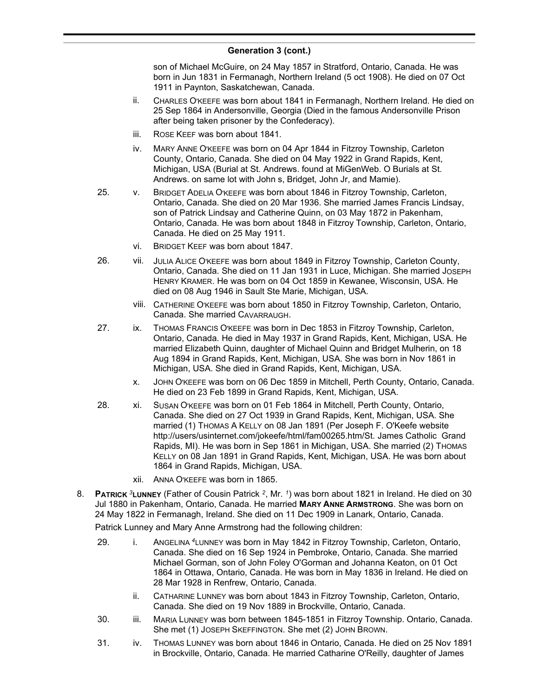son of Michael McGuire, on 24 May 1857 in Stratford, Ontario, Canada. He was born in Jun 1831 in Fermanagh, Northern Ireland (5 oct 1908). He died on 07 Oct 1911 in Paynton, Saskatchewan, Canada.

- ii. CHARLES O'KEEFE was born about 1841 in Fermanagh, Northern Ireland. He died on 25 Sep 1864 in Andersonville, Georgia (Died in the famous Andersonville Prison after being taken prisoner by the Confederacy).
- iii. ROSE KEEF was born about 1841.
- iv. MARY ANNE O'KEEFE was born on 04 Apr 1844 in Fitzroy Township, Carleton County, Ontario, Canada. She died on 04 May 1922 in Grand Rapids, Kent, Michigan, USA (Burial at St. Andrews. found at MiGenWeb. O Burials at St. Andrews. on same lot with John s, Bridget, John Jr, and Mamie).
- 25. v. BRIDGET ADELIA O'KEEFE was born about 1846 in Fitzroy Township, Carleton, Ontario, Canada. She died on 20 Mar 1936. She married James Francis Lindsay, son of Patrick Lindsay and Catherine Quinn, on 03 May 1872 in Pakenham, Ontario, Canada. He was born about 1848 in Fitzroy Township, Carleton, Ontario, Canada. He died on 25 May 1911.
	- vi. BRIDGET KEEF was born about 1847.
- 26. vii. JULIA ALICE O'KEEFE was born about 1849 in Fitzroy Township, Carleton County, Ontario, Canada. She died on 11 Jan 1931 in Luce, Michigan. She married JOSEPH HENRY KRAMER. He was born on 04 Oct 1859 in Kewanee, Wisconsin, USA. He died on 08 Aug 1946 in Sault Ste Marie, Michigan, USA.
	- viii. CATHERINE O'KEEFE was born about 1850 in Fitzroy Township, Carleton, Ontario, Canada. She married CAVARRAUGH.
- 27. ix. THOMAS FRANCIS O'KEEFE was born in Dec 1853 in Fitzroy Township, Carleton, Ontario, Canada. He died in May 1937 in Grand Rapids, Kent, Michigan, USA. He married Elizabeth Quinn, daughter of Michael Quinn and Bridget Mulherin, on 18 Aug 1894 in Grand Rapids, Kent, Michigan, USA. She was born in Nov 1861 in Michigan, USA. She died in Grand Rapids, Kent, Michigan, USA.
	- x. JOHN O'KEEFE was born on 06 Dec 1859 in Mitchell, Perth County, Ontario, Canada. He died on 23 Feb 1899 in Grand Rapids, Kent, Michigan, USA.
- 28. xi. SUSAN O'KEEFE was born on 01 Feb 1864 in Mitchell, Perth County, Ontario, Canada. She died on 27 Oct 1939 in Grand Rapids, Kent, Michigan, USA. She married (1) THOMAS A KELLY on 08 Jan 1891 (Per Joseph F. O'Keefe website http://users/usinternet.com/jokeefe/html/fam00265.htm/St. James Catholic Grand Rapids, MI). He was born in Sep 1861 in Michigan, USA. She married (2) THOMAS KELLY on 08 Jan 1891 in Grand Rapids, Kent, Michigan, USA. He was born about 1864 in Grand Rapids, Michigan, USA.
	- xii. ANNA O'KEEFE was born in 1865.
- 8. **PATRICK** *<sup>3</sup>***LUNNEY** (Father of Cousin Patrick *<sup>2</sup>* , Mr. *<sup>1</sup>* ) was born about 1821 in Ireland. He died on 30 Jul 1880 in Pakenham, Ontario, Canada. He married **MARY ANNE ARMSTRONG**. She was born on 24 May 1822 in Fermanagh, Ireland. She died on 11 Dec 1909 in Lanark, Ontario, Canada.

Patrick Lunney and Mary Anne Armstrong had the following children:

- 29. i. ANGELINA *<sup>4</sup>*LUNNEY was born in May 1842 in Fitzroy Township, Carleton, Ontario, Canada. She died on 16 Sep 1924 in Pembroke, Ontario, Canada. She married Michael Gorman, son of John Foley O'Gorman and Johanna Keaton, on 01 Oct 1864 in Ottawa, Ontario, Canada. He was born in May 1836 in Ireland. He died on 28 Mar 1928 in Renfrew, Ontario, Canada.
	- ii. CATHARINE LUNNEY was born about 1843 in Fitzroy Township, Carleton, Ontario, Canada. She died on 19 Nov 1889 in Brockville, Ontario, Canada.
- 30. iii. MARIA LUNNEY was born between 1845-1851 in Fitzroy Township. Ontario, Canada. She met (1) JOSEPH SKEFFINGTON. She met (2) JOHN BROWN.
- 31. iv. THOMAS LUNNEY was born about 1846 in Ontario, Canada. He died on 25 Nov 1891 in Brockville, Ontario, Canada. He married Catharine O'Reilly, daughter of James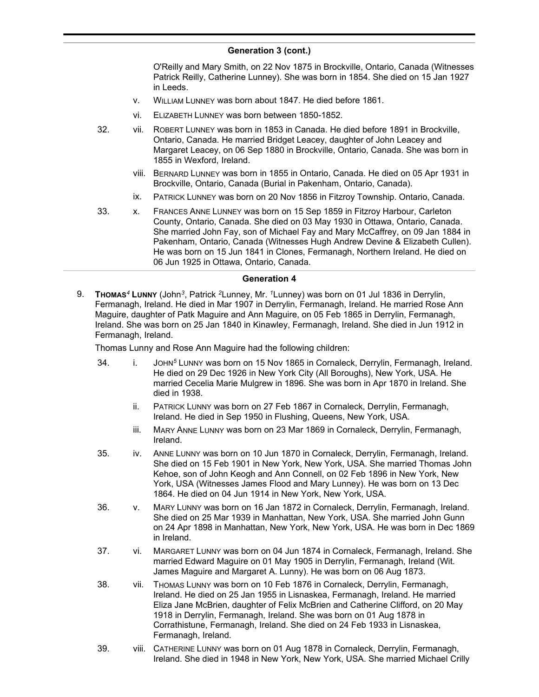O'Reilly and Mary Smith, on 22 Nov 1875 in Brockville, Ontario, Canada (Witnesses Patrick Reilly, Catherine Lunney). She was born in 1854. She died on 15 Jan 1927 in Leeds.

- v. WILLIAM LUNNEY was born about 1847. He died before 1861.
- vi. ELIZABETH LUNNEY was born between 1850-1852.
- 32. vii. ROBERT LUNNEY was born in 1853 in Canada. He died before 1891 in Brockville, Ontario, Canada. He married Bridget Leacey, daughter of John Leacey and Margaret Leacey, on 06 Sep 1880 in Brockville, Ontario, Canada. She was born in 1855 in Wexford, Ireland.
	- viii. BERNARD LUNNEY was born in 1855 in Ontario, Canada. He died on 05 Apr 1931 in Brockville, Ontario, Canada (Burial in Pakenham, Ontario, Canada).
	- ix. PATRICK LUNNEY was born on 20 Nov 1856 in Fitzroy Township. Ontario, Canada.
- 33. x. FRANCES ANNE LUNNEY was born on 15 Sep 1859 in Fitzroy Harbour, Carleton County, Ontario, Canada. She died on 03 May 1930 in Ottawa, Ontario, Canada. She married John Fay, son of Michael Fay and Mary McCaffrey, on 09 Jan 1884 in Pakenham, Ontario, Canada (Witnesses Hugh Andrew Devine & Elizabeth Cullen). He was born on 15 Jun 1841 in Clones, Fermanagh, Northern Ireland. He died on 06 Jun 1925 in Ottawa, Ontario, Canada.

#### **Generation 4**

9. **THOMAS***<sup>4</sup>* **LUNNY** (John*<sup>3</sup>* , Patrick *<sup>2</sup>*Lunney, Mr. *<sup>1</sup>*Lunney) was born on 01 Jul 1836 in Derrylin, Fermanagh, Ireland. He died in Mar 1907 in Derrylin, Fermanagh, Ireland. He married Rose Ann Maguire, daughter of Patk Maguire and Ann Maguire, on 05 Feb 1865 in Derrylin, Fermanagh, Ireland. She was born on 25 Jan 1840 in Kinawley, Fermanagh, Ireland. She died in Jun 1912 in Fermanagh, Ireland.

Thomas Lunny and Rose Ann Maguire had the following children:

- 34. i. JOHN*<sup>5</sup>* LUNNY was born on 15 Nov 1865 in Cornaleck, Derrylin, Fermanagh, Ireland. He died on 29 Dec 1926 in New York City (All Boroughs), New York, USA. He married Cecelia Marie Mulgrew in 1896. She was born in Apr 1870 in Ireland. She died in 1938.
	- ii. PATRICK LUNNY was born on 27 Feb 1867 in Cornaleck, Derrylin, Fermanagh, Ireland. He died in Sep 1950 in Flushing, Queens, New York, USA.
	- iii. MARY ANNE LUNNY was born on 23 Mar 1869 in Cornaleck, Derrylin, Fermanagh, Ireland.
- 35. iv. ANNE LUNNY was born on 10 Jun 1870 in Cornaleck, Derrylin, Fermanagh, Ireland. She died on 15 Feb 1901 in New York, New York, USA. She married Thomas John Kehoe, son of John Keogh and Ann Connell, on 02 Feb 1896 in New York, New York, USA (Witnesses James Flood and Mary Lunney). He was born on 13 Dec 1864. He died on 04 Jun 1914 in New York, New York, USA.
- 36. v. MARY LUNNY was born on 16 Jan 1872 in Cornaleck, Derrylin, Fermanagh, Ireland. She died on 25 Mar 1939 in Manhattan, New York, USA. She married John Gunn on 24 Apr 1898 in Manhattan, New York, New York, USA. He was born in Dec 1869 in Ireland.
- 37. vi. MARGARET LUNNY was born on 04 Jun 1874 in Cornaleck, Fermanagh, Ireland. She married Edward Maguire on 01 May 1905 in Derrylin, Fermanagh, Ireland (Wit. James Maguire and Margaret A. Lunny). He was born on 06 Aug 1873.
- 38. vii. THOMAS LUNNY was born on 10 Feb 1876 in Cornaleck, Derrylin, Fermanagh, Ireland. He died on 25 Jan 1955 in Lisnaskea, Fermanagh, Ireland. He married Eliza Jane McBrien, daughter of Felix McBrien and Catherine Clifford, on 20 May 1918 in Derrylin, Fermanagh, Ireland. She was born on 01 Aug 1878 in Corrathistune, Fermanagh, Ireland. She died on 24 Feb 1933 in Lisnaskea, Fermanagh, Ireland.
- 39. viii. CATHERINE LUNNY was born on 01 Aug 1878 in Cornaleck, Derrylin, Fermanagh, Ireland. She died in 1948 in New York, New York, USA. She married Michael Crilly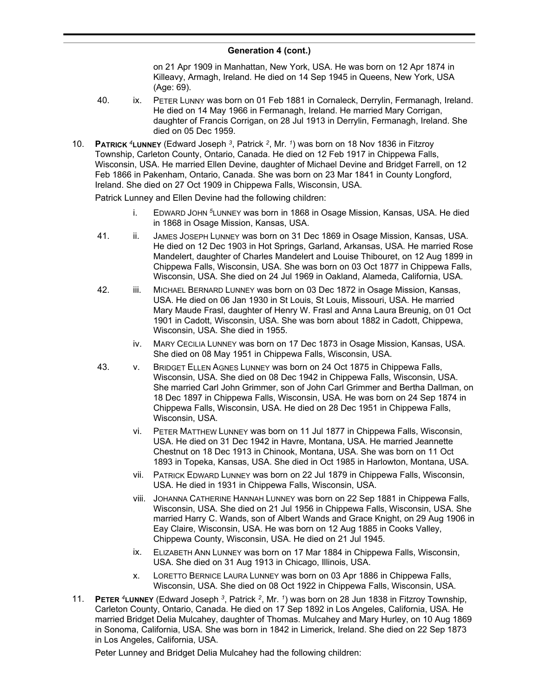on 21 Apr 1909 in Manhattan, New York, USA. He was born on 12 Apr 1874 in Killeavy, Armagh, Ireland. He died on 14 Sep 1945 in Queens, New York, USA (Age: 69).

- 40. ix. PETER LUNNY was born on 01 Feb 1881 in Cornaleck, Derrylin, Fermanagh, Ireland. He died on 14 May 1966 in Fermanagh, Ireland. He married Mary Corrigan, daughter of Francis Corrigan, on 28 Jul 1913 in Derrylin, Fermanagh, Ireland. She died on 05 Dec 1959.
- 10. **PATRICK** *<sup>4</sup>***LUNNEY** (Edward Joseph *<sup>3</sup>* , Patrick *<sup>2</sup>* , Mr. *<sup>1</sup>* ) was born on 18 Nov 1836 in Fitzroy Township, Carleton County, Ontario, Canada. He died on 12 Feb 1917 in Chippewa Falls, Wisconsin, USA. He married Ellen Devine, daughter of Michael Devine and Bridget Farrell, on 12 Feb 1866 in Pakenham, Ontario, Canada. She was born on 23 Mar 1841 in County Longford, Ireland. She died on 27 Oct 1909 in Chippewa Falls, Wisconsin, USA.

Patrick Lunney and Ellen Devine had the following children:

- i. EDWARD JOHN *<sup>5</sup>*LUNNEY was born in 1868 in Osage Mission, Kansas, USA. He died in 1868 in Osage Mission, Kansas, USA.
- 41. ii. JAMES JOSEPH LUNNEY was born on 31 Dec 1869 in Osage Mission, Kansas, USA. He died on 12 Dec 1903 in Hot Springs, Garland, Arkansas, USA. He married Rose Mandelert, daughter of Charles Mandelert and Louise Thibouret, on 12 Aug 1899 in Chippewa Falls, Wisconsin, USA. She was born on 03 Oct 1877 in Chippewa Falls, Wisconsin, USA. She died on 24 Jul 1969 in Oakland, Alameda, California, USA.
- 42. iii. MICHAEL BERNARD LUNNEY was born on 03 Dec 1872 in Osage Mission, Kansas, USA. He died on 06 Jan 1930 in St Louis, St Louis, Missouri, USA. He married Mary Maude Frasl, daughter of Henry W. Frasl and Anna Laura Breunig, on 01 Oct 1901 in Cadott, Wisconsin, USA. She was born about 1882 in Cadott, Chippewa, Wisconsin, USA. She died in 1955.
	- iv. MARY CECILIA LUNNEY was born on 17 Dec 1873 in Osage Mission, Kansas, USA. She died on 08 May 1951 in Chippewa Falls, Wisconsin, USA.
- 43. v. BRIDGET ELLEN AGNES LUNNEY was born on 24 Oct 1875 in Chippewa Falls, Wisconsin, USA. She died on 08 Dec 1942 in Chippewa Falls, Wisconsin, USA. She married Carl John Grimmer, son of John Carl Grimmer and Bertha Dallman, on 18 Dec 1897 in Chippewa Falls, Wisconsin, USA. He was born on 24 Sep 1874 in Chippewa Falls, Wisconsin, USA. He died on 28 Dec 1951 in Chippewa Falls, Wisconsin, USA.
	- vi. PETER MATTHEW LUNNEY was born on 11 Jul 1877 in Chippewa Falls, Wisconsin, USA. He died on 31 Dec 1942 in Havre, Montana, USA. He married Jeannette Chestnut on 18 Dec 1913 in Chinook, Montana, USA. She was born on 11 Oct 1893 in Topeka, Kansas, USA. She died in Oct 1985 in Harlowton, Montana, USA.
	- vii. PATRICK EDWARD LUNNEY was born on 22 Jul 1879 in Chippewa Falls, Wisconsin, USA. He died in 1931 in Chippewa Falls, Wisconsin, USA.
	- viii. JOHANNA CATHERINE HANNAH LUNNEY was born on 22 Sep 1881 in Chippewa Falls, Wisconsin, USA. She died on 21 Jul 1956 in Chippewa Falls, Wisconsin, USA. She married Harry C. Wands, son of Albert Wands and Grace Knight, on 29 Aug 1906 in Eay Claire, Wisconsin, USA. He was born on 12 Aug 1885 in Cooks Valley, Chippewa County, Wisconsin, USA. He died on 21 Jul 1945.
	- ix. ELIZABETH ANN LUNNEY was born on 17 Mar 1884 in Chippewa Falls, Wisconsin, USA. She died on 31 Aug 1913 in Chicago, Illinois, USA.
	- x. LORETTO BERNICE LAURA LUNNEY was born on 03 Apr 1886 in Chippewa Falls, Wisconsin, USA. She died on 08 Oct 1922 in Chippewa Falls, Wisconsin, USA.
- 11. **PETER** *<sup>4</sup>***LUNNEY** (Edward Joseph *<sup>3</sup>* , Patrick *<sup>2</sup>* , Mr. *<sup>1</sup>* ) was born on 28 Jun 1838 in Fitzroy Township, Carleton County, Ontario, Canada. He died on 17 Sep 1892 in Los Angeles, California, USA. He married Bridget Delia Mulcahey, daughter of Thomas. Mulcahey and Mary Hurley, on 10 Aug 1869 in Sonoma, California, USA. She was born in 1842 in Limerick, Ireland. She died on 22 Sep 1873 in Los Angeles, California, USA.

Peter Lunney and Bridget Delia Mulcahey had the following children: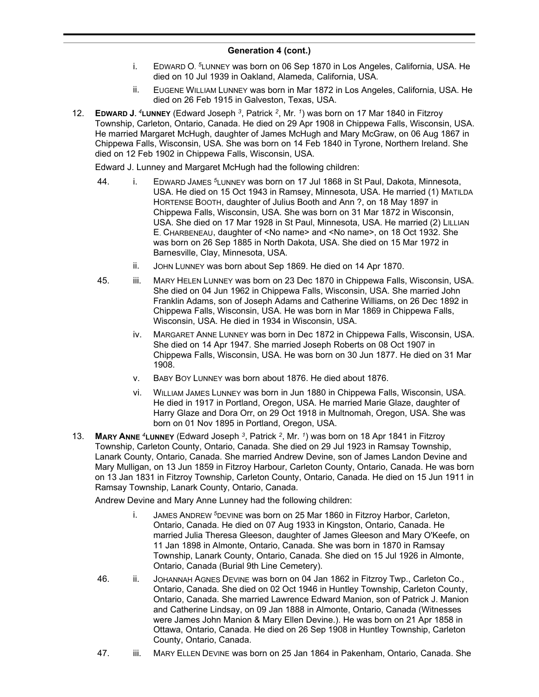- i. EDWARD O. *<sup>5</sup>*LUNNEY was born on 06 Sep 1870 in Los Angeles, California, USA. He died on 10 Jul 1939 in Oakland, Alameda, California, USA.
- ii. EUGENE WILLIAM LUNNEY was born in Mar 1872 in Los Angeles, California, USA. He died on 26 Feb 1915 in Galveston, Texas, USA.
- 12. **EDWARD J.** *<sup>4</sup>***LUNNEY** (Edward Joseph *<sup>3</sup>* , Patrick *<sup>2</sup>* , Mr. *<sup>1</sup>* ) was born on 17 Mar 1840 in Fitzroy Township, Carleton, Ontario, Canada. He died on 29 Apr 1908 in Chippewa Falls, Wisconsin, USA. He married Margaret McHugh, daughter of James McHugh and Mary McGraw, on 06 Aug 1867 in Chippewa Falls, Wisconsin, USA. She was born on 14 Feb 1840 in Tyrone, Northern Ireland. She died on 12 Feb 1902 in Chippewa Falls, Wisconsin, USA.

Edward J. Lunney and Margaret McHugh had the following children:

- 44. i. EDWARD JAMES *<sup>5</sup>*LUNNEY was born on 17 Jul 1868 in St Paul, Dakota, Minnesota, USA. He died on 15 Oct 1943 in Ramsey, Minnesota, USA. He married (1) MATILDA HORTENSE BOOTH, daughter of Julius Booth and Ann ?, on 18 May 1897 in Chippewa Falls, Wisconsin, USA. She was born on 31 Mar 1872 in Wisconsin, USA. She died on 17 Mar 1928 in St Paul, Minnesota, USA. He married (2) LILLIAN E. CHARBENEAU, daughter of <No name> and <No name>, on 18 Oct 1932. She was born on 26 Sep 1885 in North Dakota, USA. She died on 15 Mar 1972 in Barnesville, Clay, Minnesota, USA.
	- ii. JOHN LUNNEY was born about Sep 1869. He died on 14 Apr 1870.
- 45. iii. MARY HELEN LUNNEY was born on 23 Dec 1870 in Chippewa Falls, Wisconsin, USA. She died on 04 Jun 1962 in Chippewa Falls, Wisconsin, USA. She married John Franklin Adams, son of Joseph Adams and Catherine Williams, on 26 Dec 1892 in Chippewa Falls, Wisconsin, USA. He was born in Mar 1869 in Chippewa Falls, Wisconsin, USA. He died in 1934 in Wisconsin, USA.
	- iv. MARGARET ANNE LUNNEY was born in Dec 1872 in Chippewa Falls, Wisconsin, USA. She died on 14 Apr 1947. She married Joseph Roberts on 08 Oct 1907 in Chippewa Falls, Wisconsin, USA. He was born on 30 Jun 1877. He died on 31 Mar 1908.
	- v. BABY BOY LUNNEY was born about 1876. He died about 1876.
	- vi. WILLIAM JAMES LUNNEY was born in Jun 1880 in Chippewa Falls, Wisconsin, USA. He died in 1917 in Portland, Oregon, USA. He married Marie Glaze, daughter of Harry Glaze and Dora Orr, on 29 Oct 1918 in Multnomah, Oregon, USA. She was born on 01 Nov 1895 in Portland, Oregon, USA.
- 13. **MARY ANNE** *<sup>4</sup>***LUNNEY** (Edward Joseph *<sup>3</sup>* , Patrick *<sup>2</sup>* , Mr. *<sup>1</sup>* ) was born on 18 Apr 1841 in Fitzroy Township, Carleton County, Ontario, Canada. She died on 29 Jul 1923 in Ramsay Township, Lanark County, Ontario, Canada. She married Andrew Devine, son of James Landon Devine and Mary Mulligan, on 13 Jun 1859 in Fitzroy Harbour, Carleton County, Ontario, Canada. He was born on 13 Jan 1831 in Fitzroy Township, Carleton County, Ontario, Canada. He died on 15 Jun 1911 in Ramsay Township, Lanark County, Ontario, Canada.

Andrew Devine and Mary Anne Lunney had the following children:

- i. JAMES ANDREW *<sup>5</sup>*DEVINE was born on 25 Mar 1860 in Fitzroy Harbor, Carleton, Ontario, Canada. He died on 07 Aug 1933 in Kingston, Ontario, Canada. He married Julia Theresa Gleeson, daughter of James Gleeson and Mary O'Keefe, on 11 Jan 1898 in Almonte, Ontario, Canada. She was born in 1870 in Ramsay Township, Lanark County, Ontario, Canada. She died on 15 Jul 1926 in Almonte, Ontario, Canada (Burial 9th Line Cemetery).
- 46. ii. JOHANNAH AGNES DEVINE was born on 04 Jan 1862 in Fitzroy Twp., Carleton Co., Ontario, Canada. She died on 02 Oct 1946 in Huntley Township, Carleton County, Ontario, Canada. She married Lawrence Edward Manion, son of Patrick J. Manion and Catherine Lindsay, on 09 Jan 1888 in Almonte, Ontario, Canada (Witnesses were James John Manion & Mary Ellen Devine.). He was born on 21 Apr 1858 in Ottawa, Ontario, Canada. He died on 26 Sep 1908 in Huntley Township, Carleton County, Ontario, Canada.
- 47. iii. MARY ELLEN DEVINE was born on 25 Jan 1864 in Pakenham, Ontario, Canada. She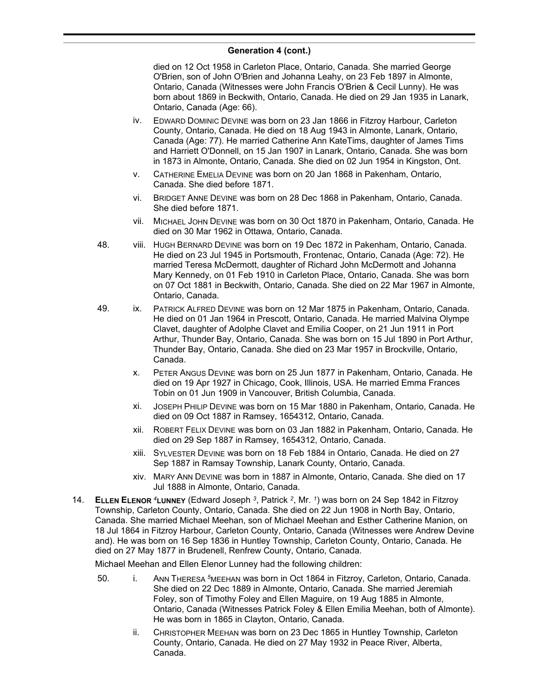died on 12 Oct 1958 in Carleton Place, Ontario, Canada. She married George O'Brien, son of John O'Brien and Johanna Leahy, on 23 Feb 1897 in Almonte, Ontario, Canada (Witnesses were John Francis O'Brien & Cecil Lunny). He was born about 1869 in Beckwith, Ontario, Canada. He died on 29 Jan 1935 in Lanark, Ontario, Canada (Age: 66).

- iv. EDWARD DOMINIC DEVINE was born on 23 Jan 1866 in Fitzroy Harbour, Carleton County, Ontario, Canada. He died on 18 Aug 1943 in Almonte, Lanark, Ontario, Canada (Age: 77). He married Catherine Ann KateTims, daughter of James Tims and Harriett O'Donnell, on 15 Jan 1907 in Lanark, Ontario, Canada. She was born in 1873 in Almonte, Ontario, Canada. She died on 02 Jun 1954 in Kingston, Ont.
- v. CATHERINE EMELIA DEVINE was born on 20 Jan 1868 in Pakenham, Ontario, Canada. She died before 1871.
- vi. BRIDGET ANNE DEVINE was born on 28 Dec 1868 in Pakenham, Ontario, Canada. She died before 1871.
- vii. MICHAEL JOHN DEVINE was born on 30 Oct 1870 in Pakenham, Ontario, Canada. He died on 30 Mar 1962 in Ottawa, Ontario, Canada.
- 48. viii. HUGH BERNARD DEVINE was born on 19 Dec 1872 in Pakenham, Ontario, Canada. He died on 23 Jul 1945 in Portsmouth, Frontenac, Ontario, Canada (Age: 72). He married Teresa McDermott, daughter of Richard John McDermott and Johanna Mary Kennedy, on 01 Feb 1910 in Carleton Place, Ontario, Canada. She was born on 07 Oct 1881 in Beckwith, Ontario, Canada. She died on 22 Mar 1967 in Almonte, Ontario, Canada.
- 49. ix. PATRICK ALFRED DEVINE was born on 12 Mar 1875 in Pakenham, Ontario, Canada. He died on 01 Jan 1964 in Prescott, Ontario, Canada. He married Malvina Olympe Clavet, daughter of Adolphe Clavet and Emilia Cooper, on 21 Jun 1911 in Port Arthur, Thunder Bay, Ontario, Canada. She was born on 15 Jul 1890 in Port Arthur, Thunder Bay, Ontario, Canada. She died on 23 Mar 1957 in Brockville, Ontario, Canada.
	- x. PETER ANGUS DEVINE was born on 25 Jun 1877 in Pakenham, Ontario, Canada. He died on 19 Apr 1927 in Chicago, Cook, Illinois, USA. He married Emma Frances Tobin on 01 Jun 1909 in Vancouver, British Columbia, Canada.
	- xi. JOSEPH PHILIP DEVINE was born on 15 Mar 1880 in Pakenham, Ontario, Canada. He died on 09 Oct 1887 in Ramsey, 1654312, Ontario, Canada.
	- xii. ROBERT FELIX DEVINE was born on 03 Jan 1882 in Pakenham, Ontario, Canada. He died on 29 Sep 1887 in Ramsey, 1654312, Ontario, Canada.
	- xiii. SYLVESTER DEVINE was born on 18 Feb 1884 in Ontario, Canada. He died on 27 Sep 1887 in Ramsay Township, Lanark County, Ontario, Canada.
	- xiv. MARY ANN DEVINE was born in 1887 in Almonte, Ontario, Canada. She died on 17 Jul 1888 in Almonte, Ontario, Canada.
- 14. **ELLEN ELENOR** *<sup>4</sup>***LUNNEY** (Edward Joseph *<sup>3</sup>* , Patrick *<sup>2</sup>* , Mr. *<sup>1</sup>* ) was born on 24 Sep 1842 in Fitzroy Township, Carleton County, Ontario, Canada. She died on 22 Jun 1908 in North Bay, Ontario, Canada. She married Michael Meehan, son of Michael Meehan and Esther Catherine Manion, on 18 Jul 1864 in Fitzroy Harbour, Carleton County, Ontario, Canada (Witnesses were Andrew Devine and). He was born on 16 Sep 1836 in Huntley Township, Carleton County, Ontario, Canada. He died on 27 May 1877 in Brudenell, Renfrew County, Ontario, Canada.

Michael Meehan and Ellen Elenor Lunney had the following children:

- 50. i. ANN THERESA *<sup>5</sup>*MEEHAN was born in Oct 1864 in Fitzroy, Carleton, Ontario, Canada. She died on 22 Dec 1889 in Almonte, Ontario, Canada. She married Jeremiah Foley, son of Timothy Foley and Ellen Maguire, on 19 Aug 1885 in Almonte, Ontario, Canada (Witnesses Patrick Foley & Ellen Emilia Meehan, both of Almonte). He was born in 1865 in Clayton, Ontario, Canada.
	- ii. CHRISTOPHER MEEHAN was born on 23 Dec 1865 in Huntley Township, Carleton County, Ontario, Canada. He died on 27 May 1932 in Peace River, Alberta, Canada.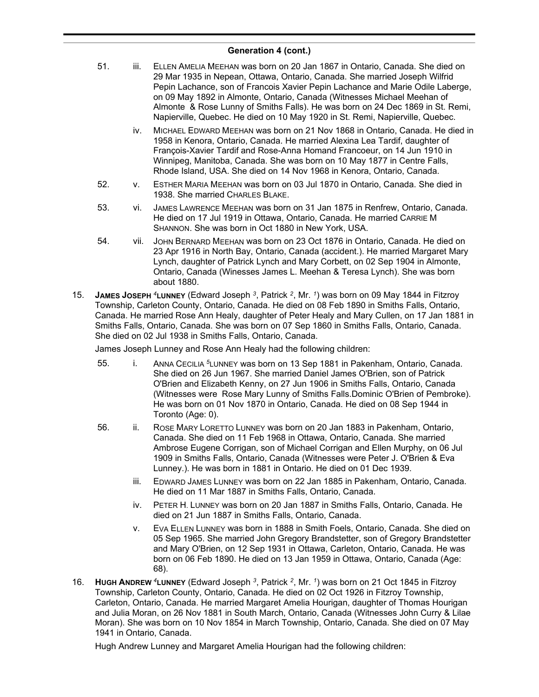- 51. iii. ELLEN AMELIA MEEHAN was born on 20 Jan 1867 in Ontario, Canada. She died on 29 Mar 1935 in Nepean, Ottawa, Ontario, Canada. She married Joseph Wilfrid Pepin Lachance, son of Francois Xavier Pepin Lachance and Marie Odile Laberge, on 09 May 1892 in Almonte, Ontario, Canada (Witnesses Michael Meehan of Almonte & Rose Lunny of Smiths Falls). He was born on 24 Dec 1869 in St. Remi, Napierville, Quebec. He died on 10 May 1920 in St. Remi, Napierville, Quebec.
	- iv. MICHAEL EDWARD MEEHAN was born on 21 Nov 1868 in Ontario, Canada. He died in 1958 in Kenora, Ontario, Canada. He married Alexina Lea Tardif, daughter of François-Xavier Tardif and Rose-Anna Homand Francoeur, on 14 Jun 1910 in Winnipeg, Manitoba, Canada. She was born on 10 May 1877 in Centre Falls, Rhode Island, USA. She died on 14 Nov 1968 in Kenora, Ontario, Canada.
- 52. v. ESTHER MARIA MEEHAN was born on 03 Jul 1870 in Ontario, Canada. She died in 1938. She married CHARLES BLAKE.
- 53. vi. JAMES LAWRENCE MEEHAN was born on 31 Jan 1875 in Renfrew, Ontario, Canada. He died on 17 Jul 1919 in Ottawa, Ontario, Canada. He married CARRIE M SHANNON. She was born in Oct 1880 in New York, USA.
- 54. vii. JOHN BERNARD MEEHAN was born on 23 Oct 1876 in Ontario, Canada. He died on 23 Apr 1916 in North Bay, Ontario, Canada (accident.). He married Margaret Mary Lynch, daughter of Patrick Lynch and Mary Corbett, on 02 Sep 1904 in Almonte, Ontario, Canada (Winesses James L. Meehan & Teresa Lynch). She was born about 1880.
- 15. **JAMES JOSEPH** *<sup>4</sup>***LUNNEY** (Edward Joseph *<sup>3</sup>* , Patrick *<sup>2</sup>* , Mr. *<sup>1</sup>* ) was born on 09 May 1844 in Fitzroy Township, Carleton County, Ontario, Canada. He died on 08 Feb 1890 in Smiths Falls, Ontario, Canada. He married Rose Ann Healy, daughter of Peter Healy and Mary Cullen, on 17 Jan 1881 in Smiths Falls, Ontario, Canada. She was born on 07 Sep 1860 in Smiths Falls, Ontario, Canada. She died on 02 Jul 1938 in Smiths Falls, Ontario, Canada.

James Joseph Lunney and Rose Ann Healy had the following children:

- 55. i. ANNA CECILIA *<sup>5</sup>*LUNNEY was born on 13 Sep 1881 in Pakenham, Ontario, Canada. She died on 26 Jun 1967. She married Daniel James O'Brien, son of Patrick O'Brien and Elizabeth Kenny, on 27 Jun 1906 in Smiths Falls, Ontario, Canada (Witnesses were Rose Mary Lunny of Smiths Falls.Dominic O'Brien of Pembroke). He was born on 01 Nov 1870 in Ontario, Canada. He died on 08 Sep 1944 in Toronto (Age: 0).
- 56. ii. ROSE MARY LORETTO LUNNEY was born on 20 Jan 1883 in Pakenham, Ontario, Canada. She died on 11 Feb 1968 in Ottawa, Ontario, Canada. She married Ambrose Eugene Corrigan, son of Michael Corrigan and Ellen Murphy, on 06 Jul 1909 in Smiths Falls, Ontario, Canada (Witnesses were Peter J. O'Brien & Eva Lunney.). He was born in 1881 in Ontario. He died on 01 Dec 1939.
	- iii. EDWARD JAMES LUNNEY was born on 22 Jan 1885 in Pakenham, Ontario, Canada. He died on 11 Mar 1887 in Smiths Falls, Ontario, Canada.
	- iv. PETER H. LUNNEY was born on 20 Jan 1887 in Smiths Falls, Ontario, Canada. He died on 21 Jun 1887 in Smiths Falls, Ontario, Canada.
	- v. EVA ELLEN LUNNEY was born in 1888 in Smith Foels, Ontario, Canada. She died on 05 Sep 1965. She married John Gregory Brandstetter, son of Gregory Brandstetter and Mary O'Brien, on 12 Sep 1931 in Ottawa, Carleton, Ontario, Canada. He was born on 06 Feb 1890. He died on 13 Jan 1959 in Ottawa, Ontario, Canada (Age: 68).
- 16. **HUGH ANDREW** *<sup>4</sup>***LUNNEY** (Edward Joseph *<sup>3</sup>* , Patrick *<sup>2</sup>* , Mr. *<sup>1</sup>* ) was born on 21 Oct 1845 in Fitzroy Township, Carleton County, Ontario, Canada. He died on 02 Oct 1926 in Fitzroy Township, Carleton, Ontario, Canada. He married Margaret Amelia Hourigan, daughter of Thomas Hourigan and Julia Moran, on 26 Nov 1881 in South March, Ontario, Canada (Witnesses John Curry & Lilae Moran). She was born on 10 Nov 1854 in March Township, Ontario, Canada. She died on 07 May 1941 in Ontario, Canada.

Hugh Andrew Lunney and Margaret Amelia Hourigan had the following children: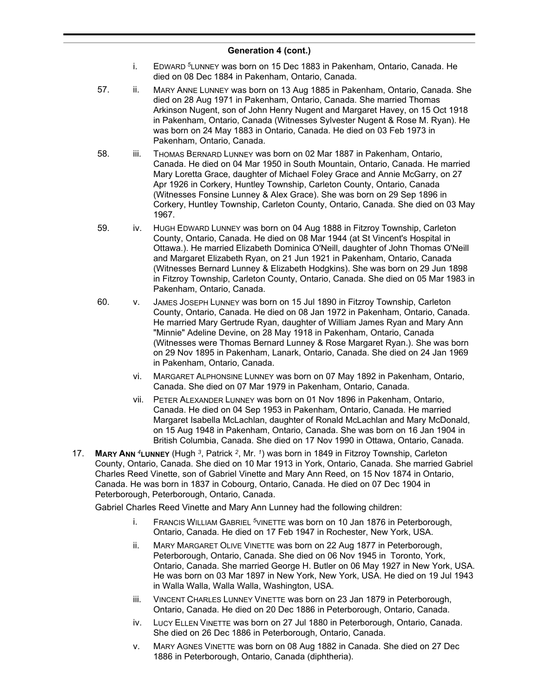- i. EDWARD *<sup>5</sup>*LUNNEY was born on 15 Dec 1883 in Pakenham, Ontario, Canada. He died on 08 Dec 1884 in Pakenham, Ontario, Canada.
- 57. ii. MARY ANNE LUNNEY was born on 13 Aug 1885 in Pakenham, Ontario, Canada. She died on 28 Aug 1971 in Pakenham, Ontario, Canada. She married Thomas Arkinson Nugent, son of John Henry Nugent and Margaret Havey, on 15 Oct 1918 in Pakenham, Ontario, Canada (Witnesses Sylvester Nugent & Rose M. Ryan). He was born on 24 May 1883 in Ontario, Canada. He died on 03 Feb 1973 in Pakenham, Ontario, Canada.
- 58. iii. THOMAS BERNARD LUNNEY was born on 02 Mar 1887 in Pakenham, Ontario, Canada. He died on 04 Mar 1950 in South Mountain, Ontario, Canada. He married Mary Loretta Grace, daughter of Michael Foley Grace and Annie McGarry, on 27 Apr 1926 in Corkery, Huntley Township, Carleton County, Ontario, Canada (Witnesses Fonsine Lunney & Alex Grace). She was born on 29 Sep 1896 in Corkery, Huntley Township, Carleton County, Ontario, Canada. She died on 03 May 1967.
- 59. iv. HUGH EDWARD LUNNEY was born on 04 Aug 1888 in Fitzroy Township, Carleton County, Ontario, Canada. He died on 08 Mar 1944 (at St Vincent's Hospital in Ottawa.). He married Elizabeth Dominica O'Neill, daughter of John Thomas O'Neill and Margaret Elizabeth Ryan, on 21 Jun 1921 in Pakenham, Ontario, Canada (Witnesses Bernard Lunney & Elizabeth Hodgkins). She was born on 29 Jun 1898 in Fitzroy Township, Carleton County, Ontario, Canada. She died on 05 Mar 1983 in Pakenham, Ontario, Canada.
- 60. v. JAMES JOSEPH LUNNEY was born on 15 Jul 1890 in Fitzroy Township, Carleton County, Ontario, Canada. He died on 08 Jan 1972 in Pakenham, Ontario, Canada. He married Mary Gertrude Ryan, daughter of William James Ryan and Mary Ann "Minnie" Adeline Devine, on 28 May 1918 in Pakenham, Ontario, Canada (Witnesses were Thomas Bernard Lunney & Rose Margaret Ryan.). She was born on 29 Nov 1895 in Pakenham, Lanark, Ontario, Canada. She died on 24 Jan 1969 in Pakenham, Ontario, Canada.
	- vi. MARGARET ALPHONSINE LUNNEY was born on 07 May 1892 in Pakenham, Ontario, Canada. She died on 07 Mar 1979 in Pakenham, Ontario, Canada.
	- vii. PETER ALEXANDER LUNNEY was born on 01 Nov 1896 in Pakenham, Ontario, Canada. He died on 04 Sep 1953 in Pakenham, Ontario, Canada. He married Margaret Isabella McLachlan, daughter of Ronald McLachlan and Mary McDonald, on 15 Aug 1948 in Pakenham, Ontario, Canada. She was born on 16 Jan 1904 in British Columbia, Canada. She died on 17 Nov 1990 in Ottawa, Ontario, Canada.
- 17. **MARY ANN** *<sup>4</sup>***LUNNEY** (Hugh *<sup>3</sup>* , Patrick *<sup>2</sup>* , Mr. *<sup>1</sup>* ) was born in 1849 in Fitzroy Township, Carleton County, Ontario, Canada. She died on 10 Mar 1913 in York, Ontario, Canada. She married Gabriel Charles Reed Vinette, son of Gabriel Vinette and Mary Ann Reed, on 15 Nov 1874 in Ontario, Canada. He was born in 1837 in Cobourg, Ontario, Canada. He died on 07 Dec 1904 in Peterborough, Peterborough, Ontario, Canada.

Gabriel Charles Reed Vinette and Mary Ann Lunney had the following children:

- i. FRANCIS WILLIAM GABRIEL *<sup>5</sup>*VINETTE was born on 10 Jan 1876 in Peterborough, Ontario, Canada. He died on 17 Feb 1947 in Rochester, New York, USA.
- ii. MARY MARGARET OLIVE VINETTE was born on 22 Aug 1877 in Peterborough, Peterborough, Ontario, Canada. She died on 06 Nov 1945 in Toronto, York, Ontario, Canada. She married George H. Butler on 06 May 1927 in New York, USA. He was born on 03 Mar 1897 in New York, New York, USA. He died on 19 Jul 1943 in Walla Walla, Walla Walla, Washington, USA.
- iii. VINCENT CHARLES LUNNEY VINETTE was born on 23 Jan 1879 in Peterborough, Ontario, Canada. He died on 20 Dec 1886 in Peterborough, Ontario, Canada.
- iv. LUCY ELLEN VINETTE was born on 27 Jul 1880 in Peterborough, Ontario, Canada. She died on 26 Dec 1886 in Peterborough, Ontario, Canada.
- v. MARY AGNES VINETTE was born on 08 Aug 1882 in Canada. She died on 27 Dec 1886 in Peterborough, Ontario, Canada (diphtheria).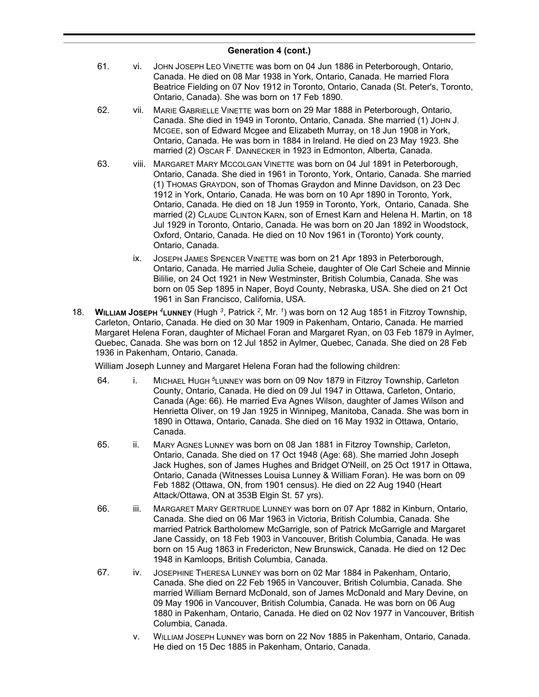- 61. vi. JOHN JOSEPH LEO VINETTE was born on 04 Jun 1886 in Peterborough, Ontario, Canada. He died on 08 Mar 1938 in York, Ontario, Canada. He married Flora Beatrice Fielding on 07 Nov 1912 in Toronto, Ontario, Canada (St. Peter's, Toronto, Ontario, Canada). She was born on 17 Feb 1890.
- 62. vii. MARIE GABRIELLE VINETTE was born on 29 Mar 1888 in Peterborough, Ontario, Canada. She died in 1949 in Toronto, Ontario, Canada. She married (1) JOHN J. MCGEE, son of Edward Mcgee and Elizabeth Murray, on 18 Jun 1908 in York, Ontario, Canada. He was born in 1884 in Ireland. He died on 23 May 1923. She married (2) OSCAR F. DANNECKER in 1923 in Edmonton, Alberta, Canada.
- 63. viii. MARGARET MARY MCCOLGAN VINETTE was born on 04 Jul 1891 in Peterborough, Ontario, Canada. She died in 1961 in Toronto, York, Ontario, Canada. She married (1) THOMAS GRAYDON, son of Thomas Graydon and Minne Davidson, on 23 Dec 1912 in York, Ontario, Canada. He was born on 10 Apr 1890 in Toronto, York, Ontario, Canada. He died on 18 Jun 1959 in Toronto, York, Ontario, Canada. She married (2) CLAUDE CLINTON KARN, son of Ernest Karn and Helena H. Martin, on 18 Jul 1929 in Toronto, Ontario, Canada. He was born on 20 Jan 1892 in Woodstock, Oxford, Ontario, Canada. He died on 10 Nov 1961 in (Toronto) York county, Ontario, Canada.
	- ix. JOSEPH JAMES SPENCER VINETTE was born on 21 Apr 1893 in Peterborough, Ontario, Canada. He married Julia Scheie, daughter of Ole Carl Scheie and Minnie Bililie, on 24 Oct 1921 in New Westminster, British Columbia, Canada. She was born on 05 Sep 1895 in Naper, Boyd County, Nebraska, USA. She died on 21 Oct 1961 in San Francisco, California, USA.
- 18. **WILLIAM JOSEPH** *<sup>4</sup>***LUNNEY** (Hugh *<sup>3</sup>* , Patrick *<sup>2</sup>* , Mr. *<sup>1</sup>* ) was born on 12 Aug 1851 in Fitzroy Township, Carleton, Ontario, Canada. He died on 30 Mar 1909 in Pakenham, Ontario, Canada. He married Margaret Helena Foran, daughter of Michael Foran and Margaret Ryan, on 03 Feb 1879 in Aylmer, Quebec, Canada. She was born on 12 Jul 1852 in Aylmer, Quebec, Canada. She died on 28 Feb 1936 in Pakenham, Ontario, Canada.

William Joseph Lunney and Margaret Helena Foran had the following children:

- 64. i. MICHAEL HUGH *<sup>5</sup>*LUNNEY was born on 09 Nov 1879 in Fitzroy Township, Carleton County, Ontario, Canada. He died on 09 Jul 1947 in Ottawa, Carleton, Ontario, Canada (Age: 66). He married Eva Agnes Wilson, daughter of James Wilson and Henrietta Oliver, on 19 Jan 1925 in Winnipeg, Manitoba, Canada. She was born in 1890 in Ottawa, Ontario, Canada. She died on 16 May 1932 in Ottawa, Ontario, Canada.
- 65. ii. MARY AGNES LUNNEY was born on 08 Jan 1881 in Fitzroy Township, Carleton, Ontario, Canada. She died on 17 Oct 1948 (Age: 68). She married John Joseph Jack Hughes, son of James Hughes and Bridget O'Neill, on 25 Oct 1917 in Ottawa, Ontario, Canada (Witnesses Louisa Lunney & William Foran). He was born on 09 Feb 1882 (Ottawa, ON, from 1901 census). He died on 22 Aug 1940 (Heart Attack/Ottawa, ON at 353B Elgin St. 57 yrs).
- 66. iii. MARGARET MARY GERTRUDE LUNNEY was born on 07 Apr 1882 in Kinburn, Ontario, Canada. She died on 06 Mar 1963 in Victoria, British Columbia, Canada. She married Patrick Bartholomew McGarrigle, son of Patrick McGarrigle and Margaret Jane Cassidy, on 18 Feb 1903 in Vancouver, British Columbia, Canada. He was born on 15 Aug 1863 in Fredericton, New Brunswick, Canada. He died on 12 Dec 1948 in Kamloops, British Columbia, Canada.
- 67. iv. JOSEPHINE THERESA LUNNEY was born on 02 Mar 1884 in Pakenham, Ontario, Canada. She died on 22 Feb 1965 in Vancouver, British Columbia, Canada. She married William Bernard McDonald, son of James McDonald and Mary Devine, on 09 May 1906 in Vancouver, British Columbia, Canada. He was born on 06 Aug 1880 in Pakenham, Ontario, Canada. He died on 02 Nov 1977 in Vancouver, British Columbia, Canada.
	- v. WILLIAM JOSEPH LUNNEY was born on 22 Nov 1885 in Pakenham, Ontario, Canada. He died on 15 Dec 1885 in Pakenham, Ontario, Canada.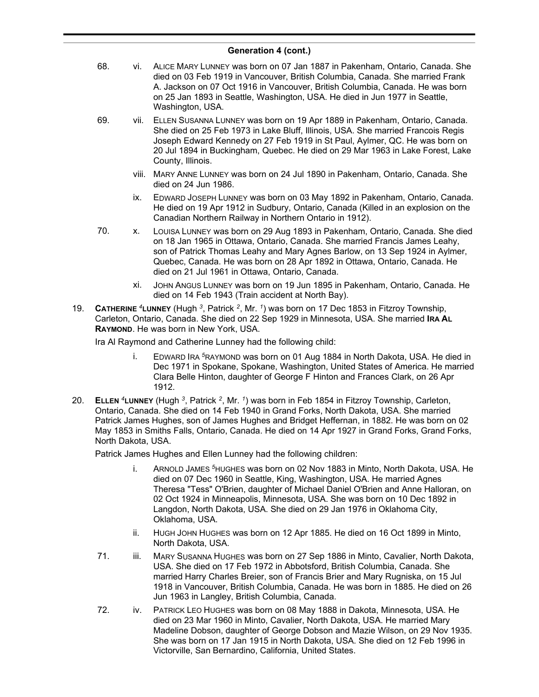- 68. vi. ALICE MARY LUNNEY was born on 07 Jan 1887 in Pakenham, Ontario, Canada. She died on 03 Feb 1919 in Vancouver, British Columbia, Canada. She married Frank A. Jackson on 07 Oct 1916 in Vancouver, British Columbia, Canada. He was born on 25 Jan 1893 in Seattle, Washington, USA. He died in Jun 1977 in Seattle, Washington, USA.
- 69. vii. ELLEN SUSANNA LUNNEY was born on 19 Apr 1889 in Pakenham, Ontario, Canada. She died on 25 Feb 1973 in Lake Bluff, Illinois, USA. She married Francois Regis Joseph Edward Kennedy on 27 Feb 1919 in St Paul, Aylmer, QC. He was born on 20 Jul 1894 in Buckingham, Quebec. He died on 29 Mar 1963 in Lake Forest, Lake County, Illinois.
	- viii. MARY ANNE LUNNEY was born on 24 Jul 1890 in Pakenham, Ontario, Canada. She died on 24 Jun 1986.
	- ix. EDWARD JOSEPH LUNNEY was born on 03 May 1892 in Pakenham, Ontario, Canada. He died on 19 Apr 1912 in Sudbury, Ontario, Canada (Killed in an explosion on the Canadian Northern Railway in Northern Ontario in 1912).
- 70. x. LOUISA LUNNEY was born on 29 Aug 1893 in Pakenham, Ontario, Canada. She died on 18 Jan 1965 in Ottawa, Ontario, Canada. She married Francis James Leahy, son of Patrick Thomas Leahy and Mary Agnes Barlow, on 13 Sep 1924 in Aylmer, Quebec, Canada. He was born on 28 Apr 1892 in Ottawa, Ontario, Canada. He died on 21 Jul 1961 in Ottawa, Ontario, Canada.
	- xi. JOHN ANGUS LUNNEY was born on 19 Jun 1895 in Pakenham, Ontario, Canada. He died on 14 Feb 1943 (Train accident at North Bay).
- 19. **CATHERINE** *<sup>4</sup>***LUNNEY** (Hugh *<sup>3</sup>* , Patrick *<sup>2</sup>* , Mr. *<sup>1</sup>* ) was born on 17 Dec 1853 in Fitzroy Township, Carleton, Ontario, Canada. She died on 22 Sep 1929 in Minnesota, USA. She married **IRA AL RAYMOND**. He was born in New York, USA.

Ira Al Raymond and Catherine Lunney had the following child:

- i. EDWARD IRA *<sup>5</sup>*RAYMOND was born on 01 Aug 1884 in North Dakota, USA. He died in Dec 1971 in Spokane, Spokane, Washington, United States of America. He married Clara Belle Hinton, daughter of George F Hinton and Frances Clark, on 26 Apr 1912.
- 20. **ELLEN** *<sup>4</sup>***LUNNEY** (Hugh *<sup>3</sup>* , Patrick *<sup>2</sup>* , Mr. *<sup>1</sup>* ) was born in Feb 1854 in Fitzroy Township, Carleton, Ontario, Canada. She died on 14 Feb 1940 in Grand Forks, North Dakota, USA. She married Patrick James Hughes, son of James Hughes and Bridget Heffernan, in 1882. He was born on 02 May 1853 in Smiths Falls, Ontario, Canada. He died on 14 Apr 1927 in Grand Forks, Grand Forks, North Dakota, USA.

Patrick James Hughes and Ellen Lunney had the following children:

- i. ARNOLD JAMES *<sup>5</sup>*HUGHES was born on 02 Nov 1883 in Minto, North Dakota, USA. He died on 07 Dec 1960 in Seattle, King, Washington, USA. He married Agnes Theresa "Tess" O'Brien, daughter of Michael Daniel O'Brien and Anne Halloran, on 02 Oct 1924 in Minneapolis, Minnesota, USA. She was born on 10 Dec 1892 in Langdon, North Dakota, USA. She died on 29 Jan 1976 in Oklahoma City, Oklahoma, USA.
- ii. HUGH JOHN HUGHES was born on 12 Apr 1885. He died on 16 Oct 1899 in Minto, North Dakota, USA.
- 71. iii. MARY SUSANNA HUGHES was born on 27 Sep 1886 in Minto, Cavalier, North Dakota, USA. She died on 17 Feb 1972 in Abbotsford, British Columbia, Canada. She married Harry Charles Breier, son of Francis Brier and Mary Rugniska, on 15 Jul 1918 in Vancouver, British Columbia, Canada. He was born in 1885. He died on 26 Jun 1963 in Langley, British Columbia, Canada.
- 72. iv. PATRICK LEO HUGHES was born on 08 May 1888 in Dakota, Minnesota, USA. He died on 23 Mar 1960 in Minto, Cavalier, North Dakota, USA. He married Mary Madeline Dobson, daughter of George Dobson and Mazie Wilson, on 29 Nov 1935. She was born on 17 Jan 1915 in North Dakota, USA. She died on 12 Feb 1996 in Victorville, San Bernardino, California, United States.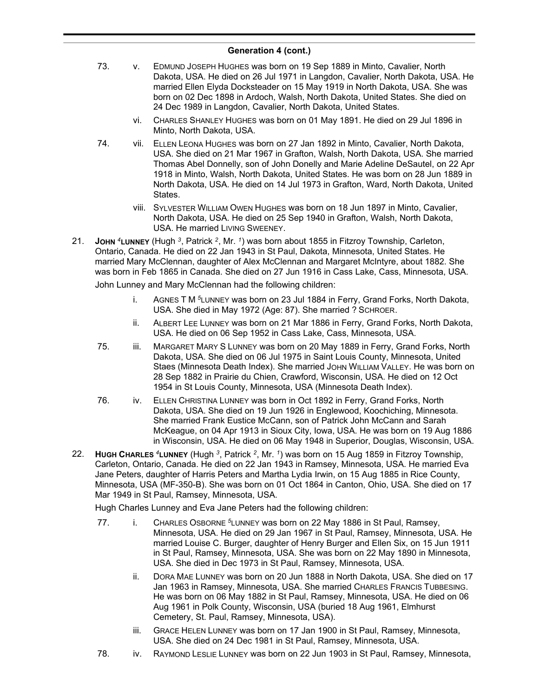- 73. v. EDMUND JOSEPH HUGHES was born on 19 Sep 1889 in Minto, Cavalier, North Dakota, USA. He died on 26 Jul 1971 in Langdon, Cavalier, North Dakota, USA. He married Ellen Elyda Docksteader on 15 May 1919 in North Dakota, USA. She was born on 02 Dec 1898 in Ardoch, Walsh, North Dakota, United States. She died on 24 Dec 1989 in Langdon, Cavalier, North Dakota, United States.
	- vi. CHARLES SHANLEY HUGHES was born on 01 May 1891. He died on 29 Jul 1896 in Minto, North Dakota, USA.
- 74. vii. ELLEN LEONA HUGHES was born on 27 Jan 1892 in Minto, Cavalier, North Dakota, USA. She died on 21 Mar 1967 in Grafton, Walsh, North Dakota, USA. She married Thomas Abel Donnelly, son of John Donelly and Marie Adeline DeSautel, on 22 Apr 1918 in Minto, Walsh, North Dakota, United States. He was born on 28 Jun 1889 in North Dakota, USA. He died on 14 Jul 1973 in Grafton, Ward, North Dakota, United States.
	- viii. SYLVESTER WILLIAM OWEN HUGHES was born on 18 Jun 1897 in Minto, Cavalier, North Dakota, USA. He died on 25 Sep 1940 in Grafton, Walsh, North Dakota, USA. He married LIVING SWEENEY.
- 21. **JOHN** *<sup>4</sup>***LUNNEY** (Hugh *<sup>3</sup>* , Patrick *<sup>2</sup>* , Mr. *<sup>1</sup>* ) was born about 1855 in Fitzroy Township, Carleton, Ontario, Canada. He died on 22 Jan 1943 in St Paul, Dakota, Minnesota, United States. He married Mary McClennan, daughter of Alex McClennan and Margaret McIntyre, about 1882. She was born in Feb 1865 in Canada. She died on 27 Jun 1916 in Cass Lake, Cass, Minnesota, USA.

John Lunney and Mary McClennan had the following children:

- i. AGNES T M *<sup>5</sup>*LUNNEY was born on 23 Jul 1884 in Ferry, Grand Forks, North Dakota, USA. She died in May 1972 (Age: 87). She married ? SCHROER.
- ii. ALBERT LEE LUNNEY was born on 21 Mar 1886 in Ferry, Grand Forks, North Dakota, USA. He died on 06 Sep 1952 in Cass Lake, Cass, Minnesota, USA.
- 75. iii. MARGARET MARY S LUNNEY was born on 20 May 1889 in Ferry, Grand Forks, North Dakota, USA. She died on 06 Jul 1975 in Saint Louis County, Minnesota, United Staes (Minnesota Death Index). She married JOHN WILLIAM VALLEY. He was born on 28 Sep 1882 in Prairie du Chien, Crawford, Wisconsin, USA. He died on 12 Oct 1954 in St Louis County, Minnesota, USA (Minnesota Death Index).
- 76. iv. ELLEN CHRISTINA LUNNEY was born in Oct 1892 in Ferry, Grand Forks, North Dakota, USA. She died on 19 Jun 1926 in Englewood, Koochiching, Minnesota. She married Frank Eustice McCann, son of Patrick John McCann and Sarah McKeague, on 04 Apr 1913 in Sioux City, Iowa, USA. He was born on 19 Aug 1886 in Wisconsin, USA. He died on 06 May 1948 in Superior, Douglas, Wisconsin, USA.
- 22. **HUGH CHARLES** *<sup>4</sup>***LUNNEY** (Hugh *<sup>3</sup>* , Patrick *<sup>2</sup>* , Mr. *<sup>1</sup>* ) was born on 15 Aug 1859 in Fitzroy Township, Carleton, Ontario, Canada. He died on 22 Jan 1943 in Ramsey, Minnesota, USA. He married Eva Jane Peters, daughter of Harris Peters and Martha Lydia Irwin, on 15 Aug 1885 in Rice County, Minnesota, USA (MF-350-B). She was born on 01 Oct 1864 in Canton, Ohio, USA. She died on 17 Mar 1949 in St Paul, Ramsey, Minnesota, USA.

Hugh Charles Lunney and Eva Jane Peters had the following children:

- 77. i. CHARLES OSBORNE *<sup>5</sup>*LUNNEY was born on 22 May 1886 in St Paul, Ramsey, Minnesota, USA. He died on 29 Jan 1967 in St Paul, Ramsey, Minnesota, USA. He married Louise C. Burger, daughter of Henry Burger and Ellen Six, on 15 Jun 1911 in St Paul, Ramsey, Minnesota, USA. She was born on 22 May 1890 in Minnesota, USA. She died in Dec 1973 in St Paul, Ramsey, Minnesota, USA.
	- ii. DORA MAE LUNNEY was born on 20 Jun 1888 in North Dakota, USA. She died on 17 Jan 1963 in Ramsey, Minnesota, USA. She married CHARLES FRANCIS TUBBESING. He was born on 06 May 1882 in St Paul, Ramsey, Minnesota, USA. He died on 06 Aug 1961 in Polk County, Wisconsin, USA (buried 18 Aug 1961, Elmhurst Cemetery, St. Paul, Ramsey, Minnesota, USA).
	- iii. GRACE HELEN LUNNEY was born on 17 Jan 1900 in St Paul, Ramsey, Minnesota, USA. She died on 24 Dec 1981 in St Paul, Ramsey, Minnesota, USA.
- 78. iv. RAYMOND LESLIE LUNNEY was born on 22 Jun 1903 in St Paul, Ramsey, Minnesota,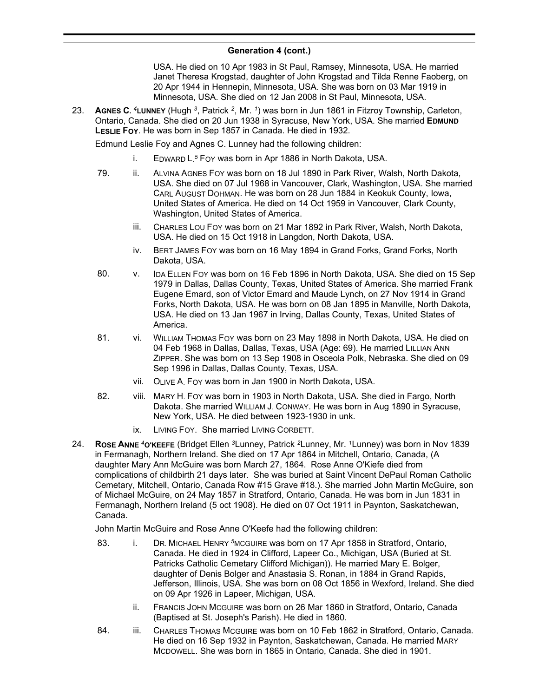USA. He died on 10 Apr 1983 in St Paul, Ramsey, Minnesota, USA. He married Janet Theresa Krogstad, daughter of John Krogstad and Tilda Renne Faoberg, on 20 Apr 1944 in Hennepin, Minnesota, USA. She was born on 03 Mar 1919 in Minnesota, USA. She died on 12 Jan 2008 in St Paul, Minnesota, USA.

23. **AGNES C.** *<sup>4</sup>***LUNNEY** (Hugh *<sup>3</sup>* , Patrick *<sup>2</sup>* , Mr. *<sup>1</sup>* ) was born in Jun 1861 in Fitzroy Township, Carleton, Ontario, Canada. She died on 20 Jun 1938 in Syracuse, New York, USA. She married **EDMUND LESLIE FOY**. He was born in Sep 1857 in Canada. He died in 1932.

Edmund Leslie Foy and Agnes C. Lunney had the following children:

- i. EDWARD L. *<sup>5</sup>* FOY was born in Apr 1886 in North Dakota, USA.
- 79. ii. ALVINA AGNES FOY was born on 18 Jul 1890 in Park River, Walsh, North Dakota, USA. She died on 07 Jul 1968 in Vancouver, Clark, Washington, USA. She married CARL AUGUST DOHMAN. He was born on 28 Jun 1884 in Keokuk County, Iowa, United States of America. He died on 14 Oct 1959 in Vancouver, Clark County, Washington, United States of America.
	- iii. CHARLES LOU FOY was born on 21 Mar 1892 in Park River, Walsh, North Dakota, USA. He died on 15 Oct 1918 in Langdon, North Dakota, USA.
	- iv. BERT JAMES FOY was born on 16 May 1894 in Grand Forks, Grand Forks, North Dakota, USA.
- 80. v. IDA ELLEN FOY was born on 16 Feb 1896 in North Dakota, USA. She died on 15 Sep 1979 in Dallas, Dallas County, Texas, United States of America. She married Frank Eugene Emard, son of Victor Emard and Maude Lynch, on 27 Nov 1914 in Grand Forks, North Dakota, USA. He was born on 08 Jan 1895 in Manville, North Dakota, USA. He died on 13 Jan 1967 in Irving, Dallas County, Texas, United States of America.
- 81. vi. WILLIAM THOMAS FOY was born on 23 May 1898 in North Dakota, USA. He died on 04 Feb 1968 in Dallas, Dallas, Texas, USA (Age: 69). He married LILLIAN ANN ZIPPER. She was born on 13 Sep 1908 in Osceola Polk, Nebraska. She died on 09 Sep 1996 in Dallas, Dallas County, Texas, USA.
	- vii. OLIVE A. FOY was born in Jan 1900 in North Dakota, USA.
- 82. viii. MARY H. FOY was born in 1903 in North Dakota, USA. She died in Fargo, North Dakota. She married WILLIAM J. CONWAY. He was born in Aug 1890 in Syracuse, New York, USA. He died between 1923-1930 in unk.
	- ix. LIVING FOY. She married LIVING CORBETT.
- 24. **ROSE ANNE** *<sup>4</sup>***O'KEEFE** (Bridget Ellen *<sup>3</sup>*Lunney, Patrick *<sup>2</sup>*Lunney, Mr. *<sup>1</sup>*Lunney) was born in Nov 1839 in Fermanagh, Northern Ireland. She died on 17 Apr 1864 in Mitchell, Ontario, Canada, (A daughter Mary Ann McGuire was born March 27, 1864. Rose Anne O'Kiefe died from complications of childbirth 21 days later. She was buried at Saint Vincent DePaul Roman Catholic Cemetary, Mitchell, Ontario, Canada Row #15 Grave #18.). She married John Martin McGuire, son of Michael McGuire, on 24 May 1857 in Stratford, Ontario, Canada. He was born in Jun 1831 in Fermanagh, Northern Ireland (5 oct 1908). He died on 07 Oct 1911 in Paynton, Saskatchewan, Canada.

John Martin McGuire and Rose Anne O'Keefe had the following children:

- 83. i. DR. MICHAEL HENRY *<sup>5</sup>*MCGUIRE was born on 17 Apr 1858 in Stratford, Ontario, Canada. He died in 1924 in Clifford, Lapeer Co., Michigan, USA (Buried at St. Patricks Catholic Cemetary Clifford Michigan)). He married Mary E. Bolger, daughter of Denis Bolger and Anastasia S. Ronan, in 1884 in Grand Rapids, Jefferson, Illinois, USA. She was born on 08 Oct 1856 in Wexford, Ireland. She died on 09 Apr 1926 in Lapeer, Michigan, USA.
	- ii. FRANCIS JOHN MCGUIRE was born on 26 Mar 1860 in Stratford, Ontario, Canada (Baptised at St. Joseph's Parish). He died in 1860.
- 84. iii. CHARLES THOMAS MCGUIRE was born on 10 Feb 1862 in Stratford, Ontario, Canada. He died on 16 Sep 1932 in Paynton, Saskatchewan, Canada. He married MARY MCDOWELL. She was born in 1865 in Ontario, Canada. She died in 1901.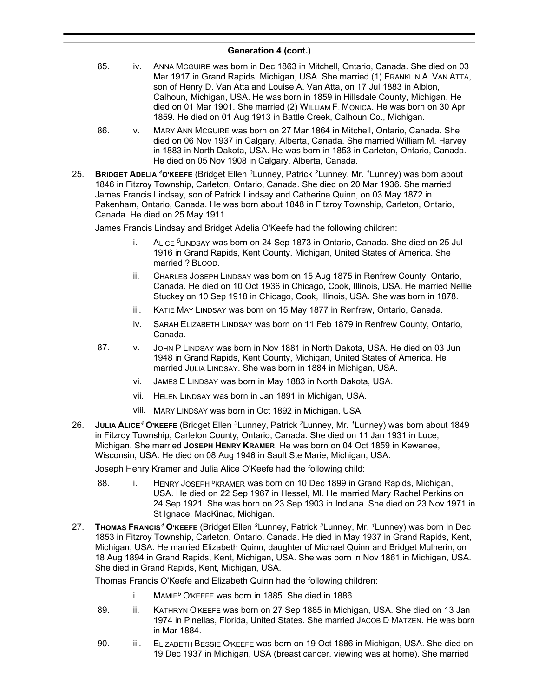- 85. iv. ANNA MCGUIRE was born in Dec 1863 in Mitchell, Ontario, Canada. She died on 03 Mar 1917 in Grand Rapids, Michigan, USA. She married (1) FRANKLIN A. VAN ATTA, son of Henry D. Van Atta and Louise A. Van Atta, on 17 Jul 1883 in Albion, Calhoun, Michigan, USA. He was born in 1859 in Hillsdale County, Michigan. He died on 01 Mar 1901. She married (2) WILLIAM F. MONICA. He was born on 30 Apr 1859. He died on 01 Aug 1913 in Battle Creek, Calhoun Co., Michigan.
- 86. v. MARY ANN MCGUIRE was born on 27 Mar 1864 in Mitchell, Ontario, Canada. She died on 06 Nov 1937 in Calgary, Alberta, Canada. She married William M. Harvey in 1883 in North Dakota, USA. He was born in 1853 in Carleton, Ontario, Canada. He died on 05 Nov 1908 in Calgary, Alberta, Canada.
- 25. **BRIDGET ADELIA** *<sup>4</sup>***O'KEEFE** (Bridget Ellen *<sup>3</sup>*Lunney, Patrick *<sup>2</sup>*Lunney, Mr. *<sup>1</sup>*Lunney) was born about 1846 in Fitzroy Township, Carleton, Ontario, Canada. She died on 20 Mar 1936. She married James Francis Lindsay, son of Patrick Lindsay and Catherine Quinn, on 03 May 1872 in Pakenham, Ontario, Canada. He was born about 1848 in Fitzroy Township, Carleton, Ontario, Canada. He died on 25 May 1911.

James Francis Lindsay and Bridget Adelia O'Keefe had the following children:

- i. ALICE *<sup>5</sup>*LINDSAY was born on 24 Sep 1873 in Ontario, Canada. She died on 25 Jul 1916 in Grand Rapids, Kent County, Michigan, United States of America. She married ? BLOOD.
- ii. CHARLES JOSEPH LINDSAY was born on 15 Aug 1875 in Renfrew County, Ontario, Canada. He died on 10 Oct 1936 in Chicago, Cook, Illinois, USA. He married Nellie Stuckey on 10 Sep 1918 in Chicago, Cook, Illinois, USA. She was born in 1878.
- iii. KATIE MAY LINDSAY was born on 15 May 1877 in Renfrew, Ontario, Canada.
- iv. SARAH ELIZABETH LINDSAY was born on 11 Feb 1879 in Renfrew County, Ontario, Canada.
- 87. v. JOHN P LINDSAY was born in Nov 1881 in North Dakota, USA. He died on 03 Jun 1948 in Grand Rapids, Kent County, Michigan, United States of America. He married JULIA LINDSAY. She was born in 1884 in Michigan, USA.
	- vi. JAMES E LINDSAY was born in May 1883 in North Dakota, USA.
	- vii. HELEN LINDSAY was born in Jan 1891 in Michigan, USA.
	- viii. MARY LINDSAY was born in Oct 1892 in Michigan, USA.
- 26. **JULIA ALICE***<sup>4</sup>* **O'KEEFE** (Bridget Ellen *<sup>3</sup>*Lunney, Patrick *<sup>2</sup>*Lunney, Mr. *<sup>1</sup>*Lunney) was born about 1849 in Fitzroy Township, Carleton County, Ontario, Canada. She died on 11 Jan 1931 in Luce, Michigan. She married **JOSEPH HENRY KRAMER**. He was born on 04 Oct 1859 in Kewanee, Wisconsin, USA. He died on 08 Aug 1946 in Sault Ste Marie, Michigan, USA.

Joseph Henry Kramer and Julia Alice O'Keefe had the following child:

- 88. i. HENRY JOSEPH<sup>5</sup>KRAMER was born on 10 Dec 1899 in Grand Rapids, Michigan, USA. He died on 22 Sep 1967 in Hessel, MI. He married Mary Rachel Perkins on 24 Sep 1921. She was born on 23 Sep 1903 in Indiana. She died on 23 Nov 1971 in St Ignace, MacKinac, Michigan.
- 27. **THOMAS FRANCIS***<sup>4</sup>* **O'KEEFE** (Bridget Ellen *<sup>3</sup>*Lunney, Patrick *<sup>2</sup>*Lunney, Mr. *<sup>1</sup>*Lunney) was born in Dec 1853 in Fitzroy Township, Carleton, Ontario, Canada. He died in May 1937 in Grand Rapids, Kent, Michigan, USA. He married Elizabeth Quinn, daughter of Michael Quinn and Bridget Mulherin, on 18 Aug 1894 in Grand Rapids, Kent, Michigan, USA. She was born in Nov 1861 in Michigan, USA. She died in Grand Rapids, Kent, Michigan, USA.

Thomas Francis O'Keefe and Elizabeth Quinn had the following children:

- i. MAMIE*<sup>5</sup>* O'KEEFE was born in 1885. She died in 1886.
- 89. ii. KATHRYN O'KEEFE was born on 27 Sep 1885 in Michigan, USA. She died on 13 Jan 1974 in Pinellas, Florida, United States. She married JACOB D MATZEN. He was born in Mar 1884.
- 90. iii. ELIZABETH BESSIE O'KEEFE was born on 19 Oct 1886 in Michigan, USA. She died on 19 Dec 1937 in Michigan, USA (breast cancer. viewing was at home). She married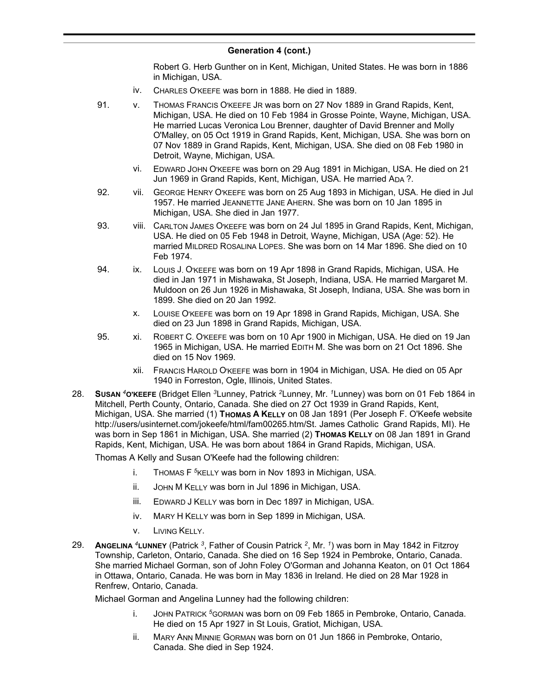Robert G. Herb Gunther on in Kent, Michigan, United States. He was born in 1886 in Michigan, USA.

- iv. CHARLES O'KEEFE was born in 1888. He died in 1889.
- 91. v. THOMAS FRANCIS O'KEEFE JR was born on 27 Nov 1889 in Grand Rapids, Kent, Michigan, USA. He died on 10 Feb 1984 in Grosse Pointe, Wayne, Michigan, USA. He married Lucas Veronica Lou Brenner, daughter of David Brenner and Molly O'Malley, on 05 Oct 1919 in Grand Rapids, Kent, Michigan, USA. She was born on 07 Nov 1889 in Grand Rapids, Kent, Michigan, USA. She died on 08 Feb 1980 in Detroit, Wayne, Michigan, USA.
	- vi. EDWARD JOHN O'KEEFE was born on 29 Aug 1891 in Michigan, USA. He died on 21 Jun 1969 in Grand Rapids, Kent, Michigan, USA. He married ADA ?.
- 92. vii. GEORGE HENRY O'KEEFE was born on 25 Aug 1893 in Michigan, USA. He died in Jul 1957. He married JEANNETTE JANE AHERN. She was born on 10 Jan 1895 in Michigan, USA. She died in Jan 1977.
- 93. viii. CARLTON JAMES O'KEEFE was born on 24 Jul 1895 in Grand Rapids, Kent, Michigan, USA. He died on 05 Feb 1948 in Detroit, Wayne, Michigan, USA (Age: 52). He married MILDRED ROSALINA LOPES. She was born on 14 Mar 1896. She died on 10 Feb 1974.
- 94. ix. LOUIS J. O'KEEFE was born on 19 Apr 1898 in Grand Rapids, Michigan, USA. He died in Jan 1971 in Mishawaka, St Joseph, Indiana, USA. He married Margaret M. Muldoon on 26 Jun 1926 in Mishawaka, St Joseph, Indiana, USA. She was born in 1899. She died on 20 Jan 1992.
	- x. LOUISE O'KEEFE was born on 19 Apr 1898 in Grand Rapids, Michigan, USA. She died on 23 Jun 1898 in Grand Rapids, Michigan, USA.
- 95. xi. ROBERT C. O'KEEFE was born on 10 Apr 1900 in Michigan, USA. He died on 19 Jan 1965 in Michigan, USA. He married EDITH M. She was born on 21 Oct 1896. She died on 15 Nov 1969.
	- xii. FRANCIS HAROLD O'KEEFE was born in 1904 in Michigan, USA. He died on 05 Apr 1940 in Forreston, Ogle, Illinois, United States.
- 28. **SUSAN** *<sup>4</sup>***O'KEEFE** (Bridget Ellen *<sup>3</sup>*Lunney, Patrick *<sup>2</sup>*Lunney, Mr. *<sup>1</sup>*Lunney) was born on 01 Feb 1864 in Mitchell, Perth County, Ontario, Canada. She died on 27 Oct 1939 in Grand Rapids, Kent, Michigan, USA. She married (1) **THOMAS A KELLY** on 08 Jan 1891 (Per Joseph F. O'Keefe website http://users/usinternet.com/jokeefe/html/fam00265.htm/St. James Catholic Grand Rapids, MI). He was born in Sep 1861 in Michigan, USA. She married (2) **THOMAS KELLY** on 08 Jan 1891 in Grand Rapids, Kent, Michigan, USA. He was born about 1864 in Grand Rapids, Michigan, USA.

Thomas A Kelly and Susan O'Keefe had the following children:

- i. THOMAS F *<sup>5</sup>*KELLY was born in Nov 1893 in Michigan, USA.
- ii. JOHN M KELLY was born in Jul 1896 in Michigan, USA.
- iii. EDWARD J KELLY was born in Dec 1897 in Michigan, USA.
- iv. MARY H KELLY was born in Sep 1899 in Michigan, USA.
- v. LIVING KELLY.
- 29. **ANGELINA** *<sup>4</sup>***LUNNEY** (Patrick *<sup>3</sup>* , Father of Cousin Patrick *<sup>2</sup>* , Mr. *<sup>1</sup>* ) was born in May 1842 in Fitzroy Township, Carleton, Ontario, Canada. She died on 16 Sep 1924 in Pembroke, Ontario, Canada. She married Michael Gorman, son of John Foley O'Gorman and Johanna Keaton, on 01 Oct 1864 in Ottawa, Ontario, Canada. He was born in May 1836 in Ireland. He died on 28 Mar 1928 in Renfrew, Ontario, Canada.

Michael Gorman and Angelina Lunney had the following children:

- i. JOHN PATRICK *<sup>5</sup>*GORMAN was born on 09 Feb 1865 in Pembroke, Ontario, Canada. He died on 15 Apr 1927 in St Louis, Gratiot, Michigan, USA.
- ii. MARY ANN MINNIE GORMAN was born on 01 Jun 1866 in Pembroke, Ontario, Canada. She died in Sep 1924.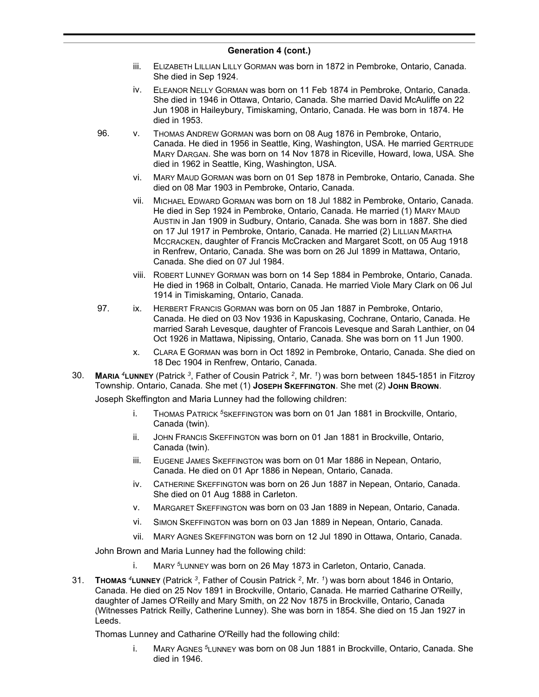- iii. ELIZABETH LILLIAN LILLY GORMAN was born in 1872 in Pembroke, Ontario, Canada. She died in Sep 1924.
- iv. ELEANOR NELLY GORMAN was born on 11 Feb 1874 in Pembroke, Ontario, Canada. She died in 1946 in Ottawa, Ontario, Canada. She married David McAuliffe on 22 Jun 1908 in Haileybury, Timiskaming, Ontario, Canada. He was born in 1874. He died in 1953.
- 96. v. THOMAS ANDREW GORMAN was born on 08 Aug 1876 in Pembroke, Ontario, Canada. He died in 1956 in Seattle, King, Washington, USA. He married GERTRUDE MARY DARGAN. She was born on 14 Nov 1878 in Riceville, Howard, Iowa, USA. She died in 1962 in Seattle, King, Washington, USA.
	- vi. MARY MAUD GORMAN was born on 01 Sep 1878 in Pembroke, Ontario, Canada. She died on 08 Mar 1903 in Pembroke, Ontario, Canada.
	- vii. MICHAEL EDWARD GORMAN was born on 18 Jul 1882 in Pembroke, Ontario, Canada. He died in Sep 1924 in Pembroke, Ontario, Canada. He married (1) MARY MAUD AUSTIN in Jan 1909 in Sudbury, Ontario, Canada. She was born in 1887. She died on 17 Jul 1917 in Pembroke, Ontario, Canada. He married (2) LILLIAN MARTHA MCCRACKEN, daughter of Francis McCracken and Margaret Scott, on 05 Aug 1918 in Renfrew, Ontario, Canada. She was born on 26 Jul 1899 in Mattawa, Ontario, Canada. She died on 07 Jul 1984.
	- viii. ROBERT LUNNEY GORMAN was born on 14 Sep 1884 in Pembroke, Ontario, Canada. He died in 1968 in Colbalt, Ontario, Canada. He married Viole Mary Clark on 06 Jul 1914 in Timiskaming, Ontario, Canada.
- 97. ix. HERBERT FRANCIS GORMAN was born on 05 Jan 1887 in Pembroke, Ontario, Canada. He died on 03 Nov 1936 in Kapuskasing, Cochrane, Ontario, Canada. He married Sarah Levesque, daughter of Francois Levesque and Sarah Lanthier, on 04 Oct 1926 in Mattawa, Nipissing, Ontario, Canada. She was born on 11 Jun 1900.
	- x. CLARA E GORMAN was born in Oct 1892 in Pembroke, Ontario, Canada. She died on 18 Dec 1904 in Renfrew, Ontario, Canada.
- 30. **MARIA** *<sup>4</sup>***LUNNEY** (Patrick *<sup>3</sup>* , Father of Cousin Patrick *<sup>2</sup>* , Mr. *<sup>1</sup>* ) was born between 1845-1851 in Fitzroy Township. Ontario, Canada. She met (1) **JOSEPH SKEFFINGTON**. She met (2) **JOHN BROWN**.

Joseph Skeffington and Maria Lunney had the following children:

- i. THOMAS PATRICK *<sup>5</sup>*SKEFFINGTON was born on 01 Jan 1881 in Brockville, Ontario, Canada (twin).
- ii. JOHN FRANCIS SKEFFINGTON was born on 01 Jan 1881 in Brockville, Ontario, Canada (twin).
- iii. EUGENE JAMES SKEFFINGTON was born on 01 Mar 1886 in Nepean, Ontario, Canada. He died on 01 Apr 1886 in Nepean, Ontario, Canada.
- iv. CATHERINE SKEFFINGTON was born on 26 Jun 1887 in Nepean, Ontario, Canada. She died on 01 Aug 1888 in Carleton.
- v. MARGARET SKEFFINGTON was born on 03 Jan 1889 in Nepean, Ontario, Canada.
- vi. SIMON SKEFFINGTON was born on 03 Jan 1889 in Nepean, Ontario, Canada.
- vii. MARY AGNES SKEFFINGTON was born on 12 Jul 1890 in Ottawa, Ontario, Canada.

John Brown and Maria Lunney had the following child:

- i. MARY *<sup>5</sup>*LUNNEY was born on 26 May 1873 in Carleton, Ontario, Canada.
- 31. **THOMAS** *<sup>4</sup>***LUNNEY** (Patrick *<sup>3</sup>* , Father of Cousin Patrick *<sup>2</sup>* , Mr. *<sup>1</sup>* ) was born about 1846 in Ontario, Canada. He died on 25 Nov 1891 in Brockville, Ontario, Canada. He married Catharine O'Reilly, daughter of James O'Reilly and Mary Smith, on 22 Nov 1875 in Brockville, Ontario, Canada (Witnesses Patrick Reilly, Catherine Lunney). She was born in 1854. She died on 15 Jan 1927 in Leeds.

Thomas Lunney and Catharine O'Reilly had the following child:

i. MARY AGNES *<sup>5</sup>*LUNNEY was born on 08 Jun 1881 in Brockville, Ontario, Canada. She died in 1946.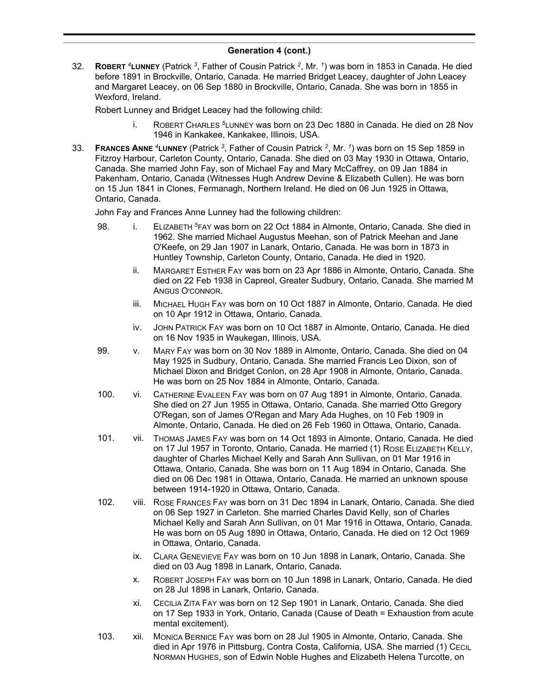32. **ROBERT** *<sup>4</sup>***LUNNEY** (Patrick *<sup>3</sup>* , Father of Cousin Patrick *<sup>2</sup>* , Mr. *<sup>1</sup>* ) was born in 1853 in Canada. He died before 1891 in Brockville, Ontario, Canada. He married Bridget Leacey, daughter of John Leacey and Margaret Leacey, on 06 Sep 1880 in Brockville, Ontario, Canada. She was born in 1855 in Wexford, Ireland.

Robert Lunney and Bridget Leacey had the following child:

- i. ROBERT CHARLES *<sup>5</sup>*LUNNEY was born on 23 Dec 1880 in Canada. He died on 28 Nov 1946 in Kankakee, Kankakee, Illinois, USA.
- 33. **FRANCES ANNE** *<sup>4</sup>***LUNNEY** (Patrick *<sup>3</sup>* , Father of Cousin Patrick *<sup>2</sup>* , Mr. *<sup>1</sup>* ) was born on 15 Sep 1859 in Fitzroy Harbour, Carleton County, Ontario, Canada. She died on 03 May 1930 in Ottawa, Ontario, Canada. She married John Fay, son of Michael Fay and Mary McCaffrey, on 09 Jan 1884 in Pakenham, Ontario, Canada (Witnesses Hugh Andrew Devine & Elizabeth Cullen). He was born on 15 Jun 1841 in Clones, Fermanagh, Northern Ireland. He died on 06 Jun 1925 in Ottawa, Ontario, Canada.

John Fay and Frances Anne Lunney had the following children:

- 98. i. ELIZABETH *<sup>5</sup>*FAY was born on 22 Oct 1884 in Almonte, Ontario, Canada. She died in 1962. She married Michael Augustus Meehan, son of Patrick Meehan and Jane O'Keefe, on 29 Jan 1907 in Lanark, Ontario, Canada. He was born in 1873 in Huntley Township, Carleton County, Ontario, Canada. He died in 1920.
	- ii. MARGARET ESTHER FAY was born on 23 Apr 1886 in Almonte, Ontario, Canada. She died on 22 Feb 1938 in Capreol, Greater Sudbury, Ontario, Canada. She married M ANGUS O'CONNOR.
	- iii. MICHAEL HUGH FAY was born on 10 Oct 1887 in Almonte, Ontario, Canada. He died on 10 Apr 1912 in Ottawa, Ontario, Canada.
	- iv. JOHN PATRICK FAY was born on 10 Oct 1887 in Almonte, Ontario, Canada. He died on 16 Nov 1935 in Waukegan, Illinois, USA.
- 99. v. MARY FAY was born on 30 Nov 1889 in Almonte, Ontario, Canada. She died on 04 May 1925 in Sudbury, Ontario, Canada. She married Francis Leo Dixon, son of Michael Dixon and Bridget Conlon, on 28 Apr 1908 in Almonte, Ontario, Canada. He was born on 25 Nov 1884 in Almonte, Ontario, Canada.
- 100. vi. CATHERINE EVALEEN FAY was born on 07 Aug 1891 in Almonte, Ontario, Canada. She died on 27 Jun 1955 in Ottawa, Ontario, Canada. She married Otto Gregory O'Regan, son of James O'Regan and Mary Ada Hughes, on 10 Feb 1909 in Almonte, Ontario, Canada. He died on 26 Feb 1960 in Ottawa, Ontario, Canada.
- 101. vii. THOMAS JAMES FAY was born on 14 Oct 1893 in Almonte, Ontario, Canada. He died on 17 Jul 1957 in Toronto, Ontario, Canada. He married (1) ROSE ELIZABETH KELLY, daughter of Charles Michael Kelly and Sarah Ann Sullivan, on 01 Mar 1916 in Ottawa, Ontario, Canada. She was born on 11 Aug 1894 in Ontario, Canada. She died on 06 Dec 1981 in Ottawa, Ontario, Canada. He married an unknown spouse between 1914-1920 in Ottawa, Ontario, Canada.
- 102. viii. ROSE FRANCES FAY was born on 31 Dec 1894 in Lanark, Ontario, Canada. She died on 06 Sep 1927 in Carleton. She married Charles David Kelly, son of Charles Michael Kelly and Sarah Ann Sullivan, on 01 Mar 1916 in Ottawa, Ontario, Canada. He was born on 05 Aug 1890 in Ottawa, Ontario, Canada. He died on 12 Oct 1969 in Ottawa, Ontario, Canada.
	- ix. CLARA GENEVIEVE FAY was born on 10 Jun 1898 in Lanark, Ontario, Canada. She died on 03 Aug 1898 in Lanark, Ontario, Canada.
	- x. ROBERT JOSEPH FAY was born on 10 Jun 1898 in Lanark, Ontario, Canada. He died on 28 Jul 1898 in Lanark, Ontario, Canada.
	- xi. CECILIA ZITA FAY was born on 12 Sep 1901 in Lanark, Ontario, Canada. She died on 17 Sep 1933 in York, Ontario, Canada (Cause of Death = Exhaustion from acute mental excitement).
- 103. xii. MONICA BERNICE FAY was born on 28 Jul 1905 in Almonte, Ontario, Canada. She died in Apr 1976 in Pittsburg, Contra Costa, California, USA. She married (1) CECIL NORMAN HUGHES, son of Edwin Noble Hughes and Elizabeth Helena Turcotte, on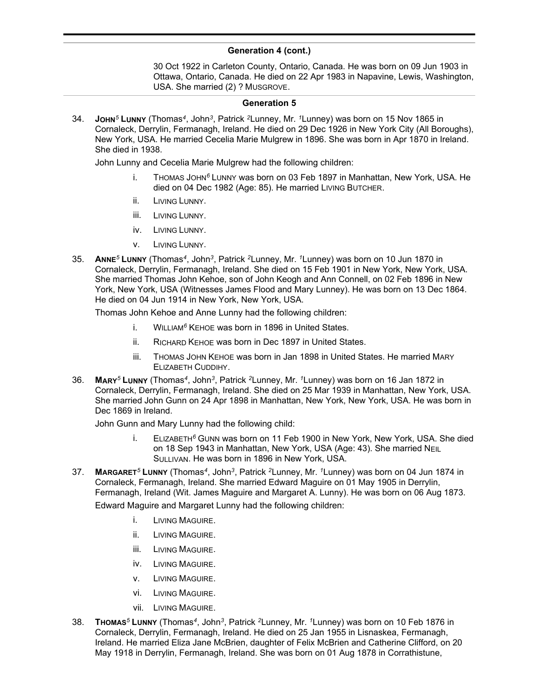30 Oct 1922 in Carleton County, Ontario, Canada. He was born on 09 Jun 1903 in Ottawa, Ontario, Canada. He died on 22 Apr 1983 in Napavine, Lewis, Washington, USA. She married (2) ? MUSGROVE.

#### **Generation 5**

34. **JOHN***<sup>5</sup>* **LUNNY** (Thomas*<sup>4</sup>* , John*<sup>3</sup>* , Patrick *<sup>2</sup>*Lunney, Mr. *<sup>1</sup>*Lunney) was born on 15 Nov 1865 in Cornaleck, Derrylin, Fermanagh, Ireland. He died on 29 Dec 1926 in New York City (All Boroughs), New York, USA. He married Cecelia Marie Mulgrew in 1896. She was born in Apr 1870 in Ireland. She died in 1938.

John Lunny and Cecelia Marie Mulgrew had the following children:

- i. THOMAS JOHN*<sup>6</sup>* LUNNY was born on 03 Feb 1897 in Manhattan, New York, USA. He died on 04 Dec 1982 (Age: 85). He married LIVING BUTCHER.
- ii. LIVING LUNNY.
- iii. LIVING LUNNY.
- iv. LIVING LUNNY.
- v. LIVING LUNNY.
- 35. **ANNE***<sup>5</sup>* **LUNNY** (Thomas*<sup>4</sup>* , John*<sup>3</sup>* , Patrick *<sup>2</sup>*Lunney, Mr. *<sup>1</sup>*Lunney) was born on 10 Jun 1870 in Cornaleck, Derrylin, Fermanagh, Ireland. She died on 15 Feb 1901 in New York, New York, USA. She married Thomas John Kehoe, son of John Keogh and Ann Connell, on 02 Feb 1896 in New York, New York, USA (Witnesses James Flood and Mary Lunney). He was born on 13 Dec 1864. He died on 04 Jun 1914 in New York, New York, USA.

Thomas John Kehoe and Anne Lunny had the following children:

- i. WILLIAM*<sup>6</sup>* KEHOE was born in 1896 in United States.
- ii. RICHARD KEHOE was born in Dec 1897 in United States.
- iii. THOMAS JOHN KEHOE was born in Jan 1898 in United States. He married MARY ELIZABETH CUDDIHY.
- 36. **MARY***<sup>5</sup>* **LUNNY** (Thomas*<sup>4</sup>* , John*<sup>3</sup>* , Patrick *<sup>2</sup>*Lunney, Mr. *<sup>1</sup>*Lunney) was born on 16 Jan 1872 in Cornaleck, Derrylin, Fermanagh, Ireland. She died on 25 Mar 1939 in Manhattan, New York, USA. She married John Gunn on 24 Apr 1898 in Manhattan, New York, New York, USA. He was born in Dec 1869 in Ireland.

John Gunn and Mary Lunny had the following child:

- i. ELIZABETH*<sup>6</sup>* GUNN was born on 11 Feb 1900 in New York, New York, USA. She died on 18 Sep 1943 in Manhattan, New York, USA (Age: 43). She married NEIL SULLIVAN. He was born in 1896 in New York, USA.
- 37. **MARGARET***<sup>5</sup>* **LUNNY** (Thomas*<sup>4</sup>* , John*<sup>3</sup>* , Patrick *<sup>2</sup>*Lunney, Mr. *<sup>1</sup>*Lunney) was born on 04 Jun 1874 in Cornaleck, Fermanagh, Ireland. She married Edward Maguire on 01 May 1905 in Derrylin, Fermanagh, Ireland (Wit. James Maguire and Margaret A. Lunny). He was born on 06 Aug 1873. Edward Maguire and Margaret Lunny had the following children:
	- i. LIVING MAGUIRE.
	- ii. LIVING MAGUIRE.
	- iii. LIVING MAGUIRE.
	- iv. LIVING MAGUIRE.
	- v. LIVING MAGUIRE.
	- vi. LIVING MAGUIRE.
	- vii. LIVING MAGUIRE.
- 38. **THOMAS***<sup>5</sup>* **LUNNY** (Thomas*<sup>4</sup>* , John*<sup>3</sup>* , Patrick *<sup>2</sup>*Lunney, Mr. *<sup>1</sup>*Lunney) was born on 10 Feb 1876 in Cornaleck, Derrylin, Fermanagh, Ireland. He died on 25 Jan 1955 in Lisnaskea, Fermanagh, Ireland. He married Eliza Jane McBrien, daughter of Felix McBrien and Catherine Clifford, on 20 May 1918 in Derrylin, Fermanagh, Ireland. She was born on 01 Aug 1878 in Corrathistune,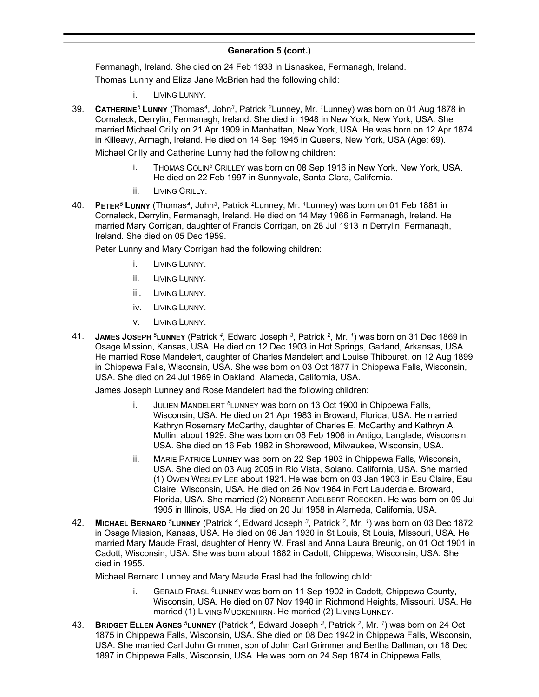Fermanagh, Ireland. She died on 24 Feb 1933 in Lisnaskea, Fermanagh, Ireland. Thomas Lunny and Eliza Jane McBrien had the following child:

- i. LIVING LUNNY.
- 39. **CATHERINE***<sup>5</sup>* **LUNNY** (Thomas*<sup>4</sup>* , John*<sup>3</sup>* , Patrick *<sup>2</sup>*Lunney, Mr. *<sup>1</sup>*Lunney) was born on 01 Aug 1878 in Cornaleck, Derrylin, Fermanagh, Ireland. She died in 1948 in New York, New York, USA. She married Michael Crilly on 21 Apr 1909 in Manhattan, New York, USA. He was born on 12 Apr 1874 in Killeavy, Armagh, Ireland. He died on 14 Sep 1945 in Queens, New York, USA (Age: 69).

Michael Crilly and Catherine Lunny had the following children:

- i. THOMAS COLIN*<sup>6</sup>* CRILLEY was born on 08 Sep 1916 in New York, New York, USA. He died on 22 Feb 1997 in Sunnyvale, Santa Clara, California.
- ii. LIVING CRILLY.
- 40. **PETER***<sup>5</sup>* **LUNNY** (Thomas*<sup>4</sup>* , John*<sup>3</sup>* , Patrick *<sup>2</sup>*Lunney, Mr. *<sup>1</sup>*Lunney) was born on 01 Feb 1881 in Cornaleck, Derrylin, Fermanagh, Ireland. He died on 14 May 1966 in Fermanagh, Ireland. He married Mary Corrigan, daughter of Francis Corrigan, on 28 Jul 1913 in Derrylin, Fermanagh, Ireland. She died on 05 Dec 1959.

Peter Lunny and Mary Corrigan had the following children:

- i. LIVING LUNNY.
- ii. LIVING LUNNY.
- iii. LIVING LUNNY.
- iv. LIVING LUNNY.
- v. LIVING LUNNY.
- 41. **JAMES JOSEPH** *<sup>5</sup>***LUNNEY** (Patrick *<sup>4</sup>* , Edward Joseph *<sup>3</sup>* , Patrick *<sup>2</sup>* , Mr. *<sup>1</sup>* ) was born on 31 Dec 1869 in Osage Mission, Kansas, USA. He died on 12 Dec 1903 in Hot Springs, Garland, Arkansas, USA. He married Rose Mandelert, daughter of Charles Mandelert and Louise Thibouret, on 12 Aug 1899 in Chippewa Falls, Wisconsin, USA. She was born on 03 Oct 1877 in Chippewa Falls, Wisconsin, USA. She died on 24 Jul 1969 in Oakland, Alameda, California, USA.

James Joseph Lunney and Rose Mandelert had the following children:

- i. JULIEN MANDELERT *<sup>6</sup>*LUNNEY was born on 13 Oct 1900 in Chippewa Falls, Wisconsin, USA. He died on 21 Apr 1983 in Broward, Florida, USA. He married Kathryn Rosemary McCarthy, daughter of Charles E. McCarthy and Kathryn A. Mullin, about 1929. She was born on 08 Feb 1906 in Antigo, Langlade, Wisconsin, USA. She died on 16 Feb 1982 in Shorewood, Milwaukee, Wisconsin, USA.
- ii. MARIE PATRICE LUNNEY was born on 22 Sep 1903 in Chippewa Falls, Wisconsin, USA. She died on 03 Aug 2005 in Rio Vista, Solano, California, USA. She married (1) OWEN WESLEY LEE about 1921. He was born on 03 Jan 1903 in Eau Claire, Eau Claire, Wisconsin, USA. He died on 26 Nov 1964 in Fort Lauderdale, Broward, Florida, USA. She married (2) NORBERT ADELBERT ROECKER. He was born on 09 Jul 1905 in Illinois, USA. He died on 20 Jul 1958 in Alameda, California, USA.
- 42. **MICHAEL BERNARD** *<sup>5</sup>***LUNNEY** (Patrick *<sup>4</sup>* , Edward Joseph *<sup>3</sup>* , Patrick *<sup>2</sup>* , Mr. *<sup>1</sup>* ) was born on 03 Dec 1872 in Osage Mission, Kansas, USA. He died on 06 Jan 1930 in St Louis, St Louis, Missouri, USA. He married Mary Maude Frasl, daughter of Henry W. Frasl and Anna Laura Breunig, on 01 Oct 1901 in Cadott, Wisconsin, USA. She was born about 1882 in Cadott, Chippewa, Wisconsin, USA. She died in 1955.

Michael Bernard Lunney and Mary Maude Frasl had the following child:

- i. GERALD FRASL *<sup>6</sup>*LUNNEY was born on 11 Sep 1902 in Cadott, Chippewa County, Wisconsin, USA. He died on 07 Nov 1940 in Richmond Heights, Missouri, USA. He married (1) LIVING MUCKENHIRN. He married (2) LIVING LUNNEY.
- 43. **BRIDGET ELLEN AGNES** *<sup>5</sup>***LUNNEY** (Patrick *<sup>4</sup>* , Edward Joseph *<sup>3</sup>* , Patrick *<sup>2</sup>* , Mr. *<sup>1</sup>* ) was born on 24 Oct 1875 in Chippewa Falls, Wisconsin, USA. She died on 08 Dec 1942 in Chippewa Falls, Wisconsin, USA. She married Carl John Grimmer, son of John Carl Grimmer and Bertha Dallman, on 18 Dec 1897 in Chippewa Falls, Wisconsin, USA. He was born on 24 Sep 1874 in Chippewa Falls,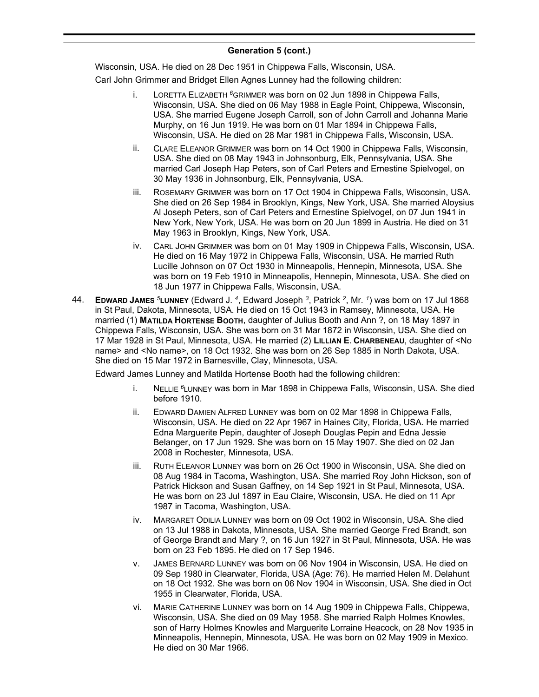Wisconsin, USA. He died on 28 Dec 1951 in Chippewa Falls, Wisconsin, USA.

Carl John Grimmer and Bridget Ellen Agnes Lunney had the following children:

- i. LORETTA ELIZABETH *<sup>6</sup>*GRIMMER was born on 02 Jun 1898 in Chippewa Falls, Wisconsin, USA. She died on 06 May 1988 in Eagle Point, Chippewa, Wisconsin, USA. She married Eugene Joseph Carroll, son of John Carroll and Johanna Marie Murphy, on 16 Jun 1919. He was born on 01 Mar 1894 in Chippewa Falls, Wisconsin, USA. He died on 28 Mar 1981 in Chippewa Falls, Wisconsin, USA.
- ii. CLARE ELEANOR GRIMMER was born on 14 Oct 1900 in Chippewa Falls, Wisconsin, USA. She died on 08 May 1943 in Johnsonburg, Elk, Pennsylvania, USA. She married Carl Joseph Hap Peters, son of Carl Peters and Ernestine Spielvogel, on 30 May 1936 in Johnsonburg, Elk, Pennsylvania, USA.
- iii. ROSEMARY GRIMMER was born on 17 Oct 1904 in Chippewa Falls, Wisconsin, USA. She died on 26 Sep 1984 in Brooklyn, Kings, New York, USA. She married Aloysius Al Joseph Peters, son of Carl Peters and Ernestine Spielvogel, on 07 Jun 1941 in New York, New York, USA. He was born on 20 Jun 1899 in Austria. He died on 31 May 1963 in Brooklyn, Kings, New York, USA.
- iv. CARL JOHN GRIMMER was born on 01 May 1909 in Chippewa Falls, Wisconsin, USA. He died on 16 May 1972 in Chippewa Falls, Wisconsin, USA. He married Ruth Lucille Johnson on 07 Oct 1930 in Minneapolis, Hennepin, Minnesota, USA. She was born on 19 Feb 1910 in Minneapolis, Hennepin, Minnesota, USA. She died on 18 Jun 1977 in Chippewa Falls, Wisconsin, USA.
- 44. **EDWARD JAMES** *<sup>5</sup>***LUNNEY** (Edward J. *<sup>4</sup>* , Edward Joseph *<sup>3</sup>* , Patrick *<sup>2</sup>* , Mr. *<sup>1</sup>* ) was born on 17 Jul 1868 in St Paul, Dakota, Minnesota, USA. He died on 15 Oct 1943 in Ramsey, Minnesota, USA. He married (1) **MATILDA HORTENSE BOOTH**, daughter of Julius Booth and Ann ?, on 18 May 1897 in Chippewa Falls, Wisconsin, USA. She was born on 31 Mar 1872 in Wisconsin, USA. She died on 17 Mar 1928 in St Paul, Minnesota, USA. He married (2) **LILLIAN E. CHARBENEAU**, daughter of <No name> and <No name>, on 18 Oct 1932. She was born on 26 Sep 1885 in North Dakota, USA. She died on 15 Mar 1972 in Barnesville, Clay, Minnesota, USA.

Edward James Lunney and Matilda Hortense Booth had the following children:

- i. NELLIE *<sup>6</sup>*LUNNEY was born in Mar 1898 in Chippewa Falls, Wisconsin, USA. She died before 1910.
- ii. EDWARD DAMIEN ALFRED LUNNEY was born on 02 Mar 1898 in Chippewa Falls, Wisconsin, USA. He died on 22 Apr 1967 in Haines City, Florida, USA. He married Edna Marguerite Pepin, daughter of Joseph Douglas Pepin and Edna Jessie Belanger, on 17 Jun 1929. She was born on 15 May 1907. She died on 02 Jan 2008 in Rochester, Minnesota, USA.
- iii. RUTH ELEANOR LUNNEY was born on 26 Oct 1900 in Wisconsin, USA. She died on 08 Aug 1984 in Tacoma, Washington, USA. She married Roy John Hickson, son of Patrick Hickson and Susan Gaffney, on 14 Sep 1921 in St Paul, Minnesota, USA. He was born on 23 Jul 1897 in Eau Claire, Wisconsin, USA. He died on 11 Apr 1987 in Tacoma, Washington, USA.
- iv. MARGARET ODILIA LUNNEY was born on 09 Oct 1902 in Wisconsin, USA. She died on 13 Jul 1988 in Dakota, Minnesota, USA. She married George Fred Brandt, son of George Brandt and Mary ?, on 16 Jun 1927 in St Paul, Minnesota, USA. He was born on 23 Feb 1895. He died on 17 Sep 1946.
- v. JAMES BERNARD LUNNEY was born on 06 Nov 1904 in Wisconsin, USA. He died on 09 Sep 1980 in Clearwater, Florida, USA (Age: 76). He married Helen M. Delahunt on 18 Oct 1932. She was born on 06 Nov 1904 in Wisconsin, USA. She died in Oct 1955 in Clearwater, Florida, USA.
- vi. MARIE CATHERINE LUNNEY was born on 14 Aug 1909 in Chippewa Falls, Chippewa, Wisconsin, USA. She died on 09 May 1958. She married Ralph Holmes Knowles, son of Harry Holmes Knowles and Marguerite Lorraine Heacock, on 28 Nov 1935 in Minneapolis, Hennepin, Minnesota, USA. He was born on 02 May 1909 in Mexico. He died on 30 Mar 1966.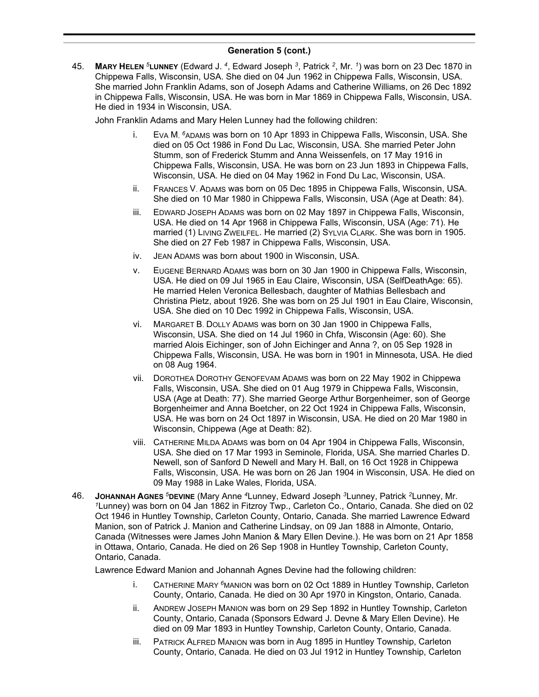45. **MARY HELEN** *<sup>5</sup>***LUNNEY** (Edward J. *<sup>4</sup>* , Edward Joseph *<sup>3</sup>* , Patrick *<sup>2</sup>* , Mr. *<sup>1</sup>* ) was born on 23 Dec 1870 in Chippewa Falls, Wisconsin, USA. She died on 04 Jun 1962 in Chippewa Falls, Wisconsin, USA. She married John Franklin Adams, son of Joseph Adams and Catherine Williams, on 26 Dec 1892 in Chippewa Falls, Wisconsin, USA. He was born in Mar 1869 in Chippewa Falls, Wisconsin, USA. He died in 1934 in Wisconsin, USA.

John Franklin Adams and Mary Helen Lunney had the following children:

- i. EVA M. <sup>6</sup>ADAMS was born on 10 Apr 1893 in Chippewa Falls, Wisconsin, USA. She died on 05 Oct 1986 in Fond Du Lac, Wisconsin, USA. She married Peter John Stumm, son of Frederick Stumm and Anna Weissenfels, on 17 May 1916 in Chippewa Falls, Wisconsin, USA. He was born on 23 Jun 1893 in Chippewa Falls, Wisconsin, USA. He died on 04 May 1962 in Fond Du Lac, Wisconsin, USA.
- ii. FRANCES V. ADAMS was born on 05 Dec 1895 in Chippewa Falls, Wisconsin, USA. She died on 10 Mar 1980 in Chippewa Falls, Wisconsin, USA (Age at Death: 84).
- iii. EDWARD JOSEPH ADAMS was born on 02 May 1897 in Chippewa Falls, Wisconsin, USA. He died on 14 Apr 1968 in Chippewa Falls, Wisconsin, USA (Age: 71). He married (1) LIVING ZWEILFEL. He married (2) SYLVIA CLARK. She was born in 1905. She died on 27 Feb 1987 in Chippewa Falls, Wisconsin, USA.
- iv. JEAN ADAMS was born about 1900 in Wisconsin, USA.
- v. EUGENE BERNARD ADAMS was born on 30 Jan 1900 in Chippewa Falls, Wisconsin, USA. He died on 09 Jul 1965 in Eau Claire, Wisconsin, USA (SelfDeathAge: 65). He married Helen Veronica Bellesbach, daughter of Mathias Bellesbach and Christina Pietz, about 1926. She was born on 25 Jul 1901 in Eau Claire, Wisconsin, USA. She died on 10 Dec 1992 in Chippewa Falls, Wisconsin, USA.
- vi. MARGARET B. DOLLY ADAMS was born on 30 Jan 1900 in Chippewa Falls, Wisconsin, USA. She died on 14 Jul 1960 in Chfa, Wisconsin (Age: 60). She married Alois Eichinger, son of John Eichinger and Anna ?, on 05 Sep 1928 in Chippewa Falls, Wisconsin, USA. He was born in 1901 in Minnesota, USA. He died on 08 Aug 1964.
- vii. DOROTHEA DOROTHY GENOFEVAM ADAMS was born on 22 May 1902 in Chippewa Falls, Wisconsin, USA. She died on 01 Aug 1979 in Chippewa Falls, Wisconsin, USA (Age at Death: 77). She married George Arthur Borgenheimer, son of George Borgenheimer and Anna Boetcher, on 22 Oct 1924 in Chippewa Falls, Wisconsin, USA. He was born on 24 Oct 1897 in Wisconsin, USA. He died on 20 Mar 1980 in Wisconsin, Chippewa (Age at Death: 82).
- viii. CATHERINE MILDA ADAMS was born on 04 Apr 1904 in Chippewa Falls, Wisconsin, USA. She died on 17 Mar 1993 in Seminole, Florida, USA. She married Charles D. Newell, son of Sanford D Newell and Mary H. Ball, on 16 Oct 1928 in Chippewa Falls, Wisconsin, USA. He was born on 26 Jan 1904 in Wisconsin, USA. He died on 09 May 1988 in Lake Wales, Florida, USA.
- 46. **JOHANNAH AGNES** *<sup>5</sup>***DEVINE** (Mary Anne *<sup>4</sup>*Lunney, Edward Joseph *<sup>3</sup>*Lunney, Patrick *<sup>2</sup>*Lunney, Mr. *<sup>1</sup>*Lunney) was born on 04 Jan 1862 in Fitzroy Twp., Carleton Co., Ontario, Canada. She died on 02 Oct 1946 in Huntley Township, Carleton County, Ontario, Canada. She married Lawrence Edward Manion, son of Patrick J. Manion and Catherine Lindsay, on 09 Jan 1888 in Almonte, Ontario, Canada (Witnesses were James John Manion & Mary Ellen Devine.). He was born on 21 Apr 1858 in Ottawa, Ontario, Canada. He died on 26 Sep 1908 in Huntley Township, Carleton County, Ontario, Canada.

Lawrence Edward Manion and Johannah Agnes Devine had the following children:

- i. CATHERINE MARY *<sup>6</sup>*MANION was born on 02 Oct 1889 in Huntley Township, Carleton County, Ontario, Canada. He died on 30 Apr 1970 in Kingston, Ontario, Canada.
- ii. ANDREW JOSEPH MANION was born on 29 Sep 1892 in Huntley Township, Carleton County, Ontario, Canada (Sponsors Edward J. Devne & Mary Ellen Devine). He died on 09 Mar 1893 in Huntley Township, Carleton County, Ontario, Canada.
- iii. PATRICK ALFRED MANION was born in Aug 1895 in Huntley Township, Carleton County, Ontario, Canada. He died on 03 Jul 1912 in Huntley Township, Carleton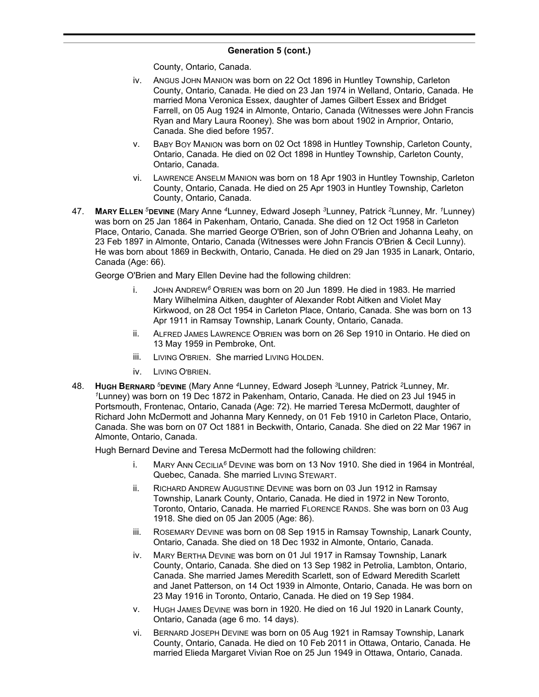County, Ontario, Canada.

- iv. ANGUS JOHN MANION was born on 22 Oct 1896 in Huntley Township, Carleton County, Ontario, Canada. He died on 23 Jan 1974 in Welland, Ontario, Canada. He married Mona Veronica Essex, daughter of James Gilbert Essex and Bridget Farrell, on 05 Aug 1924 in Almonte, Ontario, Canada (Witnesses were John Francis Ryan and Mary Laura Rooney). She was born about 1902 in Arnprior, Ontario, Canada. She died before 1957.
- v. BABY BOY MANION was born on 02 Oct 1898 in Huntley Township, Carleton County, Ontario, Canada. He died on 02 Oct 1898 in Huntley Township, Carleton County, Ontario, Canada.
- vi. LAWRENCE ANSELM MANION was born on 18 Apr 1903 in Huntley Township, Carleton County, Ontario, Canada. He died on 25 Apr 1903 in Huntley Township, Carleton County, Ontario, Canada.
- 47. **MARY ELLEN** *<sup>5</sup>***DEVINE** (Mary Anne *<sup>4</sup>*Lunney, Edward Joseph *<sup>3</sup>*Lunney, Patrick *<sup>2</sup>*Lunney, Mr. *<sup>1</sup>*Lunney) was born on 25 Jan 1864 in Pakenham, Ontario, Canada. She died on 12 Oct 1958 in Carleton Place, Ontario, Canada. She married George O'Brien, son of John O'Brien and Johanna Leahy, on 23 Feb 1897 in Almonte, Ontario, Canada (Witnesses were John Francis O'Brien & Cecil Lunny). He was born about 1869 in Beckwith, Ontario, Canada. He died on 29 Jan 1935 in Lanark, Ontario, Canada (Age: 66).

George O'Brien and Mary Ellen Devine had the following children:

- i. JOHN ANDREW*<sup>6</sup>* O'BRIEN was born on 20 Jun 1899. He died in 1983. He married Mary Wilhelmina Aitken, daughter of Alexander Robt Aitken and Violet May Kirkwood, on 28 Oct 1954 in Carleton Place, Ontario, Canada. She was born on 13 Apr 1911 in Ramsay Township, Lanark County, Ontario, Canada.
- ii. ALFRED JAMES LAWRENCE O'BRIEN was born on 26 Sep 1910 in Ontario. He died on 13 May 1959 in Pembroke, Ont.
- iii. LIVING O'BRIEN. She married LIVING HOLDEN.
- iv. LIVING O'BRIEN.
- 48. **HUGH BERNARD** *<sup>5</sup>***DEVINE** (Mary Anne *<sup>4</sup>*Lunney, Edward Joseph *<sup>3</sup>*Lunney, Patrick *<sup>2</sup>*Lunney, Mr. *<sup>1</sup>*Lunney) was born on 19 Dec 1872 in Pakenham, Ontario, Canada. He died on 23 Jul 1945 in Portsmouth, Frontenac, Ontario, Canada (Age: 72). He married Teresa McDermott, daughter of Richard John McDermott and Johanna Mary Kennedy, on 01 Feb 1910 in Carleton Place, Ontario, Canada. She was born on 07 Oct 1881 in Beckwith, Ontario, Canada. She died on 22 Mar 1967 in Almonte, Ontario, Canada.

Hugh Bernard Devine and Teresa McDermott had the following children:

- i. MARY ANN CECILIA*<sup>6</sup>* DEVINE was born on 13 Nov 1910. She died in 1964 in Montréal, Quebec, Canada. She married LIVING STEWART.
- ii. RICHARD ANDREW AUGUSTINE DEVINE was born on 03 Jun 1912 in Ramsay Township, Lanark County, Ontario, Canada. He died in 1972 in New Toronto, Toronto, Ontario, Canada. He married FLORENCE RANDS. She was born on 03 Aug 1918. She died on 05 Jan 2005 (Age: 86).
- iii. ROSEMARY DEVINE was born on 08 Sep 1915 in Ramsay Township, Lanark County, Ontario, Canada. She died on 18 Dec 1932 in Almonte, Ontario, Canada.
- iv. MARY BERTHA DEVINE was born on 01 Jul 1917 in Ramsay Township, Lanark County, Ontario, Canada. She died on 13 Sep 1982 in Petrolia, Lambton, Ontario, Canada. She married James Meredith Scarlett, son of Edward Meredith Scarlett and Janet Patterson, on 14 Oct 1939 in Almonte, Ontario, Canada. He was born on 23 May 1916 in Toronto, Ontario, Canada. He died on 19 Sep 1984.
- v. HUGH JAMES DEVINE was born in 1920. He died on 16 Jul 1920 in Lanark County, Ontario, Canada (age 6 mo. 14 days).
- vi. BERNARD JOSEPH DEVINE was born on 05 Aug 1921 in Ramsay Township, Lanark County, Ontario, Canada. He died on 10 Feb 2011 in Ottawa, Ontario, Canada. He married Elieda Margaret Vivian Roe on 25 Jun 1949 in Ottawa, Ontario, Canada.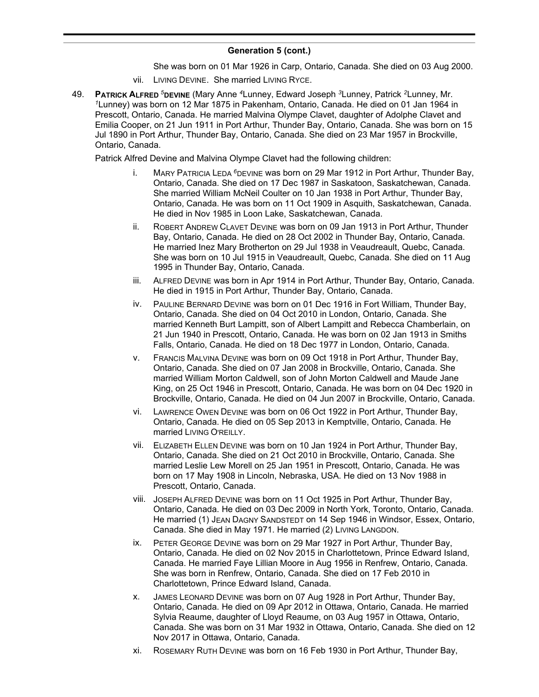She was born on 01 Mar 1926 in Carp, Ontario, Canada. She died on 03 Aug 2000.

- vii. LIVING DEVINE. She married LIVING RYCE.
- 49. **PATRICK ALFRED** *<sup>5</sup>***DEVINE** (Mary Anne *<sup>4</sup>*Lunney, Edward Joseph *<sup>3</sup>*Lunney, Patrick *<sup>2</sup>*Lunney, Mr. *<sup>1</sup>*Lunney) was born on 12 Mar 1875 in Pakenham, Ontario, Canada. He died on 01 Jan 1964 in Prescott, Ontario, Canada. He married Malvina Olympe Clavet, daughter of Adolphe Clavet and Emilia Cooper, on 21 Jun 1911 in Port Arthur, Thunder Bay, Ontario, Canada. She was born on 15 Jul 1890 in Port Arthur, Thunder Bay, Ontario, Canada. She died on 23 Mar 1957 in Brockville, Ontario, Canada.

Patrick Alfred Devine and Malvina Olympe Clavet had the following children:

- i. MARY PATRICIA LEDA *<sup>6</sup>*DEVINE was born on 29 Mar 1912 in Port Arthur, Thunder Bay, Ontario, Canada. She died on 17 Dec 1987 in Saskatoon, Saskatchewan, Canada. She married William McNeil Coulter on 10 Jan 1938 in Port Arthur, Thunder Bay, Ontario, Canada. He was born on 11 Oct 1909 in Asquith, Saskatchewan, Canada. He died in Nov 1985 in Loon Lake, Saskatchewan, Canada.
- ii. ROBERT ANDREW CLAVET DEVINE was born on 09 Jan 1913 in Port Arthur, Thunder Bay, Ontario, Canada. He died on 28 Oct 2002 in Thunder Bay, Ontario, Canada. He married Inez Mary Brotherton on 29 Jul 1938 in Veaudreault, Quebc, Canada. She was born on 10 Jul 1915 in Veaudreault, Quebc, Canada. She died on 11 Aug 1995 in Thunder Bay, Ontario, Canada.
- iii. ALFRED DEVINE was born in Apr 1914 in Port Arthur, Thunder Bay, Ontario, Canada. He died in 1915 in Port Arthur, Thunder Bay, Ontario, Canada.
- iv. PAULINE BERNARD DEVINE was born on 01 Dec 1916 in Fort William, Thunder Bay, Ontario, Canada. She died on 04 Oct 2010 in London, Ontario, Canada. She married Kenneth Burt Lampitt, son of Albert Lampitt and Rebecca Chamberlain, on 21 Jun 1940 in Prescott, Ontario, Canada. He was born on 02 Jan 1913 in Smiths Falls, Ontario, Canada. He died on 18 Dec 1977 in London, Ontario, Canada.
- v. FRANCIS MALVINA DEVINE was born on 09 Oct 1918 in Port Arthur, Thunder Bay, Ontario, Canada. She died on 07 Jan 2008 in Brockville, Ontario, Canada. She married William Morton Caldwell, son of John Morton Caldwell and Maude Jane King, on 25 Oct 1946 in Prescott, Ontario, Canada. He was born on 04 Dec 1920 in Brockville, Ontario, Canada. He died on 04 Jun 2007 in Brockville, Ontario, Canada.
- vi. LAWRENCE OWEN DEVINE was born on 06 Oct 1922 in Port Arthur, Thunder Bay, Ontario, Canada. He died on 05 Sep 2013 in Kemptville, Ontario, Canada. He married LIVING O'REILLY.
- vii. ELIZABETH ELLEN DEVINE was born on 10 Jan 1924 in Port Arthur, Thunder Bay, Ontario, Canada. She died on 21 Oct 2010 in Brockville, Ontario, Canada. She married Leslie Lew Morell on 25 Jan 1951 in Prescott, Ontario, Canada. He was born on 17 May 1908 in Lincoln, Nebraska, USA. He died on 13 Nov 1988 in Prescott, Ontario, Canada.
- viii. JOSEPH ALFRED DEVINE was born on 11 Oct 1925 in Port Arthur, Thunder Bay, Ontario, Canada. He died on 03 Dec 2009 in North York, Toronto, Ontario, Canada. He married (1) JEAN DAGNY SANDSTEDT on 14 Sep 1946 in Windsor, Essex, Ontario, Canada. She died in May 1971. He married (2) LIVING LANGDON.
- ix. PETER GEORGE DEVINE was born on 29 Mar 1927 in Port Arthur, Thunder Bay, Ontario, Canada. He died on 02 Nov 2015 in Charlottetown, Prince Edward Island, Canada. He married Faye Lillian Moore in Aug 1956 in Renfrew, Ontario, Canada. She was born in Renfrew, Ontario, Canada. She died on 17 Feb 2010 in Charlottetown, Prince Edward Island, Canada.
- x. JAMES LEONARD DEVINE was born on 07 Aug 1928 in Port Arthur, Thunder Bay, Ontario, Canada. He died on 09 Apr 2012 in Ottawa, Ontario, Canada. He married Sylvia Reaume, daughter of Lloyd Reaume, on 03 Aug 1957 in Ottawa, Ontario, Canada. She was born on 31 Mar 1932 in Ottawa, Ontario, Canada. She died on 12 Nov 2017 in Ottawa, Ontario, Canada.
- xi. ROSEMARY RUTH DEVINE was born on 16 Feb 1930 in Port Arthur, Thunder Bay,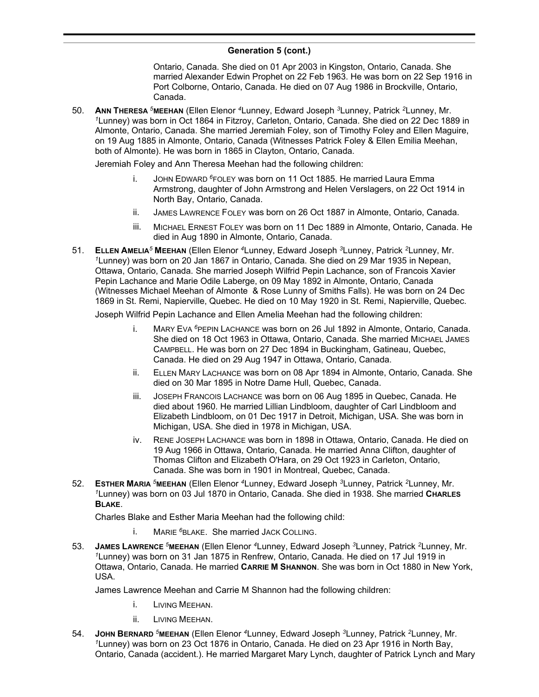Ontario, Canada. She died on 01 Apr 2003 in Kingston, Ontario, Canada. She married Alexander Edwin Prophet on 22 Feb 1963. He was born on 22 Sep 1916 in Port Colborne, Ontario, Canada. He died on 07 Aug 1986 in Brockville, Ontario, Canada.

50. **ANN THERESA** *<sup>5</sup>***MEEHAN** (Ellen Elenor *<sup>4</sup>*Lunney, Edward Joseph *<sup>3</sup>*Lunney, Patrick *<sup>2</sup>*Lunney, Mr. *<sup>1</sup>*Lunney) was born in Oct 1864 in Fitzroy, Carleton, Ontario, Canada. She died on 22 Dec 1889 in Almonte, Ontario, Canada. She married Jeremiah Foley, son of Timothy Foley and Ellen Maguire, on 19 Aug 1885 in Almonte, Ontario, Canada (Witnesses Patrick Foley & Ellen Emilia Meehan, both of Almonte). He was born in 1865 in Clayton, Ontario, Canada.

Jeremiah Foley and Ann Theresa Meehan had the following children:

- i. JOHN EDWARD *<sup>6</sup>*FOLEY was born on 11 Oct 1885. He married Laura Emma Armstrong, daughter of John Armstrong and Helen Verslagers, on 22 Oct 1914 in North Bay, Ontario, Canada.
- ii. JAMES LAWRENCE FOLEY was born on 26 Oct 1887 in Almonte, Ontario, Canada.
- iii. MICHAEL ERNEST FOLEY was born on 11 Dec 1889 in Almonte, Ontario, Canada. He died in Aug 1890 in Almonte, Ontario, Canada.
- 51. **ELLEN AMELIA***<sup>5</sup>* **MEEHAN** (Ellen Elenor *<sup>4</sup>*Lunney, Edward Joseph *<sup>3</sup>*Lunney, Patrick *<sup>2</sup>*Lunney, Mr. *<sup>1</sup>*Lunney) was born on 20 Jan 1867 in Ontario, Canada. She died on 29 Mar 1935 in Nepean, Ottawa, Ontario, Canada. She married Joseph Wilfrid Pepin Lachance, son of Francois Xavier Pepin Lachance and Marie Odile Laberge, on 09 May 1892 in Almonte, Ontario, Canada (Witnesses Michael Meehan of Almonte & Rose Lunny of Smiths Falls). He was born on 24 Dec 1869 in St. Remi, Napierville, Quebec. He died on 10 May 1920 in St. Remi, Napierville, Quebec.

Joseph Wilfrid Pepin Lachance and Ellen Amelia Meehan had the following children:

- i. MARY EVA *<sup>6</sup>*PEPIN LACHANCE was born on 26 Jul 1892 in Almonte, Ontario, Canada. She died on 18 Oct 1963 in Ottawa, Ontario, Canada. She married MICHAEL JAMES CAMPBELL. He was born on 27 Dec 1894 in Buckingham, Gatineau, Quebec, Canada. He died on 29 Aug 1947 in Ottawa, Ontario, Canada.
- ii. ELLEN MARY LACHANCE was born on 08 Apr 1894 in Almonte, Ontario, Canada. She died on 30 Mar 1895 in Notre Dame Hull, Quebec, Canada.
- iii. JOSEPH FRANCOIS LACHANCE was born on 06 Aug 1895 in Quebec, Canada. He died about 1960. He married Lillian Lindbloom, daughter of Carl Lindbloom and Elizabeth Lindbloom, on 01 Dec 1917 in Detroit, Michigan, USA. She was born in Michigan, USA. She died in 1978 in Michigan, USA.
- iv. RENE JOSEPH LACHANCE was born in 1898 in Ottawa, Ontario, Canada. He died on 19 Aug 1966 in Ottawa, Ontario, Canada. He married Anna Clifton, daughter of Thomas Clifton and Elizabeth O'Hara, on 29 Oct 1923 in Carleton, Ontario, Canada. She was born in 1901 in Montreal, Quebec, Canada.
- 52. **ESTHER MARIA** *<sup>5</sup>***MEEHAN** (Ellen Elenor *<sup>4</sup>*Lunney, Edward Joseph *<sup>3</sup>*Lunney, Patrick *<sup>2</sup>*Lunney, Mr. *<sup>1</sup>*Lunney) was born on 03 Jul 1870 in Ontario, Canada. She died in 1938. She married **CHARLES BLAKE**.

Charles Blake and Esther Maria Meehan had the following child:

- i. MARIE *<sup>6</sup>*BLAKE. She married JACK COLLING.
- 53. **JAMES LAWRENCE** *<sup>5</sup>***MEEHAN** (Ellen Elenor *<sup>4</sup>*Lunney, Edward Joseph *<sup>3</sup>*Lunney, Patrick *<sup>2</sup>*Lunney, Mr. *<sup>1</sup>*Lunney) was born on 31 Jan 1875 in Renfrew, Ontario, Canada. He died on 17 Jul 1919 in Ottawa, Ontario, Canada. He married **CARRIE M SHANNON**. She was born in Oct 1880 in New York, USA.

James Lawrence Meehan and Carrie M Shannon had the following children:

- i. LIVING MEEHAN.
- ii. LIVING MEEHAN.
- 54. **JOHN BERNARD** *<sup>5</sup>***MEEHAN** (Ellen Elenor *<sup>4</sup>*Lunney, Edward Joseph *<sup>3</sup>*Lunney, Patrick *<sup>2</sup>*Lunney, Mr. *<sup>1</sup>*Lunney) was born on 23 Oct 1876 in Ontario, Canada. He died on 23 Apr 1916 in North Bay, Ontario, Canada (accident.). He married Margaret Mary Lynch, daughter of Patrick Lynch and Mary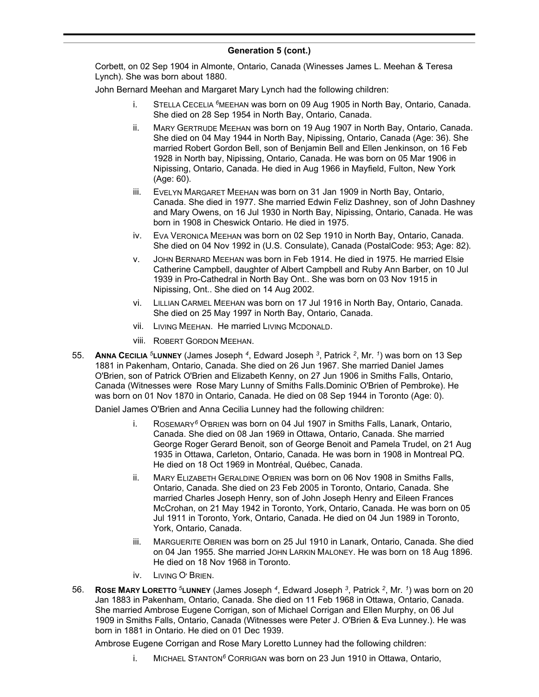Corbett, on 02 Sep 1904 in Almonte, Ontario, Canada (Winesses James L. Meehan & Teresa Lynch). She was born about 1880.

John Bernard Meehan and Margaret Mary Lynch had the following children:

- i. STELLA CECELIA *<sup>6</sup>*MEEHAN was born on 09 Aug 1905 in North Bay, Ontario, Canada. She died on 28 Sep 1954 in North Bay, Ontario, Canada.
- ii. MARY GERTRUDE MEEHAN was born on 19 Aug 1907 in North Bay, Ontario, Canada. She died on 04 May 1944 in North Bay, Nipissing, Ontario, Canada (Age: 36). She married Robert Gordon Bell, son of Benjamin Bell and Ellen Jenkinson, on 16 Feb 1928 in North bay, Nipissing, Ontario, Canada. He was born on 05 Mar 1906 in Nipissing, Ontario, Canada. He died in Aug 1966 in Mayfield, Fulton, New York (Age: 60).
- iii. EVELYN MARGARET MEEHAN was born on 31 Jan 1909 in North Bay, Ontario, Canada. She died in 1977. She married Edwin Feliz Dashney, son of John Dashney and Mary Owens, on 16 Jul 1930 in North Bay, Nipissing, Ontario, Canada. He was born in 1908 in Cheswick Ontario. He died in 1975.
- iv. EVA VERONICA MEEHAN was born on 02 Sep 1910 in North Bay, Ontario, Canada. She died on 04 Nov 1992 in (U.S. Consulate), Canada (PostalCode: 953; Age: 82).
- v. JOHN BERNARD MEEHAN was born in Feb 1914. He died in 1975. He married Elsie Catherine Campbell, daughter of Albert Campbell and Ruby Ann Barber, on 10 Jul 1939 in Pro-Cathedral in North Bay Ont.. She was born on 03 Nov 1915 in Nipissing, Ont.. She died on 14 Aug 2002.
- vi. LILLIAN CARMEL MEEHAN was born on 17 Jul 1916 in North Bay, Ontario, Canada. She died on 25 May 1997 in North Bay, Ontario, Canada.
- vii. LIVING MEEHAN. He married LIVING MCDONALD.
- viii. ROBERT GORDON MEEHAN.
- 55. **ANNA CECILIA** *<sup>5</sup>***LUNNEY** (James Joseph *<sup>4</sup>* , Edward Joseph *<sup>3</sup>* , Patrick *<sup>2</sup>* , Mr. *<sup>1</sup>* ) was born on 13 Sep 1881 in Pakenham, Ontario, Canada. She died on 26 Jun 1967. She married Daniel James O'Brien, son of Patrick O'Brien and Elizabeth Kenny, on 27 Jun 1906 in Smiths Falls, Ontario, Canada (Witnesses were Rose Mary Lunny of Smiths Falls.Dominic O'Brien of Pembroke). He was born on 01 Nov 1870 in Ontario, Canada. He died on 08 Sep 1944 in Toronto (Age: 0).

Daniel James O'Brien and Anna Cecilia Lunney had the following children:

- i. ROSEMARY*<sup>6</sup>* O'BRIEN was born on 04 Jul 1907 in Smiths Falls, Lanark, Ontario, Canada. She died on 08 Jan 1969 in Ottawa, Ontario, Canada. She married George Roger Gerard Benoit, son of George Benoit and Pamela Trudel, on 21 Aug 1935 in Ottawa, Carleton, Ontario, Canada. He was born in 1908 in Montreal PQ. He died on 18 Oct 1969 in Montréal, Québec, Canada.
- ii. MARY ELIZABETH GERALDINE O'BRIEN was born on 06 Nov 1908 in Smiths Falls, Ontario, Canada. She died on 23 Feb 2005 in Toronto, Ontario, Canada. She married Charles Joseph Henry, son of John Joseph Henry and Eileen Frances McCrohan, on 21 May 1942 in Toronto, York, Ontario, Canada. He was born on 05 Jul 1911 in Toronto, York, Ontario, Canada. He died on 04 Jun 1989 in Toronto, York, Ontario, Canada.
- iii. MARGUERITE OBRIEN was born on 25 Jul 1910 in Lanark, Ontario, Canada. She died on 04 Jan 1955. She married JOHN LARKIN MALONEY. He was born on 18 Aug 1896. He died on 18 Nov 1968 in Toronto.
- iv. LIVING O' BRIEN.
- 56. **ROSE MARY LORETTO** *<sup>5</sup>***LUNNEY** (James Joseph *<sup>4</sup>* , Edward Joseph *<sup>3</sup>* , Patrick *<sup>2</sup>* , Mr. *<sup>1</sup>* ) was born on 20 Jan 1883 in Pakenham, Ontario, Canada. She died on 11 Feb 1968 in Ottawa, Ontario, Canada. She married Ambrose Eugene Corrigan, son of Michael Corrigan and Ellen Murphy, on 06 Jul 1909 in Smiths Falls, Ontario, Canada (Witnesses were Peter J. O'Brien & Eva Lunney.). He was born in 1881 in Ontario. He died on 01 Dec 1939.

Ambrose Eugene Corrigan and Rose Mary Loretto Lunney had the following children:

i. MICHAEL STANTON*<sup>6</sup>* CORRIGAN was born on 23 Jun 1910 in Ottawa, Ontario,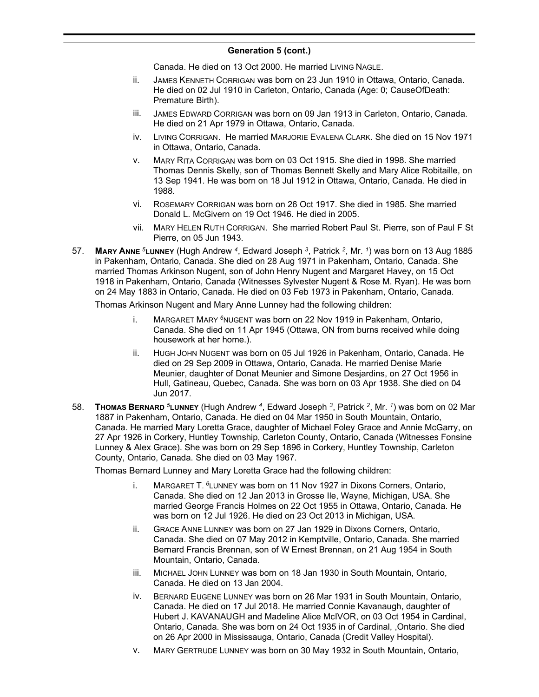Canada. He died on 13 Oct 2000. He married LIVING NAGLE.

- ii. JAMES KENNETH CORRIGAN was born on 23 Jun 1910 in Ottawa, Ontario, Canada. He died on 02 Jul 1910 in Carleton, Ontario, Canada (Age: 0; CauseOfDeath: Premature Birth).
- iii. JAMES EDWARD CORRIGAN was born on 09 Jan 1913 in Carleton, Ontario, Canada. He died on 21 Apr 1979 in Ottawa, Ontario, Canada.
- iv. LIVING CORRIGAN. He married MARJORIE EVALENA CLARK. She died on 15 Nov 1971 in Ottawa, Ontario, Canada.
- v. MARY RITA CORRIGAN was born on 03 Oct 1915. She died in 1998. She married Thomas Dennis Skelly, son of Thomas Bennett Skelly and Mary Alice Robitaille, on 13 Sep 1941. He was born on 18 Jul 1912 in Ottawa, Ontario, Canada. He died in 1988.
- vi. ROSEMARY CORRIGAN was born on 26 Oct 1917. She died in 1985. She married Donald L. McGivern on 19 Oct 1946. He died in 2005.
- vii. MARY HELEN RUTH CORRIGAN. She married Robert Paul St. Pierre, son of Paul F St Pierre, on 05 Jun 1943.
- 57. **MARY ANNE** *<sup>5</sup>***LUNNEY** (Hugh Andrew *<sup>4</sup>* , Edward Joseph *<sup>3</sup>* , Patrick *<sup>2</sup>* , Mr. *<sup>1</sup>* ) was born on 13 Aug 1885 in Pakenham, Ontario, Canada. She died on 28 Aug 1971 in Pakenham, Ontario, Canada. She married Thomas Arkinson Nugent, son of John Henry Nugent and Margaret Havey, on 15 Oct 1918 in Pakenham, Ontario, Canada (Witnesses Sylvester Nugent & Rose M. Ryan). He was born on 24 May 1883 in Ontario, Canada. He died on 03 Feb 1973 in Pakenham, Ontario, Canada.

Thomas Arkinson Nugent and Mary Anne Lunney had the following children:

- i. MARGARET MARY *<sup>6</sup>*NUGENT was born on 22 Nov 1919 in Pakenham, Ontario, Canada. She died on 11 Apr 1945 (Ottawa, ON from burns received while doing housework at her home.).
- ii. HUGH JOHN NUGENT was born on 05 Jul 1926 in Pakenham, Ontario, Canada. He died on 29 Sep 2009 in Ottawa, Ontario, Canada. He married Denise Marie Meunier, daughter of Donat Meunier and Simone Desjardins, on 27 Oct 1956 in Hull, Gatineau, Quebec, Canada. She was born on 03 Apr 1938. She died on 04 Jun 2017.
- 58. **THOMAS BERNARD** *<sup>5</sup>***LUNNEY** (Hugh Andrew *<sup>4</sup>* , Edward Joseph *<sup>3</sup>* , Patrick *<sup>2</sup>* , Mr. *<sup>1</sup>* ) was born on 02 Mar 1887 in Pakenham, Ontario, Canada. He died on 04 Mar 1950 in South Mountain, Ontario, Canada. He married Mary Loretta Grace, daughter of Michael Foley Grace and Annie McGarry, on 27 Apr 1926 in Corkery, Huntley Township, Carleton County, Ontario, Canada (Witnesses Fonsine Lunney & Alex Grace). She was born on 29 Sep 1896 in Corkery, Huntley Township, Carleton County, Ontario, Canada. She died on 03 May 1967.

Thomas Bernard Lunney and Mary Loretta Grace had the following children:

- i. MARGARET T. *<sup>6</sup>*LUNNEY was born on 11 Nov 1927 in Dixons Corners, Ontario, Canada. She died on 12 Jan 2013 in Grosse Ile, Wayne, Michigan, USA. She married George Francis Holmes on 22 Oct 1955 in Ottawa, Ontario, Canada. He was born on 12 Jul 1926. He died on 23 Oct 2013 in Michigan, USA.
- ii. GRACE ANNE LUNNEY was born on 27 Jan 1929 in Dixons Corners, Ontario, Canada. She died on 07 May 2012 in Kemptville, Ontario, Canada. She married Bernard Francis Brennan, son of W Ernest Brennan, on 21 Aug 1954 in South Mountain, Ontario, Canada.
- iii. MICHAEL JOHN LUNNEY was born on 18 Jan 1930 in South Mountain, Ontario, Canada. He died on 13 Jan 2004.
- iv. BERNARD EUGENE LUNNEY was born on 26 Mar 1931 in South Mountain, Ontario, Canada. He died on 17 Jul 2018. He married Connie Kavanaugh, daughter of Hubert J. KAVANAUGH and Madeline Alice McIVOR, on 03 Oct 1954 in Cardinal, Ontario, Canada. She was born on 24 Oct 1935 in of Cardinal, ,Ontario. She died on 26 Apr 2000 in Mississauga, Ontario, Canada (Credit Valley Hospital).
- v. MARY GERTRUDE LUNNEY was born on 30 May 1932 in South Mountain, Ontario,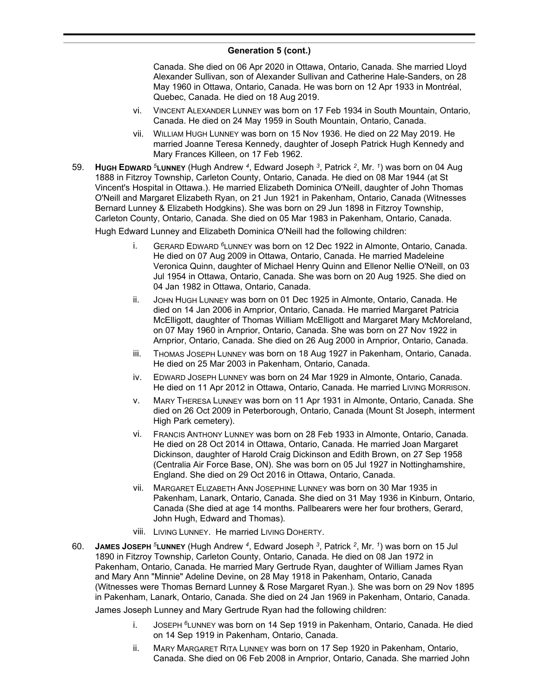#### **Generation 5 (cont.)**  $V_{\rm 2}$  concrete born  $V_{\rm 2}$  is  $V_{\rm 2}$  in  $S_{\rm 2}$

Canada. She died on 06 Apr 2020 in Ottawa, Ontario, Canada. She married Lloyd Alexander Sullivan, son of Alexander Sullivan and Catherine Hale-Sanders, on 28 May 1960 in Ottawa, Ontario, Canada. He was born on 12 Apr 1933 in Montréal, Quebec, Canada. He died on 18 Aug 2019.

- vi. VINCENT ALEXANDER LUNNEY was born on 17 Feb 1934 in South Mountain, Ontario, Canada. He died on 24 May 1959 in South Mountain, Ontario, Canada.
- vii. WILLIAM HUGH LUNNEY was born on 15 Nov 1936. He died on 22 May 2019. He married Joanne Teresa Kennedy, daughter of Joseph Patrick Hugh Kennedy and Mary Frances Killeen, on 17 Feb 1962.
- 59. **HUGH EDWARD** *<sup>5</sup>***LUNNEY** (Hugh Andrew *<sup>4</sup>* , Edward Joseph *<sup>3</sup>* , Patrick *<sup>2</sup>* , Mr. *<sup>1</sup>* ) was born on 04 Aug 1888 in Fitzroy Township, Carleton County, Ontario, Canada. He died on 08 Mar 1944 (at St Vincent's Hospital in Ottawa.). He married Elizabeth Dominica O'Neill, daughter of John Thomas O'Neill and Margaret Elizabeth Ryan, on 21 Jun 1921 in Pakenham, Ontario, Canada (Witnesses Bernard Lunney & Elizabeth Hodgkins). She was born on 29 Jun 1898 in Fitzroy Township, Carleton County, Ontario, Canada. She died on 05 Mar 1983 in Pakenham, Ontario, Canada.

Hugh Edward Lunney and Elizabeth Dominica O'Neill had the following children:

- i. GERARD EDWARD *<sup>6</sup>*LUNNEY was born on 12 Dec 1922 in Almonte, Ontario, Canada. He died on 07 Aug 2009 in Ottawa, Ontario, Canada. He married Madeleine Veronica Quinn, daughter of Michael Henry Quinn and Ellenor Nellie O'Neill, on 03 Jul 1954 in Ottawa, Ontario, Canada. She was born on 20 Aug 1925. She died on 04 Jan 1982 in Ottawa, Ontario, Canada.
- ii. JOHN HUGH LUNNEY was born on 01 Dec 1925 in Almonte, Ontario, Canada. He died on 14 Jan 2006 in Arnprior, Ontario, Canada. He married Margaret Patricia McElligott, daughter of Thomas William McElligott and Margaret Mary McMoreland, on 07 May 1960 in Arnprior, Ontario, Canada. She was born on 27 Nov 1922 in Arnprior, Ontario, Canada. She died on 26 Aug 2000 in Arnprior, Ontario, Canada.
- iii. THOMAS JOSEPH LUNNEY was born on 18 Aug 1927 in Pakenham, Ontario, Canada. He died on 25 Mar 2003 in Pakenham, Ontario, Canada.
- iv. EDWARD JOSEPH LUNNEY was born on 24 Mar 1929 in Almonte, Ontario, Canada. He died on 11 Apr 2012 in Ottawa, Ontario, Canada. He married LIVING MORRISON.
- v. MARY THERESA LUNNEY was born on 11 Apr 1931 in Almonte, Ontario, Canada. She died on 26 Oct 2009 in Peterborough, Ontario, Canada (Mount St Joseph, interment High Park cemetery).
- vi. FRANCIS ANTHONY LUNNEY was born on 28 Feb 1933 in Almonte, Ontario, Canada. He died on 28 Oct 2014 in Ottawa, Ontario, Canada. He married Joan Margaret Dickinson, daughter of Harold Craig Dickinson and Edith Brown, on 27 Sep 1958 (Centralia Air Force Base, ON). She was born on 05 Jul 1927 in Nottinghamshire, England. She died on 29 Oct 2016 in Ottawa, Ontario, Canada.
- vii. MARGARET ELIZABETH ANN JOSEPHINE LUNNEY was born on 30 Mar 1935 in Pakenham, Lanark, Ontario, Canada. She died on 31 May 1936 in Kinburn, Ontario, Canada (She died at age 14 months. Pallbearers were her four brothers, Gerard, John Hugh, Edward and Thomas).
- viii. LIVING LUNNEY. He married LIVING DOHERTY.
- 60. **JAMES JOSEPH** *<sup>5</sup>***LUNNEY** (Hugh Andrew *<sup>4</sup>* , Edward Joseph *<sup>3</sup>* , Patrick *<sup>2</sup>* , Mr. *<sup>1</sup>* ) was born on 15 Jul 1890 in Fitzroy Township, Carleton County, Ontario, Canada. He died on 08 Jan 1972 in Pakenham, Ontario, Canada. He married Mary Gertrude Ryan, daughter of William James Ryan and Mary Ann "Minnie" Adeline Devine, on 28 May 1918 in Pakenham, Ontario, Canada (Witnesses were Thomas Bernard Lunney & Rose Margaret Ryan.). She was born on 29 Nov 1895 in Pakenham, Lanark, Ontario, Canada. She died on 24 Jan 1969 in Pakenham, Ontario, Canada.

James Joseph Lunney and Mary Gertrude Ryan had the following children:

- i. JOSEPH *<sup>6</sup>*LUNNEY was born on 14 Sep 1919 in Pakenham, Ontario, Canada. He died on 14 Sep 1919 in Pakenham, Ontario, Canada.
- ii. MARY MARGARET RITA LUNNEY was born on 17 Sep 1920 in Pakenham, Ontario, Canada. She died on 06 Feb 2008 in Arnprior, Ontario, Canada. She married John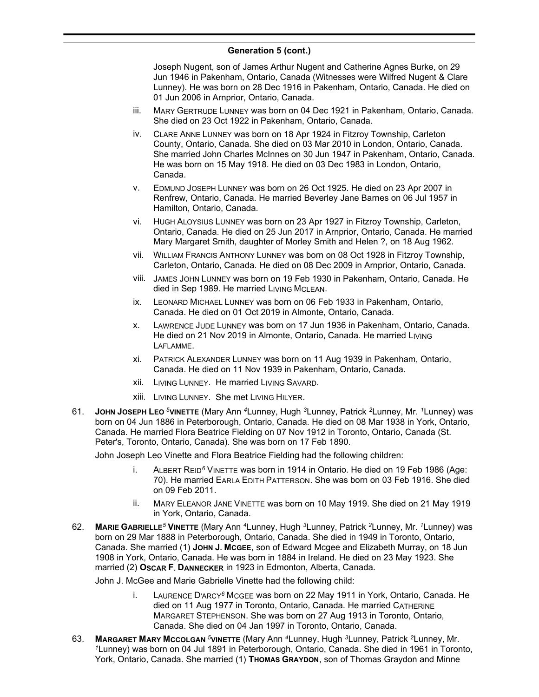Joseph Nugent, son of James Arthur Nugent and Catherine Agnes Burke, on 29 Jun 1946 in Pakenham, Ontario, Canada (Witnesses were Wilfred Nugent & Clare Lunney). He was born on 28 Dec 1916 in Pakenham, Ontario, Canada. He died on 01 Jun 2006 in Arnprior, Ontario, Canada.

- iii. MARY GERTRUDE LUNNEY was born on 04 Dec 1921 in Pakenham, Ontario, Canada. She died on 23 Oct 1922 in Pakenham, Ontario, Canada.
- iv. CLARE ANNE LUNNEY was born on 18 Apr 1924 in Fitzroy Township, Carleton County, Ontario, Canada. She died on 03 Mar 2010 in London, Ontario, Canada. She married John Charles McInnes on 30 Jun 1947 in Pakenham, Ontario, Canada. He was born on 15 May 1918. He died on 03 Dec 1983 in London, Ontario, Canada.
- v. EDMUND JOSEPH LUNNEY was born on 26 Oct 1925. He died on 23 Apr 2007 in Renfrew, Ontario, Canada. He married Beverley Jane Barnes on 06 Jul 1957 in Hamilton, Ontario, Canada.
- vi. HUGH ALOYSIUS LUNNEY was born on 23 Apr 1927 in Fitzroy Township, Carleton, Ontario, Canada. He died on 25 Jun 2017 in Arnprior, Ontario, Canada. He married Mary Margaret Smith, daughter of Morley Smith and Helen ?, on 18 Aug 1962.
- vii. WILLIAM FRANCIS ANTHONY LUNNEY was born on 08 Oct 1928 in Fitzroy Township, Carleton, Ontario, Canada. He died on 08 Dec 2009 in Arnprior, Ontario, Canada.
- viii. JAMES JOHN LUNNEY was born on 19 Feb 1930 in Pakenham, Ontario, Canada. He died in Sep 1989. He married LIVING MCLEAN.
- ix. LEONARD MICHAEL LUNNEY was born on 06 Feb 1933 in Pakenham, Ontario, Canada. He died on 01 Oct 2019 in Almonte, Ontario, Canada.
- x. LAWRENCE JUDE LUNNEY was born on 17 Jun 1936 in Pakenham, Ontario, Canada. He died on 21 Nov 2019 in Almonte, Ontario, Canada. He married LIVING LAFLAMME.
- xi. PATRICK ALEXANDER LUNNEY was born on 11 Aug 1939 in Pakenham, Ontario, Canada. He died on 11 Nov 1939 in Pakenham, Ontario, Canada.
- xii. LIVING LUNNEY. He married LIVING SAVARD.
- xiii. LIVING LUNNEY. She met LIVING HILYER.
- 61. **JOHN JOSEPH LEO** *<sup>5</sup>***VINETTE** (Mary Ann *<sup>4</sup>*Lunney, Hugh *<sup>3</sup>*Lunney, Patrick *<sup>2</sup>*Lunney, Mr. *<sup>1</sup>*Lunney) was born on 04 Jun 1886 in Peterborough, Ontario, Canada. He died on 08 Mar 1938 in York, Ontario, Canada. He married Flora Beatrice Fielding on 07 Nov 1912 in Toronto, Ontario, Canada (St. Peter's, Toronto, Ontario, Canada). She was born on 17 Feb 1890.

John Joseph Leo Vinette and Flora Beatrice Fielding had the following children:

- i. ALBERT REID*<sup>6</sup>* VINETTE was born in 1914 in Ontario. He died on 19 Feb 1986 (Age: 70). He married EARLA EDITH PATTERSON. She was born on 03 Feb 1916. She died on 09 Feb 2011.
- ii. MARY ELEANOR JANE VINETTE was born on 10 May 1919. She died on 21 May 1919 in York, Ontario, Canada.
- 62. **MARIE GABRIELLE***<sup>5</sup>* **VINETTE** (Mary Ann *<sup>4</sup>*Lunney, Hugh *<sup>3</sup>*Lunney, Patrick *<sup>2</sup>*Lunney, Mr. *<sup>1</sup>*Lunney) was born on 29 Mar 1888 in Peterborough, Ontario, Canada. She died in 1949 in Toronto, Ontario, Canada. She married (1) **JOHN J. MCGEE**, son of Edward Mcgee and Elizabeth Murray, on 18 Jun 1908 in York, Ontario, Canada. He was born in 1884 in Ireland. He died on 23 May 1923. She married (2) **OSCAR F. DANNECKER** in 1923 in Edmonton, Alberta, Canada.

John J. McGee and Marie Gabrielle Vinette had the following child:

- i. LAURENCE D'ARCY*<sup>6</sup>* MCGEE was born on 22 May 1911 in York, Ontario, Canada. He died on 11 Aug 1977 in Toronto, Ontario, Canada. He married CATHERINE MARGARET STEPHENSON. She was born on 27 Aug 1913 in Toronto, Ontario, Canada. She died on 04 Jan 1997 in Toronto, Ontario, Canada.
- 63. **MARGARET MARY MCCOLGAN** *<sup>5</sup>***VINETTE** (Mary Ann *<sup>4</sup>*Lunney, Hugh *<sup>3</sup>*Lunney, Patrick *<sup>2</sup>*Lunney, Mr. *<sup>1</sup>*Lunney) was born on 04 Jul 1891 in Peterborough, Ontario, Canada. She died in 1961 in Toronto, York, Ontario, Canada. She married (1) **THOMAS GRAYDON**, son of Thomas Graydon and Minne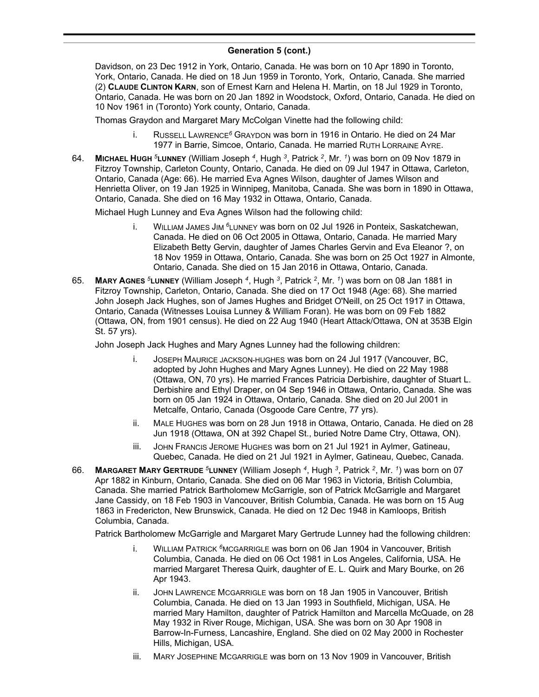Davidson, on 23 Dec 1912 in York, Ontario, Canada. He was born on 10 Apr 1890 in Toronto, York, Ontario, Canada. He died on 18 Jun 1959 in Toronto, York, Ontario, Canada. She married (2) **CLAUDE CLINTON KARN**, son of Ernest Karn and Helena H. Martin, on 18 Jul 1929 in Toronto, Ontario, Canada. He was born on 20 Jan 1892 in Woodstock, Oxford, Ontario, Canada. He died on 10 Nov 1961 in (Toronto) York county, Ontario, Canada.

Thomas Graydon and Margaret Mary McColgan Vinette had the following child:

- i. RUSSELL LAWRENCE*<sup>6</sup>* GRAYDON was born in 1916 in Ontario. He died on 24 Mar 1977 in Barrie, Simcoe, Ontario, Canada. He married RUTH LORRAINE AYRE.
- 64. **MICHAEL HUGH** *<sup>5</sup>***LUNNEY** (William Joseph *<sup>4</sup>* , Hugh *<sup>3</sup>* , Patrick *<sup>2</sup>* , Mr. *<sup>1</sup>* ) was born on 09 Nov 1879 in Fitzroy Township, Carleton County, Ontario, Canada. He died on 09 Jul 1947 in Ottawa, Carleton, Ontario, Canada (Age: 66). He married Eva Agnes Wilson, daughter of James Wilson and Henrietta Oliver, on 19 Jan 1925 in Winnipeg, Manitoba, Canada. She was born in 1890 in Ottawa, Ontario, Canada. She died on 16 May 1932 in Ottawa, Ontario, Canada.

Michael Hugh Lunney and Eva Agnes Wilson had the following child:

- i. WILLIAM JAMES JIM *<sup>6</sup>*LUNNEY was born on 02 Jul 1926 in Ponteix, Saskatchewan, Canada. He died on 06 Oct 2005 in Ottawa, Ontario, Canada. He married Mary Elizabeth Betty Gervin, daughter of James Charles Gervin and Eva Eleanor ?, on 18 Nov 1959 in Ottawa, Ontario, Canada. She was born on 25 Oct 1927 in Almonte, Ontario, Canada. She died on 15 Jan 2016 in Ottawa, Ontario, Canada.
- 65. **MARY AGNES** *<sup>5</sup>***LUNNEY** (William Joseph *<sup>4</sup>* , Hugh *<sup>3</sup>* , Patrick *<sup>2</sup>* , Mr. *<sup>1</sup>* ) was born on 08 Jan 1881 in Fitzroy Township, Carleton, Ontario, Canada. She died on 17 Oct 1948 (Age: 68). She married John Joseph Jack Hughes, son of James Hughes and Bridget O'Neill, on 25 Oct 1917 in Ottawa, Ontario, Canada (Witnesses Louisa Lunney & William Foran). He was born on 09 Feb 1882 (Ottawa, ON, from 1901 census). He died on 22 Aug 1940 (Heart Attack/Ottawa, ON at 353B Elgin St. 57 yrs).

John Joseph Jack Hughes and Mary Agnes Lunney had the following children:

- i. JOSEPH MAURICE JACKSON-HUGHES was born on 24 Jul 1917 (Vancouver, BC, adopted by John Hughes and Mary Agnes Lunney). He died on 22 May 1988 (Ottawa, ON, 70 yrs). He married Frances Patricia Derbishire, daughter of Stuart L. Derbishire and Ethyl Draper, on 04 Sep 1946 in Ottawa, Ontario, Canada. She was born on 05 Jan 1924 in Ottawa, Ontario, Canada. She died on 20 Jul 2001 in Metcalfe, Ontario, Canada (Osgoode Care Centre, 77 yrs).
- ii. MALE HUGHES was born on 28 Jun 1918 in Ottawa, Ontario, Canada. He died on 28 Jun 1918 (Ottawa, ON at 392 Chapel St., buried Notre Dame Ctry, Ottawa, ON).
- iii. JOHN FRANCIS JEROME HUGHES was born on 21 Jul 1921 in Aylmer, Gatineau, Quebec, Canada. He died on 21 Jul 1921 in Aylmer, Gatineau, Quebec, Canada.
- 66. **MARGARET MARY GERTRUDE** *<sup>5</sup>***LUNNEY** (William Joseph *<sup>4</sup>* , Hugh *<sup>3</sup>* , Patrick *<sup>2</sup>* , Mr. *<sup>1</sup>* ) was born on 07 Apr 1882 in Kinburn, Ontario, Canada. She died on 06 Mar 1963 in Victoria, British Columbia, Canada. She married Patrick Bartholomew McGarrigle, son of Patrick McGarrigle and Margaret Jane Cassidy, on 18 Feb 1903 in Vancouver, British Columbia, Canada. He was born on 15 Aug 1863 in Fredericton, New Brunswick, Canada. He died on 12 Dec 1948 in Kamloops, British Columbia, Canada.

Patrick Bartholomew McGarrigle and Margaret Mary Gertrude Lunney had the following children:

- i. WILLIAM PATRICK *<sup>6</sup>*MCGARRIGLE was born on 06 Jan 1904 in Vancouver, British Columbia, Canada. He died on 06 Oct 1981 in Los Angeles, California, USA. He married Margaret Theresa Quirk, daughter of E. L. Quirk and Mary Bourke, on 26 Apr 1943.
- ii. JOHN LAWRENCE MCGARRIGLE was born on 18 Jan 1905 in Vancouver, British Columbia, Canada. He died on 13 Jan 1993 in Southfield, Michigan, USA. He married Mary Hamilton, daughter of Patrick Hamilton and Marcella McQuade, on 28 May 1932 in River Rouge, Michigan, USA. She was born on 30 Apr 1908 in Barrow-In-Furness, Lancashire, England. She died on 02 May 2000 in Rochester Hills, Michigan, USA.
- iii. MARY JOSEPHINE MCGARRIGLE was born on 13 Nov 1909 in Vancouver, British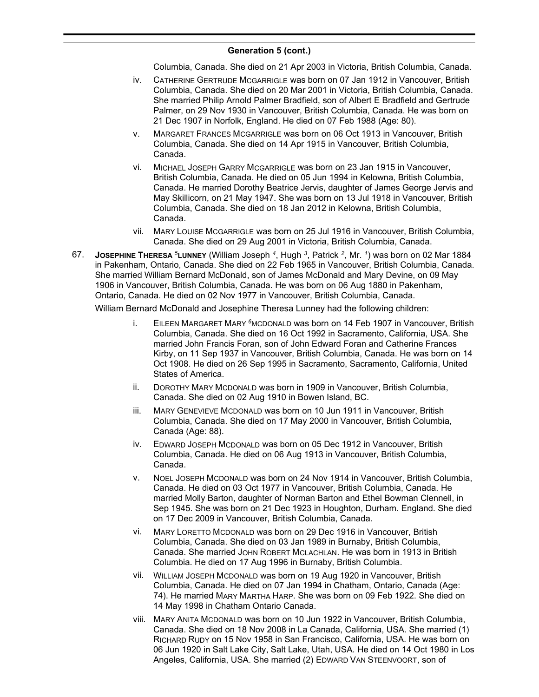Columbia, Canada. She died on 21 Apr 2003 in Victoria, British Columbia, Canada.

- iv. CATHERINE GERTRUDE MCGARRIGLE was born on 07 Jan 1912 in Vancouver, British Columbia, Canada. She died on 20 Mar 2001 in Victoria, British Columbia, Canada. She married Philip Arnold Palmer Bradfield, son of Albert E Bradfield and Gertrude Palmer, on 29 Nov 1930 in Vancouver, British Columbia, Canada. He was born on 21 Dec 1907 in Norfolk, England. He died on 07 Feb 1988 (Age: 80).
- v. MARGARET FRANCES MCGARRIGLE was born on 06 Oct 1913 in Vancouver, British Columbia, Canada. She died on 14 Apr 1915 in Vancouver, British Columbia, Canada.
- vi. MICHAEL JOSEPH GARRY MCGARRIGLE was born on 23 Jan 1915 in Vancouver, British Columbia, Canada. He died on 05 Jun 1994 in Kelowna, British Columbia, Canada. He married Dorothy Beatrice Jervis, daughter of James George Jervis and May Skillicorn, on 21 May 1947. She was born on 13 Jul 1918 in Vancouver, British Columbia, Canada. She died on 18 Jan 2012 in Kelowna, British Columbia, Canada.
- vii. MARY LOUISE MCGARRIGLE was born on 25 Jul 1916 in Vancouver, British Columbia, Canada. She died on 29 Aug 2001 in Victoria, British Columbia, Canada.
- 67. **JOSEPHINE THERESA** *<sup>5</sup>***LUNNEY** (William Joseph *<sup>4</sup>* , Hugh *<sup>3</sup>* , Patrick *<sup>2</sup>* , Mr. *<sup>1</sup>* ) was born on 02 Mar 1884 in Pakenham, Ontario, Canada. She died on 22 Feb 1965 in Vancouver, British Columbia, Canada. She married William Bernard McDonald, son of James McDonald and Mary Devine, on 09 May 1906 in Vancouver, British Columbia, Canada. He was born on 06 Aug 1880 in Pakenham, Ontario, Canada. He died on 02 Nov 1977 in Vancouver, British Columbia, Canada.

William Bernard McDonald and Josephine Theresa Lunney had the following children:

- i. EILEEN MARGARET MARY *<sup>6</sup>*MCDONALD was born on 14 Feb 1907 in Vancouver, British Columbia, Canada. She died on 16 Oct 1992 in Sacramento, California, USA. She married John Francis Foran, son of John Edward Foran and Catherine Frances Kirby, on 11 Sep 1937 in Vancouver, British Columbia, Canada. He was born on 14 Oct 1908. He died on 26 Sep 1995 in Sacramento, Sacramento, California, United States of America.
- ii. DOROTHY MARY MCDONALD was born in 1909 in Vancouver, British Columbia, Canada. She died on 02 Aug 1910 in Bowen Island, BC.
- iii. MARY GENEVIEVE MCDONALD was born on 10 Jun 1911 in Vancouver, British Columbia, Canada. She died on 17 May 2000 in Vancouver, British Columbia, Canada (Age: 88).
- iv. EDWARD JOSEPH MCDONALD was born on 05 Dec 1912 in Vancouver, British Columbia, Canada. He died on 06 Aug 1913 in Vancouver, British Columbia, Canada.
- v. NOEL JOSEPH MCDONALD was born on 24 Nov 1914 in Vancouver, British Columbia, Canada. He died on 03 Oct 1977 in Vancouver, British Columbia, Canada. He married Molly Barton, daughter of Norman Barton and Ethel Bowman Clennell, in Sep 1945. She was born on 21 Dec 1923 in Houghton, Durham. England. She died on 17 Dec 2009 in Vancouver, British Columbia, Canada.
- vi. MARY LORETTO MCDONALD was born on 29 Dec 1916 in Vancouver, British Columbia, Canada. She died on 03 Jan 1989 in Burnaby, British Columbia, Canada. She married JOHN ROBERT MCLACHLAN. He was born in 1913 in British Columbia. He died on 17 Aug 1996 in Burnaby, British Columbia.
- vii. WILLIAM JOSEPH MCDONALD was born on 19 Aug 1920 in Vancouver, British Columbia, Canada. He died on 07 Jan 1994 in Chatham, Ontario, Canada (Age: 74). He married MARY MARTHA HARP. She was born on 09 Feb 1922. She died on 14 May 1998 in Chatham Ontario Canada.
- viii. MARY ANITA MCDONALD was born on 10 Jun 1922 in Vancouver, British Columbia, Canada. She died on 18 Nov 2008 in La Canada, California, USA. She married (1) RICHARD RUDY on 15 Nov 1958 in San Francisco, California, USA. He was born on 06 Jun 1920 in Salt Lake City, Salt Lake, Utah, USA. He died on 14 Oct 1980 in Los Angeles, California, USA. She married (2) EDWARD VAN STEENVOORT, son of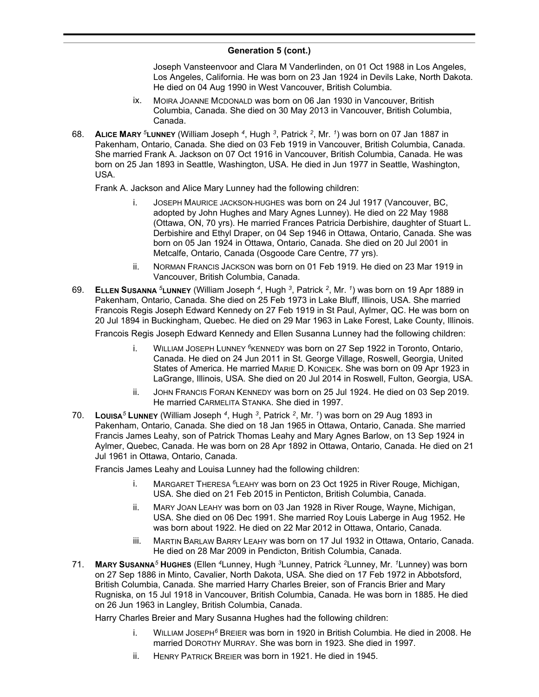Joseph Vansteenvoor and Clara M Vanderlinden, on 01 Oct 1988 in Los Angeles, Los Angeles, California. He was born on 23 Jan 1924 in Devils Lake, North Dakota. He died on 04 Aug 1990 in West Vancouver, British Columbia.

- ix. MOIRA JOANNE MCDONALD was born on 06 Jan 1930 in Vancouver, British Columbia, Canada. She died on 30 May 2013 in Vancouver, British Columbia, Canada.
- 68. **ALICE MARY** *<sup>5</sup>***LUNNEY** (William Joseph *<sup>4</sup>* , Hugh *<sup>3</sup>* , Patrick *<sup>2</sup>* , Mr. *<sup>1</sup>* ) was born on 07 Jan 1887 in Pakenham, Ontario, Canada. She died on 03 Feb 1919 in Vancouver, British Columbia, Canada. She married Frank A. Jackson on 07 Oct 1916 in Vancouver, British Columbia, Canada. He was born on 25 Jan 1893 in Seattle, Washington, USA. He died in Jun 1977 in Seattle, Washington, USA.

Frank A. Jackson and Alice Mary Lunney had the following children:

- i. JOSEPH MAURICE JACKSON-HUGHES was born on 24 Jul 1917 (Vancouver, BC, adopted by John Hughes and Mary Agnes Lunney). He died on 22 May 1988 (Ottawa, ON, 70 yrs). He married Frances Patricia Derbishire, daughter of Stuart L. Derbishire and Ethyl Draper, on 04 Sep 1946 in Ottawa, Ontario, Canada. She was born on 05 Jan 1924 in Ottawa, Ontario, Canada. She died on 20 Jul 2001 in Metcalfe, Ontario, Canada (Osgoode Care Centre, 77 yrs).
- ii. NORMAN FRANCIS JACKSON was born on 01 Feb 1919. He died on 23 Mar 1919 in Vancouver, British Columbia, Canada.
- 69. **ELLEN SUSANNA** *<sup>5</sup>***LUNNEY** (William Joseph *<sup>4</sup>* , Hugh *<sup>3</sup>* , Patrick *<sup>2</sup>* , Mr. *<sup>1</sup>* ) was born on 19 Apr 1889 in Pakenham, Ontario, Canada. She died on 25 Feb 1973 in Lake Bluff, Illinois, USA. She married Francois Regis Joseph Edward Kennedy on 27 Feb 1919 in St Paul, Aylmer, QC. He was born on 20 Jul 1894 in Buckingham, Quebec. He died on 29 Mar 1963 in Lake Forest, Lake County, Illinois.

Francois Regis Joseph Edward Kennedy and Ellen Susanna Lunney had the following children:

- i. WILLIAM JOSEPH LUNNEY *<sup>6</sup>*KENNEDY was born on 27 Sep 1922 in Toronto, Ontario, Canada. He died on 24 Jun 2011 in St. George Village, Roswell, Georgia, United States of America. He married MARIE D. KONICEK. She was born on 09 Apr 1923 in LaGrange, Illinois, USA. She died on 20 Jul 2014 in Roswell, Fulton, Georgia, USA.
- ii. JOHN FRANCIS FORAN KENNEDY was born on 25 Jul 1924. He died on 03 Sep 2019. He married CARMELITA STANKA. She died in 1997.
- 70. **LOUISA***<sup>5</sup>* **LUNNEY** (William Joseph *<sup>4</sup>* , Hugh *<sup>3</sup>* , Patrick *<sup>2</sup>* , Mr. *<sup>1</sup>* ) was born on 29 Aug 1893 in Pakenham, Ontario, Canada. She died on 18 Jan 1965 in Ottawa, Ontario, Canada. She married Francis James Leahy, son of Patrick Thomas Leahy and Mary Agnes Barlow, on 13 Sep 1924 in Aylmer, Quebec, Canada. He was born on 28 Apr 1892 in Ottawa, Ontario, Canada. He died on 21 Jul 1961 in Ottawa, Ontario, Canada.

Francis James Leahy and Louisa Lunney had the following children:

- i. MARGARET THERESA *<sup>6</sup>*LEAHY was born on 23 Oct 1925 in River Rouge, Michigan, USA. She died on 21 Feb 2015 in Penticton, British Columbia, Canada.
- ii. MARY JOAN LEAHY was born on 03 Jan 1928 in River Rouge, Wayne, Michigan, USA. She died on 06 Dec 1991. She married Roy Louis Laberge in Aug 1952. He was born about 1922. He died on 22 Mar 2012 in Ottawa, Ontario, Canada.
- iii. MARTIN BARLAW BARRY LEAHY was born on 17 Jul 1932 in Ottawa, Ontario, Canada. He died on 28 Mar 2009 in Pendicton, British Columbia, Canada.
- 71. **MARY SUSANNA***<sup>5</sup>* **HUGHES** (Ellen *<sup>4</sup>*Lunney, Hugh *<sup>3</sup>*Lunney, Patrick *<sup>2</sup>*Lunney, Mr. *<sup>1</sup>*Lunney) was born on 27 Sep 1886 in Minto, Cavalier, North Dakota, USA. She died on 17 Feb 1972 in Abbotsford, British Columbia, Canada. She married Harry Charles Breier, son of Francis Brier and Mary Rugniska, on 15 Jul 1918 in Vancouver, British Columbia, Canada. He was born in 1885. He died on 26 Jun 1963 in Langley, British Columbia, Canada.

Harry Charles Breier and Mary Susanna Hughes had the following children:

- i. WILLIAM JOSEPH*<sup>6</sup>* BREIER was born in 1920 in British Columbia. He died in 2008. He married DOROTHY MURRAY. She was born in 1923. She died in 1997.
- ii. HENRY PATRICK BREIER was born in 1921. He died in 1945.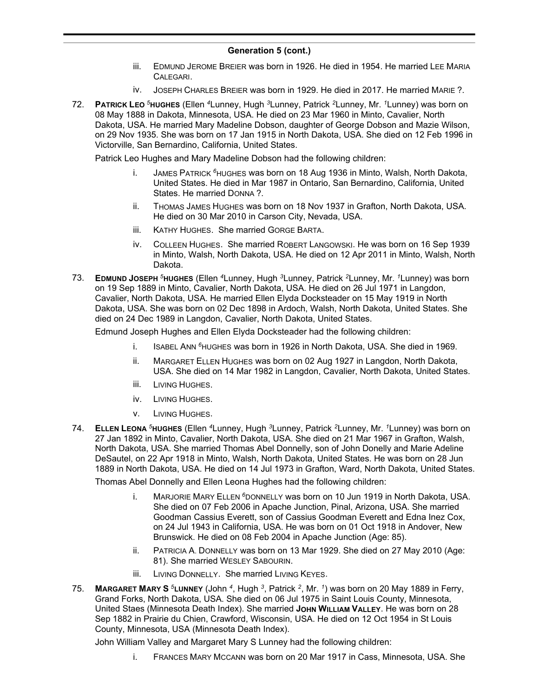- iii. EDMUND JEROME BREIER was born in 1926. He died in 1954. He married LEE MARIA CALEGARI.
- iv. JOSEPH CHARLES BREIER was born in 1929. He died in 2017. He married MARIE ?.
- 72. **PATRICK LEO** *<sup>5</sup>***HUGHES** (Ellen *<sup>4</sup>*Lunney, Hugh *<sup>3</sup>*Lunney, Patrick *<sup>2</sup>*Lunney, Mr. *<sup>1</sup>*Lunney) was born on 08 May 1888 in Dakota, Minnesota, USA. He died on 23 Mar 1960 in Minto, Cavalier, North Dakota, USA. He married Mary Madeline Dobson, daughter of George Dobson and Mazie Wilson, on 29 Nov 1935. She was born on 17 Jan 1915 in North Dakota, USA. She died on 12 Feb 1996 in Victorville, San Bernardino, California, United States.

Patrick Leo Hughes and Mary Madeline Dobson had the following children:

- i. JAMES PATRICK *<sup>6</sup>*HUGHES was born on 18 Aug 1936 in Minto, Walsh, North Dakota, United States. He died in Mar 1987 in Ontario, San Bernardino, California, United States. He married DONNA ?.
- ii. THOMAS JAMES HUGHES was born on 18 Nov 1937 in Grafton, North Dakota, USA. He died on 30 Mar 2010 in Carson City, Nevada, USA.
- iii. KATHY HUGHES. She married GORGE BARTA.
- iv. COLLEEN HUGHES. She married ROBERT LANGOWSKI. He was born on 16 Sep 1939 in Minto, Walsh, North Dakota, USA. He died on 12 Apr 2011 in Minto, Walsh, North Dakota.
- 73. **EDMUND JOSEPH** *<sup>5</sup>***HUGHES** (Ellen *<sup>4</sup>*Lunney, Hugh *<sup>3</sup>*Lunney, Patrick *<sup>2</sup>*Lunney, Mr. *<sup>1</sup>*Lunney) was born on 19 Sep 1889 in Minto, Cavalier, North Dakota, USA. He died on 26 Jul 1971 in Langdon, Cavalier, North Dakota, USA. He married Ellen Elyda Docksteader on 15 May 1919 in North Dakota, USA. She was born on 02 Dec 1898 in Ardoch, Walsh, North Dakota, United States. She died on 24 Dec 1989 in Langdon, Cavalier, North Dakota, United States.

Edmund Joseph Hughes and Ellen Elyda Docksteader had the following children:

- i. ISABEL ANN *<sup>6</sup>*HUGHES was born in 1926 in North Dakota, USA. She died in 1969.
- ii. MARGARET ELLEN HUGHES was born on 02 Aug 1927 in Langdon, North Dakota, USA. She died on 14 Mar 1982 in Langdon, Cavalier, North Dakota, United States.
- iii. LIVING HUGHES.
- iv. LIVING HUGHES.
- v. LIVING HUGHES.
- 74. **ELLEN LEONA** *<sup>5</sup>***HUGHES** (Ellen *<sup>4</sup>*Lunney, Hugh *<sup>3</sup>*Lunney, Patrick *<sup>2</sup>*Lunney, Mr. *<sup>1</sup>*Lunney) was born on 27 Jan 1892 in Minto, Cavalier, North Dakota, USA. She died on 21 Mar 1967 in Grafton, Walsh, North Dakota, USA. She married Thomas Abel Donnelly, son of John Donelly and Marie Adeline DeSautel, on 22 Apr 1918 in Minto, Walsh, North Dakota, United States. He was born on 28 Jun 1889 in North Dakota, USA. He died on 14 Jul 1973 in Grafton, Ward, North Dakota, United States.

Thomas Abel Donnelly and Ellen Leona Hughes had the following children:

- i. MARJORIE MARY ELLEN *<sup>6</sup>*DONNELLY was born on 10 Jun 1919 in North Dakota, USA. She died on 07 Feb 2006 in Apache Junction, Pinal, Arizona, USA. She married Goodman Cassius Everett, son of Cassius Goodman Everett and Edna Inez Cox, on 24 Jul 1943 in California, USA. He was born on 01 Oct 1918 in Andover, New Brunswick. He died on 08 Feb 2004 in Apache Junction (Age: 85).
- ii. PATRICIA A. DONNELLY was born on 13 Mar 1929. She died on 27 May 2010 (Age: 81). She married WESLEY SABOURIN.
- iii. LIVING DONNELLY. She married LIVING KEYES.
- 75. **MARGARET MARY S** *<sup>5</sup>***LUNNEY** (John *<sup>4</sup>* , Hugh *<sup>3</sup>* , Patrick *<sup>2</sup>* , Mr. *<sup>1</sup>* ) was born on 20 May 1889 in Ferry, Grand Forks, North Dakota, USA. She died on 06 Jul 1975 in Saint Louis County, Minnesota, United Staes (Minnesota Death Index). She married **JOHN WILLIAM VALLEY**. He was born on 28 Sep 1882 in Prairie du Chien, Crawford, Wisconsin, USA. He died on 12 Oct 1954 in St Louis County, Minnesota, USA (Minnesota Death Index).

John William Valley and Margaret Mary S Lunney had the following children:

i. FRANCES MARY MCCANN was born on 20 Mar 1917 in Cass, Minnesota, USA. She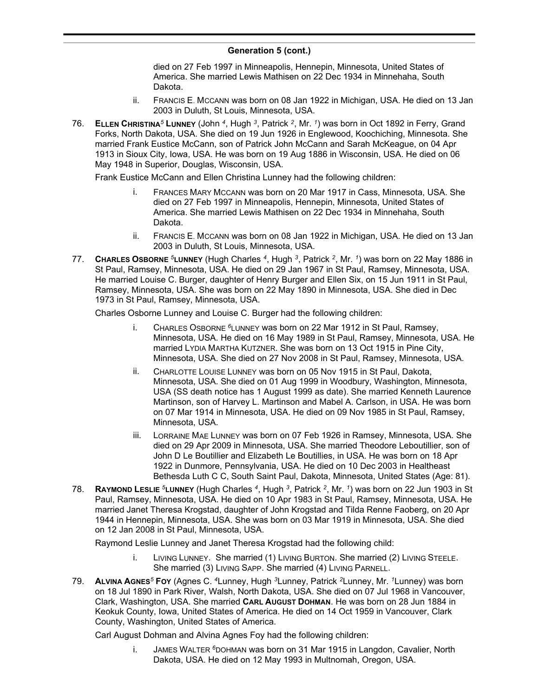died on 27 Feb 1997 in Minneapolis, Hennepin, Minnesota, United States of America. She married Lewis Mathisen on 22 Dec 1934 in Minnehaha, South Dakota.

- ii. FRANCIS E. MCCANN was born on 08 Jan 1922 in Michigan, USA. He died on 13 Jan 2003 in Duluth, St Louis, Minnesota, USA.
- 76. **ELLEN CHRISTINA***<sup>5</sup>* **LUNNEY** (John *<sup>4</sup>* , Hugh *<sup>3</sup>* , Patrick *<sup>2</sup>* , Mr. *<sup>1</sup>* ) was born in Oct 1892 in Ferry, Grand Forks, North Dakota, USA. She died on 19 Jun 1926 in Englewood, Koochiching, Minnesota. She married Frank Eustice McCann, son of Patrick John McCann and Sarah McKeague, on 04 Apr 1913 in Sioux City, Iowa, USA. He was born on 19 Aug 1886 in Wisconsin, USA. He died on 06 May 1948 in Superior, Douglas, Wisconsin, USA.

Frank Eustice McCann and Ellen Christina Lunney had the following children:

- i. FRANCES MARY MCCANN was born on 20 Mar 1917 in Cass, Minnesota, USA. She died on 27 Feb 1997 in Minneapolis, Hennepin, Minnesota, United States of America. She married Lewis Mathisen on 22 Dec 1934 in Minnehaha, South Dakota.
- ii. FRANCIS E. MCCANN was born on 08 Jan 1922 in Michigan, USA. He died on 13 Jan 2003 in Duluth, St Louis, Minnesota, USA.
- 77. **CHARLES OSBORNE** *<sup>5</sup>***LUNNEY** (Hugh Charles *<sup>4</sup>* , Hugh *<sup>3</sup>* , Patrick *<sup>2</sup>* , Mr. *<sup>1</sup>* ) was born on 22 May 1886 in St Paul, Ramsey, Minnesota, USA. He died on 29 Jan 1967 in St Paul, Ramsey, Minnesota, USA. He married Louise C. Burger, daughter of Henry Burger and Ellen Six, on 15 Jun 1911 in St Paul, Ramsey, Minnesota, USA. She was born on 22 May 1890 in Minnesota, USA. She died in Dec 1973 in St Paul, Ramsey, Minnesota, USA.

Charles Osborne Lunney and Louise C. Burger had the following children:

- i. CHARLES OSBORNE *<sup>6</sup>*LUNNEY was born on 22 Mar 1912 in St Paul, Ramsey, Minnesota, USA. He died on 16 May 1989 in St Paul, Ramsey, Minnesota, USA. He married LYDIA MARTHA KUTZNER. She was born on 13 Oct 1915 in Pine City, Minnesota, USA. She died on 27 Nov 2008 in St Paul, Ramsey, Minnesota, USA.
- ii. CHARLOTTE LOUISE LUNNEY was born on 05 Nov 1915 in St Paul, Dakota, Minnesota, USA. She died on 01 Aug 1999 in Woodbury, Washington, Minnesota, USA (SS death notice has 1 August 1999 as date). She married Kenneth Laurence Martinson, son of Harvey L. Martinson and Mabel A. Carlson, in USA. He was born on 07 Mar 1914 in Minnesota, USA. He died on 09 Nov 1985 in St Paul, Ramsey, Minnesota, USA.
- iii. LORRAINE MAE LUNNEY was born on 07 Feb 1926 in Ramsey, Minnesota, USA. She died on 29 Apr 2009 in Minnesota, USA. She married Theodore Leboutillier, son of John D Le Boutillier and Elizabeth Le Boutillies, in USA. He was born on 18 Apr 1922 in Dunmore, Pennsylvania, USA. He died on 10 Dec 2003 in Healtheast Bethesda Luth C C, South Saint Paul, Dakota, Minnesota, United States (Age: 81).
- 78. **RAYMOND LESLIE** *<sup>5</sup>***LUNNEY** (Hugh Charles *<sup>4</sup>* , Hugh *<sup>3</sup>* , Patrick *<sup>2</sup>* , Mr. *<sup>1</sup>* ) was born on 22 Jun 1903 in St Paul, Ramsey, Minnesota, USA. He died on 10 Apr 1983 in St Paul, Ramsey, Minnesota, USA. He married Janet Theresa Krogstad, daughter of John Krogstad and Tilda Renne Faoberg, on 20 Apr 1944 in Hennepin, Minnesota, USA. She was born on 03 Mar 1919 in Minnesota, USA. She died on 12 Jan 2008 in St Paul, Minnesota, USA.

Raymond Leslie Lunney and Janet Theresa Krogstad had the following child:

- i. LIVING LUNNEY. She married (1) LIVING BURTON. She married (2) LIVING STEELE. She married (3) LIVING SAPP. She married (4) LIVING PARNELL.
- 79. **ALVINA AGNES***<sup>5</sup>* **FOY** (Agnes C. *<sup>4</sup>*Lunney, Hugh *<sup>3</sup>*Lunney, Patrick *<sup>2</sup>*Lunney, Mr. *<sup>1</sup>*Lunney) was born on 18 Jul 1890 in Park River, Walsh, North Dakota, USA. She died on 07 Jul 1968 in Vancouver, Clark, Washington, USA. She married **CARL AUGUST DOHMAN**. He was born on 28 Jun 1884 in Keokuk County, Iowa, United States of America. He died on 14 Oct 1959 in Vancouver, Clark County, Washington, United States of America.

Carl August Dohman and Alvina Agnes Foy had the following children:

i. JAMES WALTER *<sup>6</sup>*DOHMAN was born on 31 Mar 1915 in Langdon, Cavalier, North Dakota, USA. He died on 12 May 1993 in Multnomah, Oregon, USA.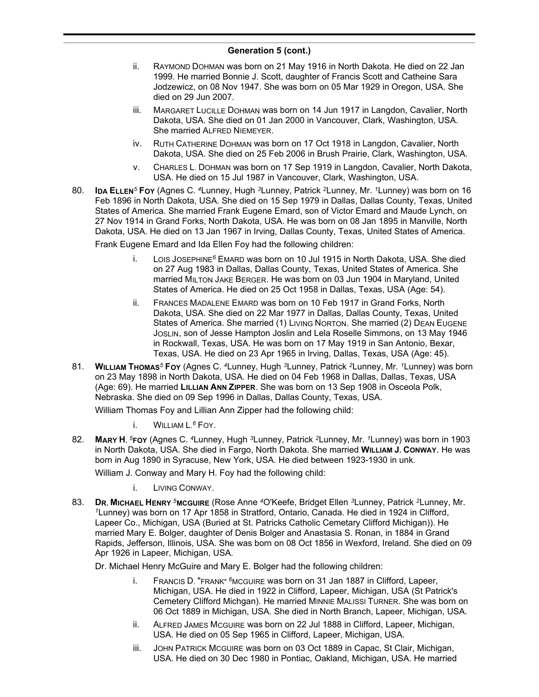- ii. RAYMOND DOHMAN was born on 21 May 1916 in North Dakota. He died on 22 Jan 1999. He married Bonnie J. Scott, daughter of Francis Scott and Catheine Sara Jodzewicz, on 08 Nov 1947. She was born on 05 Mar 1929 in Oregon, USA. She died on 29 Jun 2007.
- iii. MARGARET LUCILLE DOHMAN was born on 14 Jun 1917 in Langdon, Cavalier, North Dakota, USA. She died on 01 Jan 2000 in Vancouver, Clark, Washington, USA. She married ALFRED NIEMEYER.
- iv. RUTH CATHERINE DOHMAN was born on 17 Oct 1918 in Langdon, Cavalier, North Dakota, USA. She died on 25 Feb 2006 in Brush Prairie, Clark, Washington, USA.
- v. CHARLES L. DOHMAN was born on 17 Sep 1919 in Langdon, Cavalier, North Dakota, USA. He died on 15 Jul 1987 in Vancouver, Clark, Washington, USA.
- 80. **IDA ELLEN***<sup>5</sup>* **FOY** (Agnes C. *<sup>4</sup>*Lunney, Hugh *<sup>3</sup>*Lunney, Patrick *<sup>2</sup>*Lunney, Mr. *<sup>1</sup>*Lunney) was born on 16 Feb 1896 in North Dakota, USA. She died on 15 Sep 1979 in Dallas, Dallas County, Texas, United States of America. She married Frank Eugene Emard, son of Victor Emard and Maude Lynch, on 27 Nov 1914 in Grand Forks, North Dakota, USA. He was born on 08 Jan 1895 in Manville, North Dakota, USA. He died on 13 Jan 1967 in Irving, Dallas County, Texas, United States of America.

Frank Eugene Emard and Ida Ellen Foy had the following children:

- i. LOIS JOSEPHINE*<sup>6</sup>* EMARD was born on 10 Jul 1915 in North Dakota, USA. She died on 27 Aug 1983 in Dallas, Dallas County, Texas, United States of America. She married MILTON JAKE BERGER. He was born on 03 Jun 1904 in Maryland, United States of America. He died on 25 Oct 1958 in Dallas, Texas, USA (Age: 54).
- ii. FRANCES MADALENE EMARD was born on 10 Feb 1917 in Grand Forks, North Dakota, USA. She died on 22 Mar 1977 in Dallas, Dallas County, Texas, United States of America. She married (1) LIVING NORTON. She married (2) DEAN EUGENE JOSLIN, son of Jesse Hampton Joslin and Lela Roselle Simmons, on 13 May 1946 in Rockwall, Texas, USA. He was born on 17 May 1919 in San Antonio, Bexar, Texas, USA. He died on 23 Apr 1965 in Irving, Dallas, Texas, USA (Age: 45).
- 81. **WILLIAM THOMAS***<sup>5</sup>* **FOY** (Agnes C. *<sup>4</sup>*Lunney, Hugh *<sup>3</sup>*Lunney, Patrick *<sup>2</sup>*Lunney, Mr. *<sup>1</sup>*Lunney) was born on 23 May 1898 in North Dakota, USA. He died on 04 Feb 1968 in Dallas, Dallas, Texas, USA (Age: 69). He married **LILLIAN ANN ZIPPER**. She was born on 13 Sep 1908 in Osceola Polk, Nebraska. She died on 09 Sep 1996 in Dallas, Dallas County, Texas, USA.

William Thomas Foy and Lillian Ann Zipper had the following child:

i. WILLIAM L. *<sup>6</sup>* FOY.

82. **MARY H.** *<sup>5</sup>***FOY** (Agnes C. *<sup>4</sup>*Lunney, Hugh *<sup>3</sup>*Lunney, Patrick *<sup>2</sup>*Lunney, Mr. *<sup>1</sup>*Lunney) was born in 1903 in North Dakota, USA. She died in Fargo, North Dakota. She married **WILLIAM J. CONWAY**. He was born in Aug 1890 in Syracuse, New York, USA. He died between 1923-1930 in unk.

William J. Conway and Mary H. Foy had the following child:

- i. LIVING CONWAY.
- 83. **DR. MICHAEL HENRY** *<sup>5</sup>***MCGUIRE** (Rose Anne *<sup>4</sup>*O'Keefe, Bridget Ellen *<sup>3</sup>*Lunney, Patrick *<sup>2</sup>*Lunney, Mr. *<sup>1</sup>*Lunney) was born on 17 Apr 1858 in Stratford, Ontario, Canada. He died in 1924 in Clifford, Lapeer Co., Michigan, USA (Buried at St. Patricks Catholic Cemetary Clifford Michigan)). He married Mary E. Bolger, daughter of Denis Bolger and Anastasia S. Ronan, in 1884 in Grand Rapids, Jefferson, Illinois, USA. She was born on 08 Oct 1856 in Wexford, Ireland. She died on 09 Apr 1926 in Lapeer, Michigan, USA.

Dr. Michael Henry McGuire and Mary E. Bolger had the following children:

- i. FRANCIS D. "FRANK" *<sup>6</sup>*MCGUIRE was born on 31 Jan 1887 in Clifford, Lapeer, Michigan, USA. He died in 1922 in Clifford, Lapeer, Michigan, USA (St Patrick's Cemetery Clifford Michgan). He married MINNIE MALISSI TURNER. She was born on 06 Oct 1889 in Michigan, USA. She died in North Branch, Lapeer, Michigan, USA.
- ii. ALFRED JAMES MCGUIRE was born on 22 Jul 1888 in Clifford, Lapeer, Michigan, USA. He died on 05 Sep 1965 in Clifford, Lapeer, Michigan, USA.
- iii. JOHN PATRICK MCGUIRE was born on 03 Oct 1889 in Capac, St Clair, Michigan, USA. He died on 30 Dec 1980 in Pontiac, Oakland, Michigan, USA. He married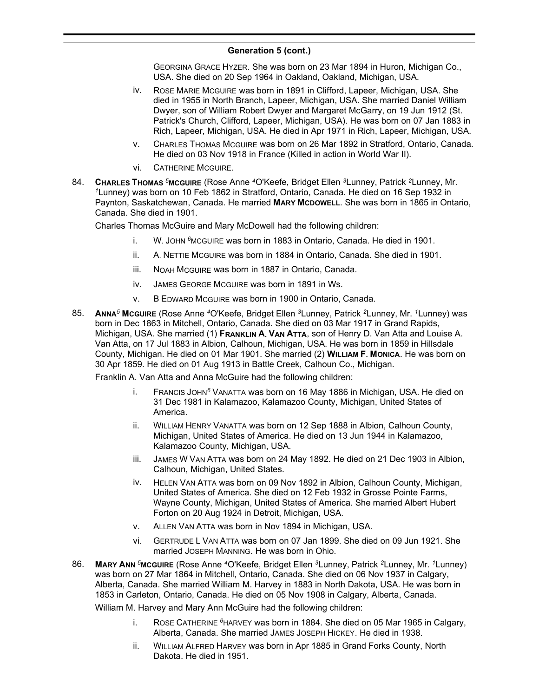GEORGINA GRACE HYZER. She was born on 23 Mar 1894 in Huron, Michigan Co., USA. She died on 20 Sep 1964 in Oakland, Oakland, Michigan, USA.

- iv. ROSE MARIE MCGUIRE was born in 1891 in Clifford, Lapeer, Michigan, USA. She died in 1955 in North Branch, Lapeer, Michigan, USA. She married Daniel William Dwyer, son of William Robert Dwyer and Margaret McGarry, on 19 Jun 1912 (St. Patrick's Church, Clifford, Lapeer, Michigan, USA). He was born on 07 Jan 1883 in Rich, Lapeer, Michigan, USA. He died in Apr 1971 in Rich, Lapeer, Michigan, USA.
- v. CHARLES THOMAS MCGUIRE was born on 26 Mar 1892 in Stratford, Ontario, Canada. He died on 03 Nov 1918 in France (Killed in action in World War II).
- vi. CATHERINE MCGUIRE.
- 84. **CHARLES THOMAS** *<sup>5</sup>***MCGUIRE** (Rose Anne *<sup>4</sup>*O'Keefe, Bridget Ellen *<sup>3</sup>*Lunney, Patrick *<sup>2</sup>*Lunney, Mr. *<sup>1</sup>*Lunney) was born on 10 Feb 1862 in Stratford, Ontario, Canada. He died on 16 Sep 1932 in Paynton, Saskatchewan, Canada. He married **MARY MCDOWELL**. She was born in 1865 in Ontario, Canada. She died in 1901.

Charles Thomas McGuire and Mary McDowell had the following children:

- i. W. JOHN *<sup>6</sup>*MCGUIRE was born in 1883 in Ontario, Canada. He died in 1901.
- ii. A. NETTIE MCGUIRE was born in 1884 in Ontario, Canada. She died in 1901.
- iii. NOAH MCGUIRE was born in 1887 in Ontario, Canada.
- iv. JAMES GEORGE MCGUIRE was born in 1891 in Ws.
- v. B EDWARD MCGUIRE was born in 1900 in Ontario, Canada.
- 85. **ANNA***<sup>5</sup>* **MCGUIRE** (Rose Anne *<sup>4</sup>*O'Keefe, Bridget Ellen *<sup>3</sup>*Lunney, Patrick *<sup>2</sup>*Lunney, Mr. *<sup>1</sup>*Lunney) was born in Dec 1863 in Mitchell, Ontario, Canada. She died on 03 Mar 1917 in Grand Rapids, Michigan, USA. She married (1) **FRANKLIN A. VAN ATTA**, son of Henry D. Van Atta and Louise A. Van Atta, on 17 Jul 1883 in Albion, Calhoun, Michigan, USA. He was born in 1859 in Hillsdale County, Michigan. He died on 01 Mar 1901. She married (2) **WILLIAM F. MONICA**. He was born on 30 Apr 1859. He died on 01 Aug 1913 in Battle Creek, Calhoun Co., Michigan.

Franklin A. Van Atta and Anna McGuire had the following children:

- i. FRANCIS JOHN*<sup>6</sup>* VANATTA was born on 16 May 1886 in Michigan, USA. He died on 31 Dec 1981 in Kalamazoo, Kalamazoo County, Michigan, United States of America.
- ii. WILLIAM HENRY VANATTA was born on 12 Sep 1888 in Albion, Calhoun County, Michigan, United States of America. He died on 13 Jun 1944 in Kalamazoo, Kalamazoo County, Michigan, USA.
- iii. JAMES W VAN ATTA was born on 24 May 1892. He died on 21 Dec 1903 in Albion, Calhoun, Michigan, United States.
- iv. HELEN VAN ATTA was born on 09 Nov 1892 in Albion, Calhoun County, Michigan, United States of America. She died on 12 Feb 1932 in Grosse Pointe Farms, Wayne County, Michigan, United States of America. She married Albert Hubert Forton on 20 Aug 1924 in Detroit, Michigan, USA.
- v. ALLEN VAN ATTA was born in Nov 1894 in Michigan, USA.
- vi. GERTRUDE L VAN ATTA was born on 07 Jan 1899. She died on 09 Jun 1921. She married JOSEPH MANNING. He was born in Ohio.
- 86. **MARY ANN** *<sup>5</sup>***MCGUIRE** (Rose Anne *<sup>4</sup>*O'Keefe, Bridget Ellen *<sup>3</sup>*Lunney, Patrick *<sup>2</sup>*Lunney, Mr. *<sup>1</sup>*Lunney) was born on 27 Mar 1864 in Mitchell, Ontario, Canada. She died on 06 Nov 1937 in Calgary, Alberta, Canada. She married William M. Harvey in 1883 in North Dakota, USA. He was born in 1853 in Carleton, Ontario, Canada. He died on 05 Nov 1908 in Calgary, Alberta, Canada.

William M. Harvey and Mary Ann McGuire had the following children:

- i. ROSE CATHERINE *<sup>6</sup>*HARVEY was born in 1884. She died on 05 Mar 1965 in Calgary, Alberta, Canada. She married JAMES JOSEPH HICKEY. He died in 1938.
- ii. WILLIAM ALFRED HARVEY was born in Apr 1885 in Grand Forks County, North Dakota. He died in 1951.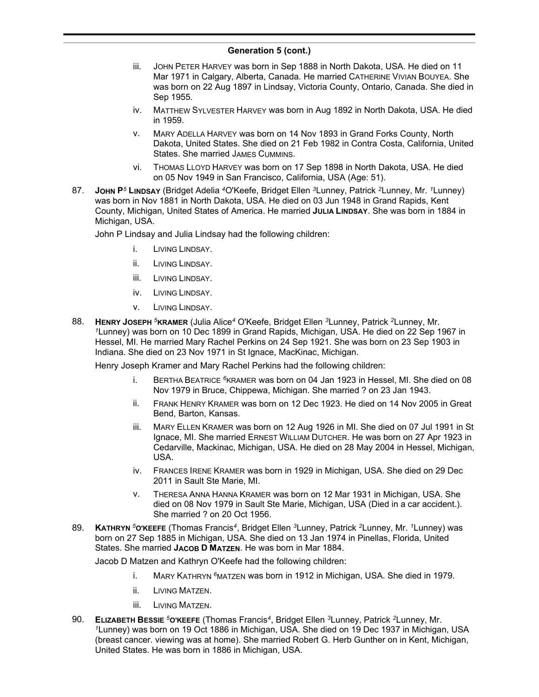- iii. JOHN PETER HARVEY was born in Sep 1888 in North Dakota, USA. He died on 11 Mar 1971 in Calgary, Alberta, Canada. He married CATHERINE VIVIAN BOUYEA. She was born on 22 Aug 1897 in Lindsay, Victoria County, Ontario, Canada. She died in Sep 1955.
- iv. MATTHEW SYLVESTER HARVEY was born in Aug 1892 in North Dakota, USA. He died in 1959.
- v. MARY ADELLA HARVEY was born on 14 Nov 1893 in Grand Forks County, North Dakota, United States. She died on 21 Feb 1982 in Contra Costa, California, United States. She married JAMES CUMMINS.
- vi. THOMAS LLOYD HARVEY was born on 17 Sep 1898 in North Dakota, USA. He died on 05 Nov 1949 in San Francisco, California, USA (Age: 51).
- 87. **JOHN P***<sup>5</sup>* **LINDSAY** (Bridget Adelia *<sup>4</sup>*O'Keefe, Bridget Ellen *<sup>3</sup>*Lunney, Patrick *<sup>2</sup>*Lunney, Mr. *<sup>1</sup>*Lunney) was born in Nov 1881 in North Dakota, USA. He died on 03 Jun 1948 in Grand Rapids, Kent County, Michigan, United States of America. He married **JULIA LINDSAY**. She was born in 1884 in Michigan, USA.

John P Lindsay and Julia Lindsay had the following children:

- i. LIVING LINDSAY.
- ii. LIVING LINDSAY.
- iii. LIVING LINDSAY.
- iv. LIVING LINDSAY.
- v. LIVING LINDSAY.
- 88. **HENRY JOSEPH** *<sup>5</sup>***KRAMER** (Julia Alice*<sup>4</sup>* O'Keefe, Bridget Ellen *<sup>3</sup>*Lunney, Patrick *<sup>2</sup>*Lunney, Mr. *<sup>1</sup>*Lunney) was born on 10 Dec 1899 in Grand Rapids, Michigan, USA. He died on 22 Sep 1967 in Hessel, MI. He married Mary Rachel Perkins on 24 Sep 1921. She was born on 23 Sep 1903 in Indiana. She died on 23 Nov 1971 in St Ignace, MacKinac, Michigan.

Henry Joseph Kramer and Mary Rachel Perkins had the following children:

- i. BERTHA BEATRICE *<sup>6</sup>*KRAMER was born on 04 Jan 1923 in Hessel, MI. She died on 08 Nov 1979 in Bruce, Chippewa, Michigan. She married ? on 23 Jan 1943.
- ii. FRANK HENRY KRAMER was born on 12 Dec 1923. He died on 14 Nov 2005 in Great Bend, Barton, Kansas.
- iii. MARY ELLEN KRAMER was born on 12 Aug 1926 in MI. She died on 07 Jul 1991 in St Ignace, MI. She married ERNEST WILLIAM DUTCHER. He was born on 27 Apr 1923 in Cedarville, Mackinac, Michigan, USA. He died on 28 May 2004 in Hessel, Michigan, USA.
- iv. FRANCES IRENE KRAMER was born in 1929 in Michigan, USA. She died on 29 Dec 2011 in Sault Ste Marie, MI.
- v. THERESA ANNA HANNA KRAMER was born on 12 Mar 1931 in Michigan, USA. She died on 08 Nov 1979 in Sault Ste Marie, Michigan, USA (Died in a car accident.). She married ? on 20 Oct 1956.
- 89. **KATHRYN** *<sup>5</sup>***O'KEEFE** (Thomas Francis*<sup>4</sup>* , Bridget Ellen *<sup>3</sup>*Lunney, Patrick *<sup>2</sup>*Lunney, Mr. *<sup>1</sup>*Lunney) was born on 27 Sep 1885 in Michigan, USA. She died on 13 Jan 1974 in Pinellas, Florida, United States. She married **JACOB D MATZEN**. He was born in Mar 1884.

Jacob D Matzen and Kathryn O'Keefe had the following children:

- i. MARY KATHRYN *<sup>6</sup>*MATZEN was born in 1912 in Michigan, USA. She died in 1979.
- ii. LIVING MATZEN.
- iii. LIVING MATZEN.
- 90. **ELIZABETH BESSIE** *<sup>5</sup>***O'KEEFE** (Thomas Francis*<sup>4</sup>* , Bridget Ellen *<sup>3</sup>*Lunney, Patrick *<sup>2</sup>*Lunney, Mr. *<sup>1</sup>*Lunney) was born on 19 Oct 1886 in Michigan, USA. She died on 19 Dec 1937 in Michigan, USA (breast cancer. viewing was at home). She married Robert G. Herb Gunther on in Kent, Michigan, United States. He was born in 1886 in Michigan, USA.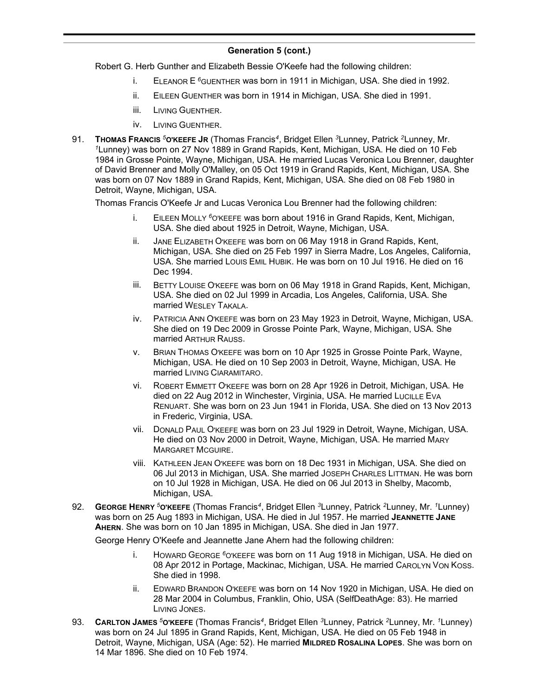Robert G. Herb Gunther and Elizabeth Bessie O'Keefe had the following children:

- i. ELEANOR E *<sup>6</sup>*GUENTHER was born in 1911 in Michigan, USA. She died in 1992.
- ii. EILEEN GUENTHER was born in 1914 in Michigan, USA. She died in 1991.
- iii. LIVING GUENTHER.
- iv. LIVING GUENTHER.
- 91. **THOMAS FRANCIS** *<sup>5</sup>***O'KEEFE JR** (Thomas Francis*<sup>4</sup>* , Bridget Ellen *<sup>3</sup>*Lunney, Patrick *<sup>2</sup>*Lunney, Mr. *<sup>1</sup>*Lunney) was born on 27 Nov 1889 in Grand Rapids, Kent, Michigan, USA. He died on 10 Feb 1984 in Grosse Pointe, Wayne, Michigan, USA. He married Lucas Veronica Lou Brenner, daughter of David Brenner and Molly O'Malley, on 05 Oct 1919 in Grand Rapids, Kent, Michigan, USA. She was born on 07 Nov 1889 in Grand Rapids, Kent, Michigan, USA. She died on 08 Feb 1980 in Detroit, Wayne, Michigan, USA.

Thomas Francis O'Keefe Jr and Lucas Veronica Lou Brenner had the following children:

- i. EILEEN MOLLY *<sup>6</sup>*O'KEEFE was born about 1916 in Grand Rapids, Kent, Michigan, USA. She died about 1925 in Detroit, Wayne, Michigan, USA.
- ii. JANE ELIZABETH O'KEEFE was born on 06 May 1918 in Grand Rapids, Kent, Michigan, USA. She died on 25 Feb 1997 in Sierra Madre, Los Angeles, California, USA. She married LOUIS EMIL HUBIK. He was born on 10 Jul 1916. He died on 16 Dec 1994.
- iii. BETTY LOUISE O'KEEFE was born on 06 May 1918 in Grand Rapids, Kent, Michigan, USA. She died on 02 Jul 1999 in Arcadia, Los Angeles, California, USA. She married WESLEY TAKALA.
- iv. PATRICIA ANN O'KEEFE was born on 23 May 1923 in Detroit, Wayne, Michigan, USA. She died on 19 Dec 2009 in Grosse Pointe Park, Wayne, Michigan, USA. She married ARTHUR RAUSS.
- v. BRIAN THOMAS O'KEEFE was born on 10 Apr 1925 in Grosse Pointe Park, Wayne, Michigan, USA. He died on 10 Sep 2003 in Detroit, Wayne, Michigan, USA. He married LIVING CIARAMITARO.
- vi. ROBERT EMMETT O'KEEFE was born on 28 Apr 1926 in Detroit, Michigan, USA. He died on 22 Aug 2012 in Winchester, Virginia, USA. He married LUCILLE EVA RENUART. She was born on 23 Jun 1941 in Florida, USA. She died on 13 Nov 2013 in Frederic, Virginia, USA.
- vii. DONALD PAUL O'KEEFE was born on 23 Jul 1929 in Detroit, Wayne, Michigan, USA. He died on 03 Nov 2000 in Detroit, Wayne, Michigan, USA. He married MARY MARGARET MCGUIRE.
- viii. KATHLEEN JEAN O'KEEFE was born on 18 Dec 1931 in Michigan, USA. She died on 06 Jul 2013 in Michigan, USA. She married JOSEPH CHARLES LITTMAN. He was born on 10 Jul 1928 in Michigan, USA. He died on 06 Jul 2013 in Shelby, Macomb, Michigan, USA.
- 92. **GEORGE HENRY** *<sup>5</sup>***O'KEEFE** (Thomas Francis*<sup>4</sup>* , Bridget Ellen *<sup>3</sup>*Lunney, Patrick *<sup>2</sup>*Lunney, Mr. *<sup>1</sup>*Lunney) was born on 25 Aug 1893 in Michigan, USA. He died in Jul 1957. He married **JEANNETTE JANE AHERN**. She was born on 10 Jan 1895 in Michigan, USA. She died in Jan 1977.

George Henry O'Keefe and Jeannette Jane Ahern had the following children:

- i. HOWARD GEORGE *<sup>6</sup>*O'KEEFE was born on 11 Aug 1918 in Michigan, USA. He died on 08 Apr 2012 in Portage, Mackinac, Michigan, USA. He married CAROLYN VON KOSS. She died in 1998.
- ii. EDWARD BRANDON O'KEEFE was born on 14 Nov 1920 in Michigan, USA. He died on 28 Mar 2004 in Columbus, Franklin, Ohio, USA (SelfDeathAge: 83). He married LIVING JONES.
- 93. **CARLTON JAMES** *<sup>5</sup>***O'KEEFE** (Thomas Francis*<sup>4</sup>* , Bridget Ellen *<sup>3</sup>*Lunney, Patrick *<sup>2</sup>*Lunney, Mr. *<sup>1</sup>*Lunney) was born on 24 Jul 1895 in Grand Rapids, Kent, Michigan, USA. He died on 05 Feb 1948 in Detroit, Wayne, Michigan, USA (Age: 52). He married **MILDRED ROSALINA LOPES**. She was born on 14 Mar 1896. She died on 10 Feb 1974.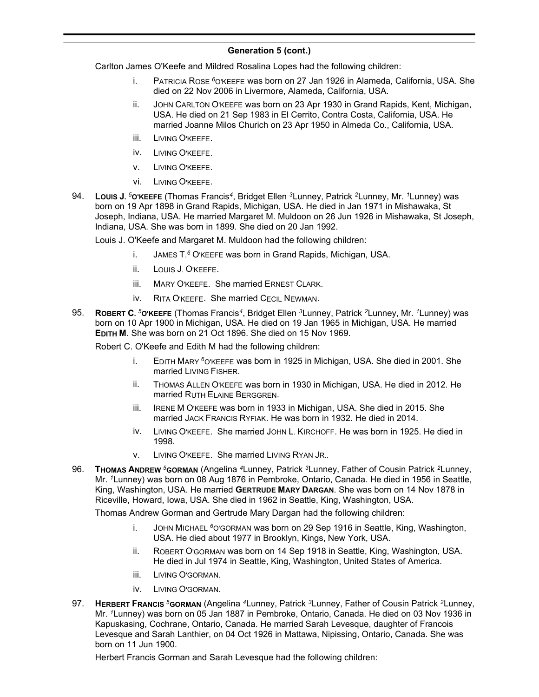Carlton James O'Keefe and Mildred Rosalina Lopes had the following children:

- i. PATRICIA ROSE *<sup>6</sup>*O'KEEFE was born on 27 Jan 1926 in Alameda, California, USA. She died on 22 Nov 2006 in Livermore, Alameda, California, USA.
- ii. JOHN CARLTON O'KEEFE was born on 23 Apr 1930 in Grand Rapids, Kent, Michigan, USA. He died on 21 Sep 1983 in El Cerrito, Contra Costa, California, USA. He married Joanne Milos Churich on 23 Apr 1950 in Almeda Co., California, USA.
- iii. LIVING O'KEEFE.
- iv. LIVING O'KEEFE.
- v. LIVING O'KEEFE.
- vi. LIVING O'KEEFE.
- 94. **LOUIS J.** *<sup>5</sup>***O'KEEFE** (Thomas Francis*<sup>4</sup>* , Bridget Ellen *<sup>3</sup>*Lunney, Patrick *<sup>2</sup>*Lunney, Mr. *<sup>1</sup>*Lunney) was born on 19 Apr 1898 in Grand Rapids, Michigan, USA. He died in Jan 1971 in Mishawaka, St Joseph, Indiana, USA. He married Margaret M. Muldoon on 26 Jun 1926 in Mishawaka, St Joseph, Indiana, USA. She was born in 1899. She died on 20 Jan 1992.

Louis J. O'Keefe and Margaret M. Muldoon had the following children:

- i. JAMES T. *<sup>6</sup>* O'KEEFE was born in Grand Rapids, Michigan, USA.
- ii. LOUIS J. O'KEEFE.
- iii. MARY O'KEEFE. She married ERNEST CLARK.
- iv. RITA O'KEEFE. She married CECIL NEWMAN.
- 95. **ROBERT C.** *<sup>5</sup>***O'KEEFE** (Thomas Francis*<sup>4</sup>* , Bridget Ellen *<sup>3</sup>*Lunney, Patrick *<sup>2</sup>*Lunney, Mr. *<sup>1</sup>*Lunney) was born on 10 Apr 1900 in Michigan, USA. He died on 19 Jan 1965 in Michigan, USA. He married **EDITH M**. She was born on 21 Oct 1896. She died on 15 Nov 1969.

Robert C. O'Keefe and Edith M had the following children:

- i. EDITH MARY *<sup>6</sup>*O'KEEFE was born in 1925 in Michigan, USA. She died in 2001. She married LIVING FISHER.
- ii. THOMAS ALLEN O'KEEFE was born in 1930 in Michigan, USA. He died in 2012. He married RUTH ELAINE BERGGREN.
- iii. IRENE M O'KEEFE was born in 1933 in Michigan, USA. She died in 2015. She married JACK FRANCIS RYFIAK. He was born in 1932. He died in 2014.
- iv. LIVING O'KEEFE. She married JOHN L. KIRCHOFF. He was born in 1925. He died in 1998.
- v. LIVING O'KEEFE. She married LIVING RYAN JR..
- 96. **THOMAS ANDREW** *<sup>5</sup>***GORMAN** (Angelina *<sup>4</sup>*Lunney, Patrick *<sup>3</sup>*Lunney, Father of Cousin Patrick *<sup>2</sup>*Lunney, Mr. *<sup>1</sup>*Lunney) was born on 08 Aug 1876 in Pembroke, Ontario, Canada. He died in 1956 in Seattle, King, Washington, USA. He married **GERTRUDE MARY DARGAN**. She was born on 14 Nov 1878 in Riceville, Howard, Iowa, USA. She died in 1962 in Seattle, King, Washington, USA.

Thomas Andrew Gorman and Gertrude Mary Dargan had the following children:

- i. JOHN MICHAEL *<sup>6</sup>*O'GORMAN was born on 29 Sep 1916 in Seattle, King, Washington, USA. He died about 1977 in Brooklyn, Kings, New York, USA.
- ii. ROBERT O'GORMAN was born on 14 Sep 1918 in Seattle, King, Washington, USA. He died in Jul 1974 in Seattle, King, Washington, United States of America.
- iii. LIVING O'GORMAN.
- iv. LIVING O'GORMAN.
- 97. **HERBERT FRANCIS** *<sup>5</sup>***GORMAN** (Angelina *<sup>4</sup>*Lunney, Patrick *<sup>3</sup>*Lunney, Father of Cousin Patrick *<sup>2</sup>*Lunney, Mr. *<sup>1</sup>*Lunney) was born on 05 Jan 1887 in Pembroke, Ontario, Canada. He died on 03 Nov 1936 in Kapuskasing, Cochrane, Ontario, Canada. He married Sarah Levesque, daughter of Francois Levesque and Sarah Lanthier, on 04 Oct 1926 in Mattawa, Nipissing, Ontario, Canada. She was born on 11 Jun 1900.

Herbert Francis Gorman and Sarah Levesque had the following children: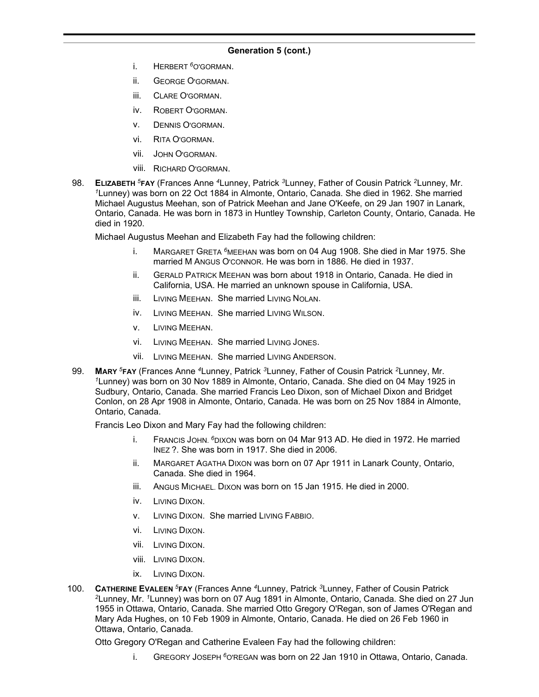- i. HERBERT *<sup>6</sup>*O'GORMAN.
- ii. GEORGE O'GORMAN.
- iii. CLARE O'GORMAN.
- iv. ROBERT O'GORMAN.
- v. DENNIS O'GORMAN.
- vi. RITA O'GORMAN.
- vii. JOHN O'GORMAN.
- viii. RICHARD O'GORMAN.
- 98. **ELIZABETH** *<sup>5</sup>***FAY** (Frances Anne *<sup>4</sup>*Lunney, Patrick *<sup>3</sup>*Lunney, Father of Cousin Patrick *<sup>2</sup>*Lunney, Mr. *<sup>1</sup>*Lunney) was born on 22 Oct 1884 in Almonte, Ontario, Canada. She died in 1962. She married Michael Augustus Meehan, son of Patrick Meehan and Jane O'Keefe, on 29 Jan 1907 in Lanark, Ontario, Canada. He was born in 1873 in Huntley Township, Carleton County, Ontario, Canada. He died in 1920.

Michael Augustus Meehan and Elizabeth Fay had the following children:

- i. MARGARET GRETA *<sup>6</sup>*MEEHAN was born on 04 Aug 1908. She died in Mar 1975. She married M ANGUS O'CONNOR. He was born in 1886. He died in 1937.
- ii. GERALD PATRICK MEEHAN was born about 1918 in Ontario, Canada. He died in California, USA. He married an unknown spouse in California, USA.
- iii. LIVING MEEHAN. She married LIVING NOLAN.
- iv. LIVING MEEHAN. She married LIVING WILSON.
- v. LIVING MEEHAN.
- vi. LIVING MEEHAN. She married LIVING JONES.
- vii. LIVING MEEHAN. She married LIVING ANDERSON.
- 99. **MARY** *<sup>5</sup>***FAY** (Frances Anne *<sup>4</sup>*Lunney, Patrick *<sup>3</sup>*Lunney, Father of Cousin Patrick *<sup>2</sup>*Lunney, Mr. *<sup>1</sup>*Lunney) was born on 30 Nov 1889 in Almonte, Ontario, Canada. She died on 04 May 1925 in Sudbury, Ontario, Canada. She married Francis Leo Dixon, son of Michael Dixon and Bridget Conlon, on 28 Apr 1908 in Almonte, Ontario, Canada. He was born on 25 Nov 1884 in Almonte, Ontario, Canada.

Francis Leo Dixon and Mary Fay had the following children:

- i. FRANCIS JOHN. *<sup>6</sup>*DIXON was born on 04 Mar 913 AD. He died in 1972. He married INEZ ?. She was born in 1917. She died in 2006.
- ii. MARGARET AGATHA DIXON was born on 07 Apr 1911 in Lanark County, Ontario, Canada. She died in 1964.
- iii. ANGUS MICHAEL. DIXON was born on 15 Jan 1915. He died in 2000.
- iv. LIVING DIXON.
- v. LIVING DIXON. She married LIVING FABBIO.
- vi. LIVING DIXON.
- vii. LIVING DIXON.
- viii. LIVING DIXON.
- ix. LIVING DIXON.
- 100. **CATHERINE EVALEEN** *<sup>5</sup>***FAY** (Frances Anne *<sup>4</sup>*Lunney, Patrick *<sup>3</sup>*Lunney, Father of Cousin Patrick *<sup>2</sup>*Lunney, Mr. *<sup>1</sup>*Lunney) was born on 07 Aug 1891 in Almonte, Ontario, Canada. She died on 27 Jun 1955 in Ottawa, Ontario, Canada. She married Otto Gregory O'Regan, son of James O'Regan and Mary Ada Hughes, on 10 Feb 1909 in Almonte, Ontario, Canada. He died on 26 Feb 1960 in Ottawa, Ontario, Canada.

Otto Gregory O'Regan and Catherine Evaleen Fay had the following children:

i. GREGORY JOSEPH *<sup>6</sup>*O'REGAN was born on 22 Jan 1910 in Ottawa, Ontario, Canada.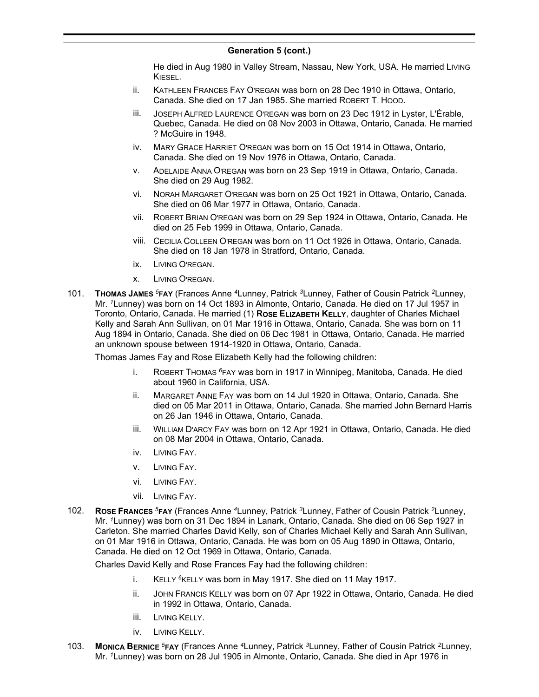He died in Aug 1980 in Valley Stream, Nassau, New York, USA. He married Living KIESEL.

- ii. KATHLEEN FRANCES FAY O'REGAN was born on 28 Dec 1910 in Ottawa, Ontario, Canada. She died on 17 Jan 1985. She married ROBERT T. HOOD.
- iii. JOSEPH ALFRED LAURENCE O'REGAN was born on 23 Dec 1912 in Lyster, L'Érable, Quebec, Canada. He died on 08 Nov 2003 in Ottawa, Ontario, Canada. He married ? McGuire in 1948.
- iv. MARY GRACE HARRIET O'REGAN was born on 15 Oct 1914 in Ottawa, Ontario, Canada. She died on 19 Nov 1976 in Ottawa, Ontario, Canada.
- v. ADELAIDE ANNA O'REGAN was born on 23 Sep 1919 in Ottawa, Ontario, Canada. She died on 29 Aug 1982.
- vi. NORAH MARGARET O'REGAN was born on 25 Oct 1921 in Ottawa, Ontario, Canada. She died on 06 Mar 1977 in Ottawa, Ontario, Canada.
- vii. ROBERT BRIAN O'REGAN was born on 29 Sep 1924 in Ottawa, Ontario, Canada. He died on 25 Feb 1999 in Ottawa, Ontario, Canada.
- viii. CECILIA COLLEEN O'REGAN was born on 11 Oct 1926 in Ottawa, Ontario, Canada. She died on 18 Jan 1978 in Stratford, Ontario, Canada.
- ix. LIVING O'REGAN.
- x. LIVING O'REGAN.
- 101. **THOMAS JAMES** *<sup>5</sup>***FAY** (Frances Anne *<sup>4</sup>*Lunney, Patrick *<sup>3</sup>*Lunney, Father of Cousin Patrick *<sup>2</sup>*Lunney, Mr. *<sup>1</sup>*Lunney) was born on 14 Oct 1893 in Almonte, Ontario, Canada. He died on 17 Jul 1957 in Toronto, Ontario, Canada. He married (1) **ROSE ELIZABETH KELLY**, daughter of Charles Michael Kelly and Sarah Ann Sullivan, on 01 Mar 1916 in Ottawa, Ontario, Canada. She was born on 11 Aug 1894 in Ontario, Canada. She died on 06 Dec 1981 in Ottawa, Ontario, Canada. He married an unknown spouse between 1914-1920 in Ottawa, Ontario, Canada.

Thomas James Fay and Rose Elizabeth Kelly had the following children:

- i. ROBERT THOMAS *<sup>6</sup>*FAY was born in 1917 in Winnipeg, Manitoba, Canada. He died about 1960 in California, USA.
- ii. MARGARET ANNE FAY was born on 14 Jul 1920 in Ottawa, Ontario, Canada. She died on 05 Mar 2011 in Ottawa, Ontario, Canada. She married John Bernard Harris on 26 Jan 1946 in Ottawa, Ontario, Canada.
- iii. WILLIAM D'ARCY FAY was born on 12 Apr 1921 in Ottawa, Ontario, Canada. He died on 08 Mar 2004 in Ottawa, Ontario, Canada.
- iv. LIVING FAY.
- v. LIVING FAY.
- vi. LIVING FAY.
- vii. LIVING FAY.
- 102. **ROSE FRANCES** *<sup>5</sup>***FAY** (Frances Anne *<sup>4</sup>*Lunney, Patrick *<sup>3</sup>*Lunney, Father of Cousin Patrick *<sup>2</sup>*Lunney, Mr. *<sup>1</sup>*Lunney) was born on 31 Dec 1894 in Lanark, Ontario, Canada. She died on 06 Sep 1927 in Carleton. She married Charles David Kelly, son of Charles Michael Kelly and Sarah Ann Sullivan, on 01 Mar 1916 in Ottawa, Ontario, Canada. He was born on 05 Aug 1890 in Ottawa, Ontario, Canada. He died on 12 Oct 1969 in Ottawa, Ontario, Canada.

Charles David Kelly and Rose Frances Fay had the following children:

- i. KELLY <sup>6</sup>KELLY was born in May 1917. She died on 11 May 1917.
- ii. JOHN FRANCIS KELLY was born on 07 Apr 1922 in Ottawa, Ontario, Canada. He died in 1992 in Ottawa, Ontario, Canada.
- iii. LIVING KELLY.
- iv. LIVING KELLY.
- 103. **MONICA BERNICE** *<sup>5</sup>***FAY** (Frances Anne *<sup>4</sup>*Lunney, Patrick *<sup>3</sup>*Lunney, Father of Cousin Patrick *<sup>2</sup>*Lunney, Mr. *<sup>1</sup>*Lunney) was born on 28 Jul 1905 in Almonte, Ontario, Canada. She died in Apr 1976 in